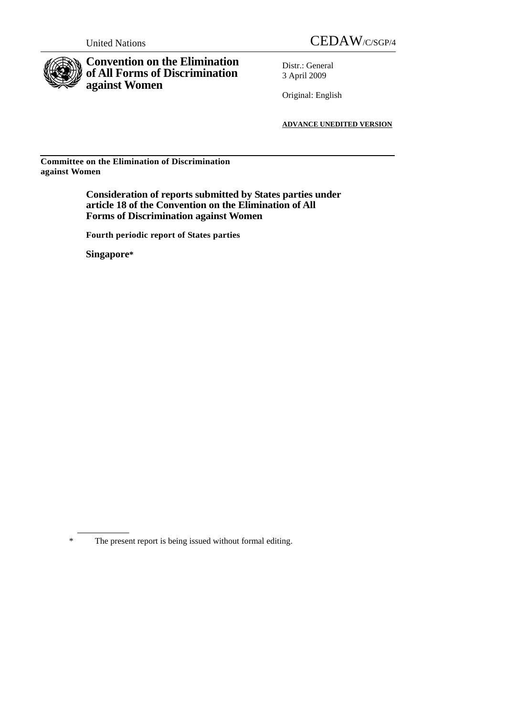

## **Convention on the Elimination of All Forms of Discrimination against Women**

Distr.: General 3 April 2009

Original: English

**ADVANCE UNEDITED VERSION**

**Committee on the Elimination of Discrimination against Women** 

> **Consideration of reports submitted by States parties under article 18 of the Convention on the Elimination of All Forms of Discrimination against Women**

 **Fourth periodic report of States parties** 

**Singapore\***

<sup>\*</sup> The present report is being issued without formal editing.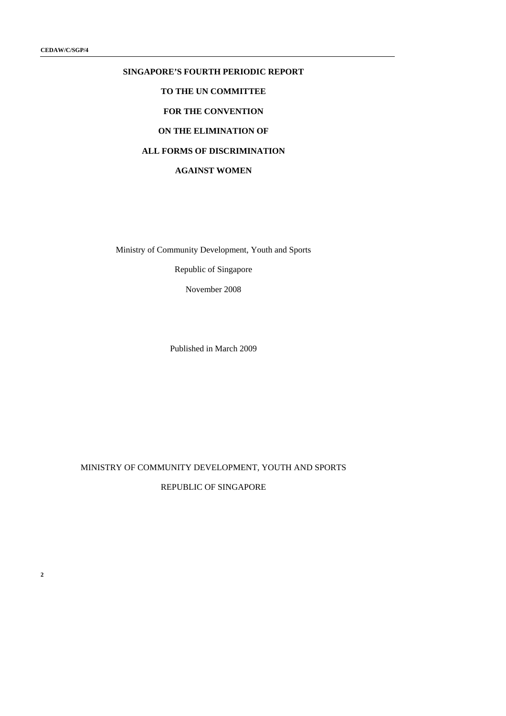# **SINGAPORE'S FOURTH PERIODIC REPORT TO THE UN COMMITTEE FOR THE CONVENTION ON THE ELIMINATION OF**

## **ALL FORMS OF DISCRIMINATION**

**AGAINST WOMEN** 

Ministry of Community Development, Youth and Sports

Republic of Singapore

November 2008

Published in March 2009

## MINISTRY OF COMMUNITY DEVELOPMENT, YOUTH AND SPORTS REPUBLIC OF SINGAPORE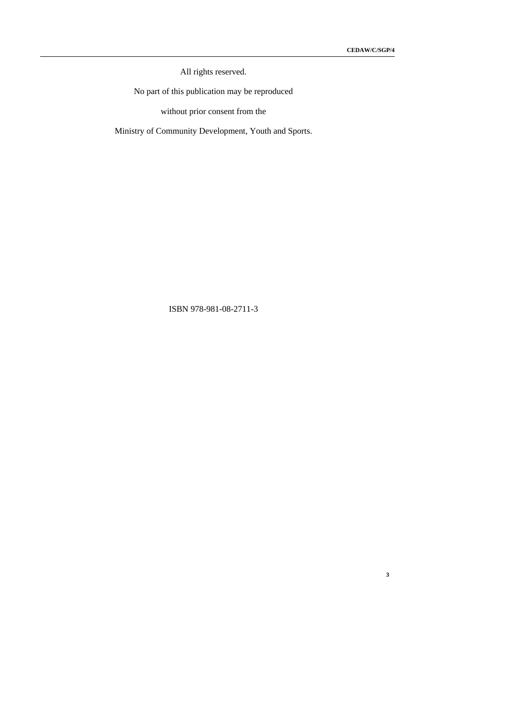All rights reserved.

No part of this publication may be reproduced

without prior consent from the

Ministry of Community Development, Youth and Sports.

## ISBN 978-981-08-2711-3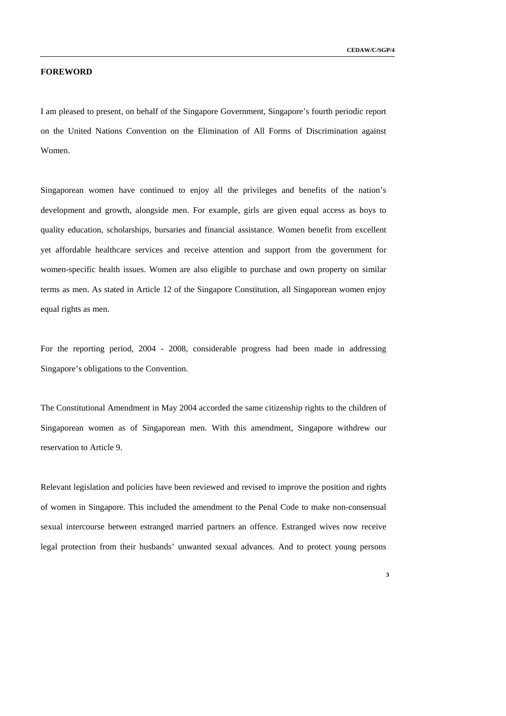**3** 

#### **FOREWORD**

I am pleased to present, on behalf of the Singapore Government, Singapore's fourth periodic report on the United Nations Convention on the Elimination of All Forms of Discrimination against Women.

Singaporean women have continued to enjoy all the privileges and benefits of the nation's development and growth, alongside men. For example, girls are given equal access as boys to quality education, scholarships, bursaries and financial assistance. Women benefit from excellent yet affordable healthcare services and receive attention and support from the government for women-specific health issues. Women are also eligible to purchase and own property on similar terms as men. As stated in Article 12 of the Singapore Constitution, all Singaporean women enjoy equal rights as men.

For the reporting period, 2004 - 2008, considerable progress had been made in addressing Singapore's obligations to the Convention.

The Constitutional Amendment in May 2004 accorded the same citizenship rights to the children of Singaporean women as of Singaporean men. With this amendment, Singapore withdrew our reservation to Article 9.

Relevant legislation and policies have been reviewed and revised to improve the position and rights of women in Singapore. This included the amendment to the Penal Code to make non-consensual sexual intercourse between estranged married partners an offence. Estranged wives now receive legal protection from their husbands' unwanted sexual advances. And to protect young persons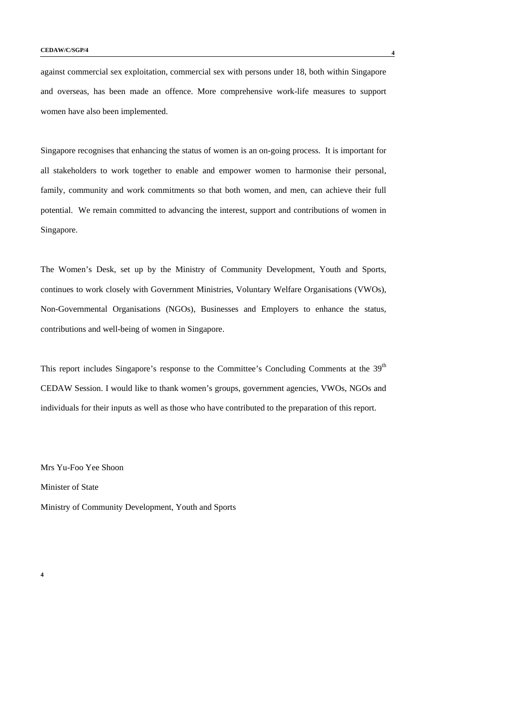against commercial sex exploitation, commercial sex with persons under 18, both within Singapore and overseas, has been made an offence. More comprehensive work-life measures to support women have also been implemented.

Singapore recognises that enhancing the status of women is an on-going process. It is important for all stakeholders to work together to enable and empower women to harmonise their personal, family, community and work commitments so that both women, and men, can achieve their full potential. We remain committed to advancing the interest, support and contributions of women in Singapore.

The Women's Desk, set up by the Ministry of Community Development, Youth and Sports, continues to work closely with Government Ministries, Voluntary Welfare Organisations (VWOs), Non-Governmental Organisations (NGOs), Businesses and Employers to enhance the status, contributions and well-being of women in Singapore.

This report includes Singapore's response to the Committee's Concluding Comments at the 39<sup>th</sup> CEDAW Session. I would like to thank women's groups, government agencies, VWOs, NGOs and individuals for their inputs as well as those who have contributed to the preparation of this report.

Mrs Yu-Foo Yee Shoon

Minister of State

Ministry of Community Development, Youth and Sports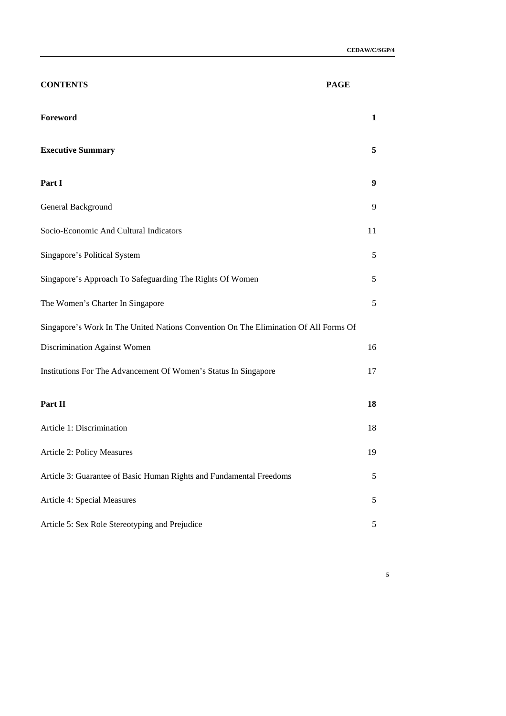| <b>CONTENTS</b>                                                                      | <b>PAGE</b>  |
|--------------------------------------------------------------------------------------|--------------|
| Foreword                                                                             | $\mathbf{1}$ |
| <b>Executive Summary</b>                                                             | 5            |
| Part I                                                                               | 9            |
| General Background                                                                   | 9            |
| Socio-Economic And Cultural Indicators                                               | 11           |
| Singapore's Political System                                                         | 5            |
| Singapore's Approach To Safeguarding The Rights Of Women                             | 5            |
| The Women's Charter In Singapore                                                     | 5            |
| Singapore's Work In The United Nations Convention On The Elimination Of All Forms Of |              |
| Discrimination Against Women                                                         | 16           |
| Institutions For The Advancement Of Women's Status In Singapore                      | 17           |
| Part II                                                                              | 18           |
| Article 1: Discrimination                                                            | 18           |
| Article 2: Policy Measures                                                           | 19           |
| Article 3: Guarantee of Basic Human Rights and Fundamental Freedoms                  | 5            |
| Article 4: Special Measures                                                          | 5            |
| Article 5: Sex Role Stereotyping and Prejudice                                       | 5            |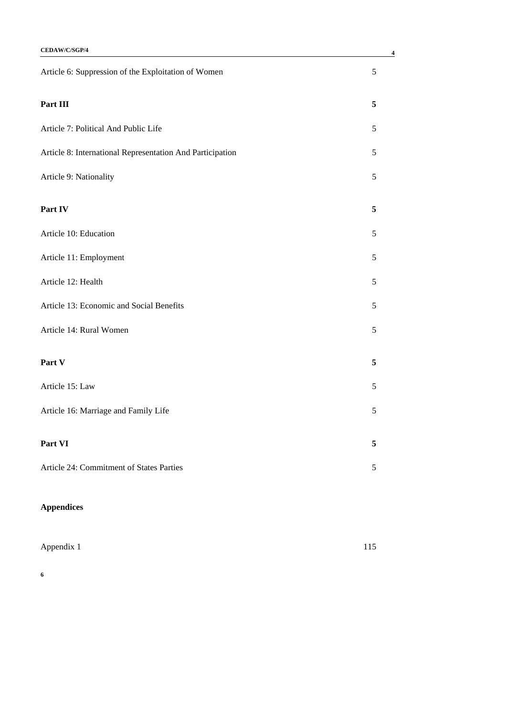| CEDAW/C/SGP/4                                             | 4             |
|-----------------------------------------------------------|---------------|
| Article 6: Suppression of the Exploitation of Women       | $\sqrt{5}$    |
| Part III                                                  | 5             |
| Article 7: Political And Public Life                      | 5             |
| Article 8: International Representation And Participation | $\mathfrak s$ |
| Article 9: Nationality                                    | 5             |
| Part IV                                                   | 5             |
| Article 10: Education                                     | 5             |
| Article 11: Employment                                    | 5             |
| Article 12: Health                                        | 5             |
| Article 13: Economic and Social Benefits                  | 5             |
| Article 14: Rural Women                                   | 5             |
| Part V                                                    | 5             |
| Article 15: Law                                           | 5             |
| Article 16: Marriage and Family Life                      | 5             |
| Part VI                                                   | 5             |
| Article 24: Commitment of States Parties                  | 5             |
|                                                           |               |

## **Appendices**

| Appendix 1 | 115 |
|------------|-----|
|            |     |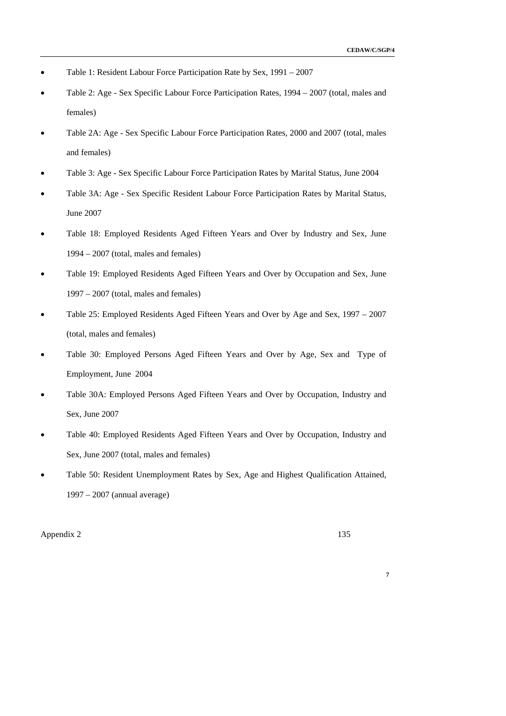- Table 1: Resident Labour Force Participation Rate by Sex, 1991 2007
- Table 2: Age Sex Specific Labour Force Participation Rates, 1994 2007 (total, males and females)
- Table 2A: Age Sex Specific Labour Force Participation Rates, 2000 and 2007 (total, males and females)
- Table 3: Age Sex Specific Labour Force Participation Rates by Marital Status, June 2004
- Table 3A: Age Sex Specific Resident Labour Force Participation Rates by Marital Status, June 2007
- Table 18: Employed Residents Aged Fifteen Years and Over by Industry and Sex, June 1994 – 2007 (total, males and females)
- Table 19: Employed Residents Aged Fifteen Years and Over by Occupation and Sex, June 1997 – 2007 (total, males and females)
- Table 25: Employed Residents Aged Fifteen Years and Over by Age and Sex, 1997 2007 (total, males and females)
- Table 30: Employed Persons Aged Fifteen Years and Over by Age, Sex and Type of Employment, June 2004
- Table 30A: Employed Persons Aged Fifteen Years and Over by Occupation, Industry and Sex, June 2007
- Table 40: Employed Residents Aged Fifteen Years and Over by Occupation, Industry and Sex, June 2007 (total, males and females)
- Table 50: Resident Unemployment Rates by Sex, Age and Highest Qualification Attained, 1997 – 2007 (annual average)

Appendix 2 135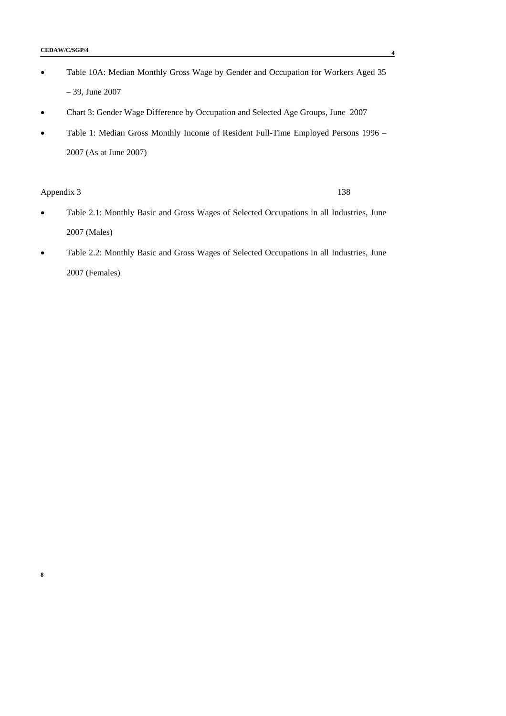- Table 10A: Median Monthly Gross Wage by Gender and Occupation for Workers Aged 35 – 39, June 2007
- Chart 3: Gender Wage Difference by Occupation and Selected Age Groups, June 2007
- Table 1: Median Gross Monthly Income of Resident Full-Time Employed Persons 1996 2007 (As at June 2007)

Appendix 3 138

- Table 2.1: Monthly Basic and Gross Wages of Selected Occupations in all Industries, June 2007 (Males)
- Table 2.2: Monthly Basic and Gross Wages of Selected Occupations in all Industries, June 2007 (Females)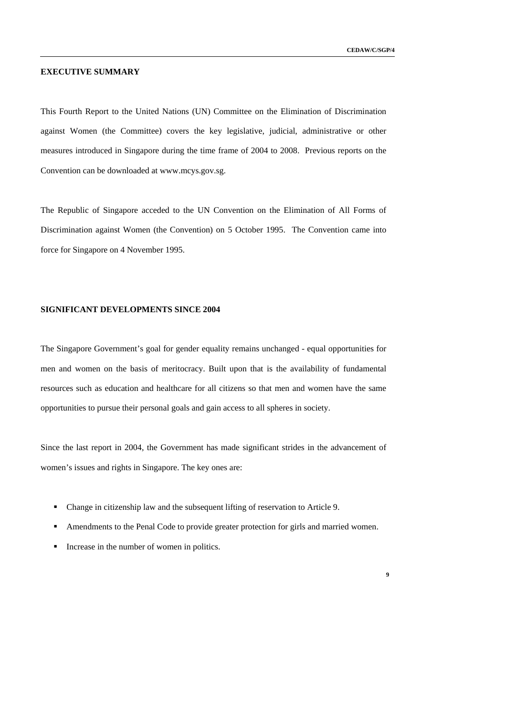#### **EXECUTIVE SUMMARY**

This Fourth Report to the United Nations (UN) Committee on the Elimination of Discrimination against Women (the Committee) covers the key legislative, judicial, administrative or other measures introduced in Singapore during the time frame of 2004 to 2008. Previous reports on the Convention can be downloaded at www.mcys.gov.sg.

The Republic of Singapore acceded to the UN Convention on the Elimination of All Forms of Discrimination against Women (the Convention) on 5 October 1995. The Convention came into force for Singapore on 4 November 1995.

#### **SIGNIFICANT DEVELOPMENTS SINCE 2004**

The Singapore Government's goal for gender equality remains unchanged - equal opportunities for men and women on the basis of meritocracy. Built upon that is the availability of fundamental resources such as education and healthcare for all citizens so that men and women have the same opportunities to pursue their personal goals and gain access to all spheres in society.

Since the last report in 2004, the Government has made significant strides in the advancement of women's issues and rights in Singapore. The key ones are:

- Change in citizenship law and the subsequent lifting of reservation to Article 9.
- Amendments to the Penal Code to provide greater protection for girls and married women.
- Increase in the number of women in politics.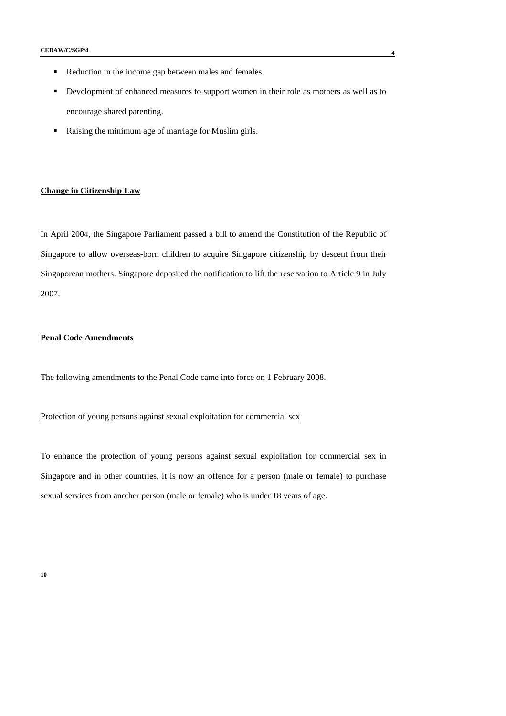- Reduction in the income gap between males and females.
- Development of enhanced measures to support women in their role as mothers as well as to encourage shared parenting.
- Raising the minimum age of marriage for Muslim girls.

#### **Change in Citizenship Law**

In April 2004, the Singapore Parliament passed a bill to amend the Constitution of the Republic of Singapore to allow overseas-born children to acquire Singapore citizenship by descent from their Singaporean mothers. Singapore deposited the notification to lift the reservation to Article 9 in July 2007.

#### **Penal Code Amendments**

The following amendments to the Penal Code came into force on 1 February 2008.

## Protection of young persons against sexual exploitation for commercial sex

To enhance the protection of young persons against sexual exploitation for commercial sex in Singapore and in other countries, it is now an offence for a person (male or female) to purchase sexual services from another person (male or female) who is under 18 years of age.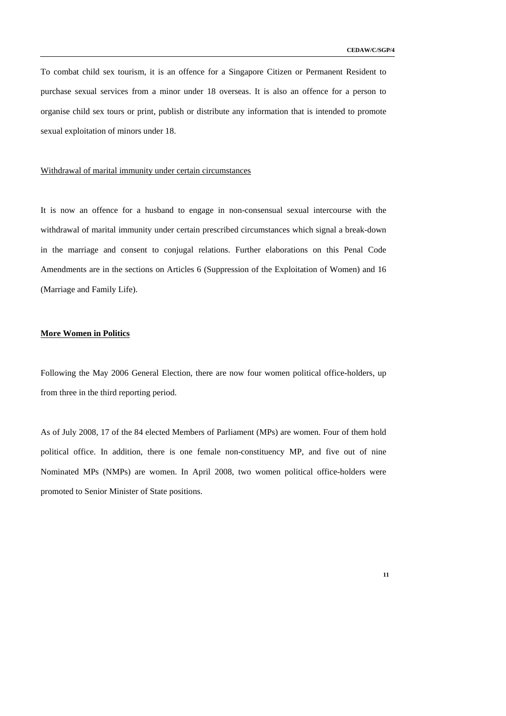To combat child sex tourism, it is an offence for a Singapore Citizen or Permanent Resident to purchase sexual services from a minor under 18 overseas. It is also an offence for a person to organise child sex tours or print, publish or distribute any information that is intended to promote sexual exploitation of minors under 18.

#### Withdrawal of marital immunity under certain circumstances

It is now an offence for a husband to engage in non-consensual sexual intercourse with the withdrawal of marital immunity under certain prescribed circumstances which signal a break-down in the marriage and consent to conjugal relations. Further elaborations on this Penal Code Amendments are in the sections on Articles 6 (Suppression of the Exploitation of Women) and 16 (Marriage and Family Life).

#### **More Women in Politics**

Following the May 2006 General Election, there are now four women political office-holders, up from three in the third reporting period.

As of July 2008, 17 of the 84 elected Members of Parliament (MPs) are women. Four of them hold political office. In addition, there is one female non-constituency MP, and five out of nine Nominated MPs (NMPs) are women. In April 2008, two women political office-holders were promoted to Senior Minister of State positions.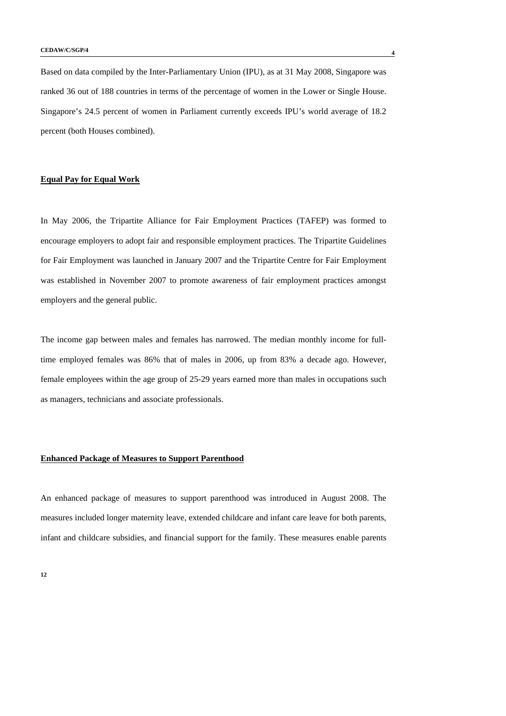Based on data compiled by the Inter-Parliamentary Union (IPU), as at 31 May 2008, Singapore was ranked 36 out of 188 countries in terms of the percentage of women in the Lower or Single House. Singapore's 24.5 percent of women in Parliament currently exceeds IPU's world average of 18.2 percent (both Houses combined).

#### **Equal Pay for Equal Work**

In May 2006, the Tripartite Alliance for Fair Employment Practices (TAFEP) was formed to encourage employers to adopt fair and responsible employment practices. The Tripartite Guidelines for Fair Employment was launched in January 2007 and the Tripartite Centre for Fair Employment was established in November 2007 to promote awareness of fair employment practices amongst employers and the general public.

The income gap between males and females has narrowed. The median monthly income for fulltime employed females was 86% that of males in 2006, up from 83% a decade ago. However, female employees within the age group of 25-29 years earned more than males in occupations such as managers, technicians and associate professionals.

#### **Enhanced Package of Measures to Support Parenthood**

An enhanced package of measures to support parenthood was introduced in August 2008. The measures included longer maternity leave, extended childcare and infant care leave for both parents, infant and childcare subsidies, and financial support for the family. These measures enable parents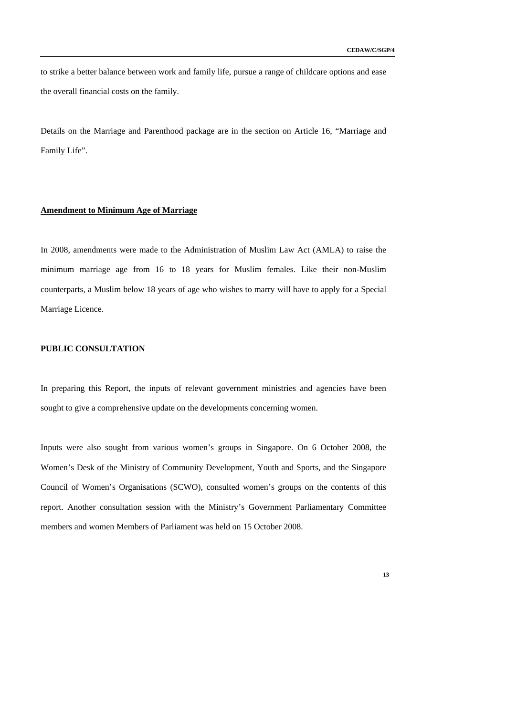to strike a better balance between work and family life, pursue a range of childcare options and ease the overall financial costs on the family.

Details on the Marriage and Parenthood package are in the section on Article 16, "Marriage and Family Life".

#### **Amendment to Minimum Age of Marriage**

In 2008, amendments were made to the Administration of Muslim Law Act (AMLA) to raise the minimum marriage age from 16 to 18 years for Muslim females. Like their non-Muslim counterparts, a Muslim below 18 years of age who wishes to marry will have to apply for a Special Marriage Licence.

## **PUBLIC CONSULTATION**

In preparing this Report, the inputs of relevant government ministries and agencies have been sought to give a comprehensive update on the developments concerning women.

Inputs were also sought from various women's groups in Singapore. On 6 October 2008, the Women's Desk of the Ministry of Community Development, Youth and Sports, and the Singapore Council of Women's Organisations (SCWO), consulted women's groups on the contents of this report. Another consultation session with the Ministry's Government Parliamentary Committee members and women Members of Parliament was held on 15 October 2008.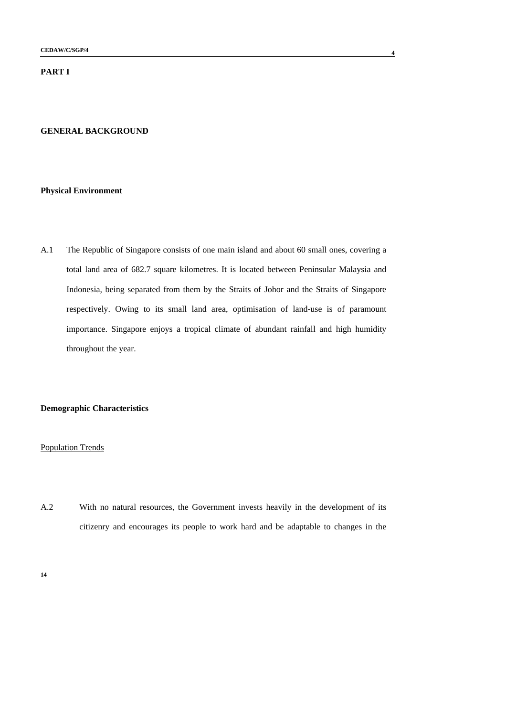## **PART I**

#### **GENERAL BACKGROUND**

#### **Physical Environment**

A.1 The Republic of Singapore consists of one main island and about 60 small ones, covering a total land area of 682.7 square kilometres. It is located between Peninsular Malaysia and Indonesia, being separated from them by the Straits of Johor and the Straits of Singapore respectively. Owing to its small land area, optimisation of land-use is of paramount importance. Singapore enjoys a tropical climate of abundant rainfall and high humidity throughout the year.

### **Demographic Characteristics**

#### Population Trends

A.2 With no natural resources, the Government invests heavily in the development of its citizenry and encourages its people to work hard and be adaptable to changes in the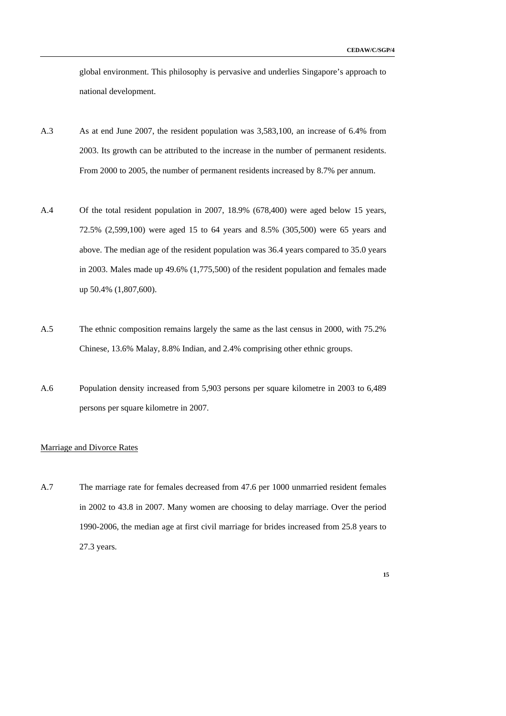global environment. This philosophy is pervasive and underlies Singapore's approach to national development.

- A.3 As at end June 2007, the resident population was 3,583,100, an increase of 6.4% from 2003. Its growth can be attributed to the increase in the number of permanent residents. From 2000 to 2005, the number of permanent residents increased by 8.7% per annum.
- A.4 Of the total resident population in 2007, 18.9% (678,400) were aged below 15 years, 72.5% (2,599,100) were aged 15 to 64 years and 8.5% (305,500) were 65 years and above. The median age of the resident population was 36.4 years compared to 35.0 years in 2003. Males made up 49.6% (1,775,500) of the resident population and females made up 50.4% (1,807,600).
- A.5 The ethnic composition remains largely the same as the last census in 2000, with 75.2% Chinese, 13.6% Malay, 8.8% Indian, and 2.4% comprising other ethnic groups.
- A.6 Population density increased from 5,903 persons per square kilometre in 2003 to 6,489 persons per square kilometre in 2007.

#### Marriage and Divorce Rates

A.7 The marriage rate for females decreased from 47.6 per 1000 unmarried resident females in 2002 to 43.8 in 2007. Many women are choosing to delay marriage. Over the period 1990-2006, the median age at first civil marriage for brides increased from 25.8 years to 27.3 years.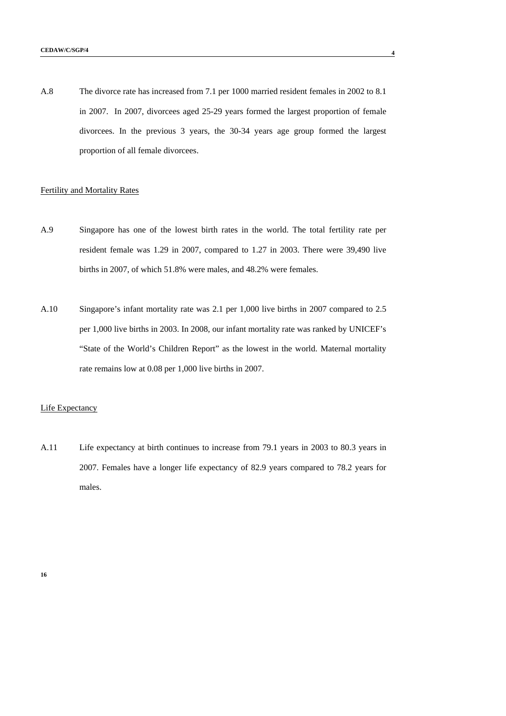A.8 The divorce rate has increased from 7.1 per 1000 married resident females in 2002 to 8.1 in 2007. In 2007, divorcees aged 25-29 years formed the largest proportion of female divorcees. In the previous 3 years, the 30-34 years age group formed the largest proportion of all female divorcees.

#### Fertility and Mortality Rates

- A.9 Singapore has one of the lowest birth rates in the world. The total fertility rate per resident female was 1.29 in 2007, compared to 1.27 in 2003. There were 39,490 live births in 2007, of which 51.8% were males, and 48.2% were females.
- A.10 Singapore's infant mortality rate was 2.1 per 1,000 live births in 2007 compared to 2.5 per 1,000 live births in 2003. In 2008, our infant mortality rate was ranked by UNICEF's "State of the World's Children Report" as the lowest in the world. Maternal mortality rate remains low at 0.08 per 1,000 live births in 2007.

#### Life Expectancy

A.11 Life expectancy at birth continues to increase from 79.1 years in 2003 to 80.3 years in 2007. Females have a longer life expectancy of 82.9 years compared to 78.2 years for males.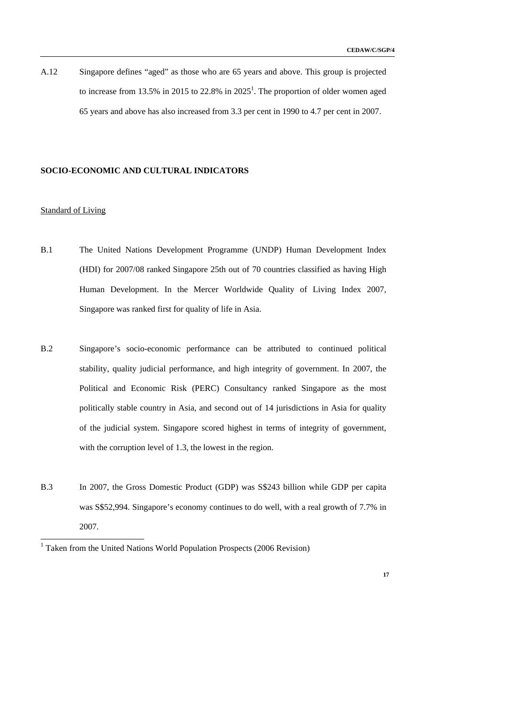A.12 Singapore defines "aged" as those who are 65 years and above. This group is projected to increase from 13.5% in 2015 to 22.8% in  $2025<sup>1</sup>$ . The proportion of older women aged 65 years and above has also increased from 3.3 per cent in 1990 to 4.7 per cent in 2007.

#### **SOCIO-ECONOMIC AND CULTURAL INDICATORS**

#### Standard of Living

-

- B.1 The United Nations Development Programme (UNDP) Human Development Index (HDI) for 2007/08 ranked Singapore 25th out of 70 countries classified as having High Human Development. In the Mercer Worldwide Quality of Living Index 2007, Singapore was ranked first for quality of life in Asia.
- B.2 Singapore's socio-economic performance can be attributed to continued political stability, quality judicial performance, and high integrity of government. In 2007, the Political and Economic Risk (PERC) Consultancy ranked Singapore as the most politically stable country in Asia, and second out of 14 jurisdictions in Asia for quality of the judicial system. Singapore scored highest in terms of integrity of government, with the corruption level of 1.3, the lowest in the region.
- B.3 In 2007, the Gross Domestic Product (GDP) was S\$243 billion while GDP per capita was S\$52,994. Singapore's economy continues to do well, with a real growth of 7.7% in 2007.

<sup>&</sup>lt;sup>1</sup> Taken from the United Nations World Population Prospects (2006 Revision)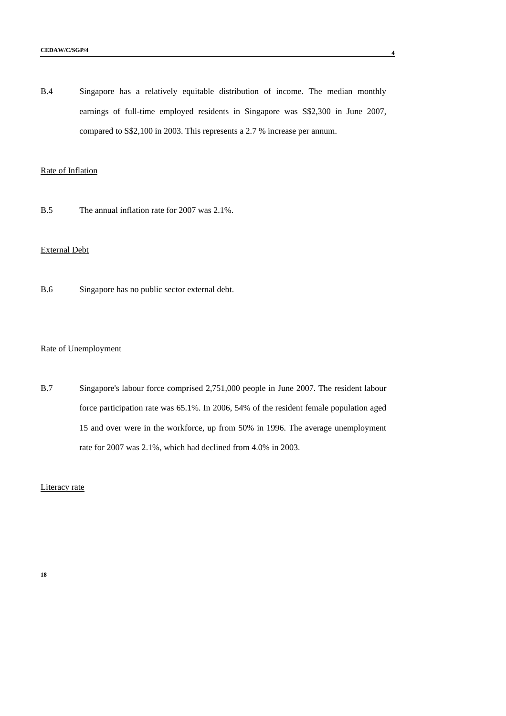B.4 Singapore has a relatively equitable distribution of income. The median monthly earnings of full-time employed residents in Singapore was S\$2,300 in June 2007, compared to S\$2,100 in 2003. This represents a 2.7 % increase per annum.

#### Rate of Inflation

B.5 The annual inflation rate for 2007 was 2.1%.

## External Debt

B.6 Singapore has no public sector external debt.

#### Rate of Unemployment

B.7 Singapore's labour force comprised 2,751,000 people in June 2007. The resident labour force participation rate was 65.1%. In 2006, 54% of the resident female population aged 15 and over were in the workforce, up from 50% in 1996. The average unemployment rate for 2007 was 2.1%, which had declined from 4.0% in 2003.

Literacy rate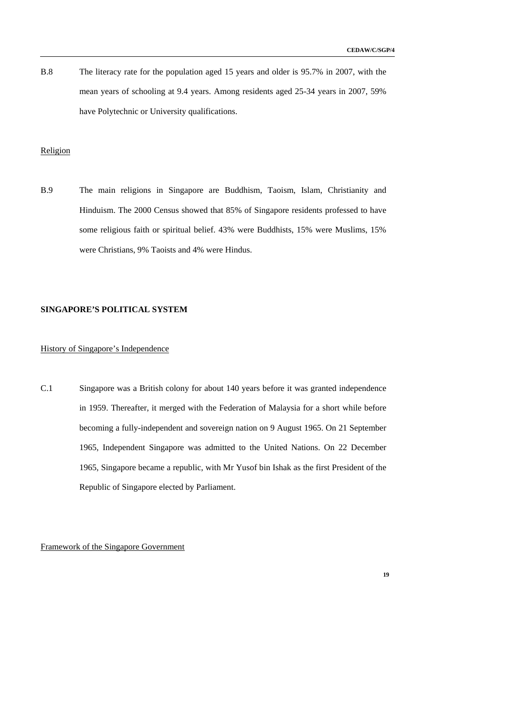B.8 The literacy rate for the population aged 15 years and older is 95.7% in 2007, with the mean years of schooling at 9.4 years. Among residents aged 25-34 years in 2007, 59% have Polytechnic or University qualifications.

## Religion

B.9 The main religions in Singapore are Buddhism, Taoism, Islam, Christianity and Hinduism. The 2000 Census showed that 85% of Singapore residents professed to have some religious faith or spiritual belief. 43% were Buddhists, 15% were Muslims, 15% were Christians, 9% Taoists and 4% were Hindus.

#### **SINGAPORE'S POLITICAL SYSTEM**

## History of Singapore's Independence

C.1 Singapore was a British colony for about 140 years before it was granted independence in 1959. Thereafter, it merged with the Federation of Malaysia for a short while before becoming a fully-independent and sovereign nation on 9 August 1965. On 21 September 1965, Independent Singapore was admitted to the United Nations. On 22 December 1965, Singapore became a republic, with Mr Yusof bin Ishak as the first President of the Republic of Singapore elected by Parliament.

Framework of the Singapore Government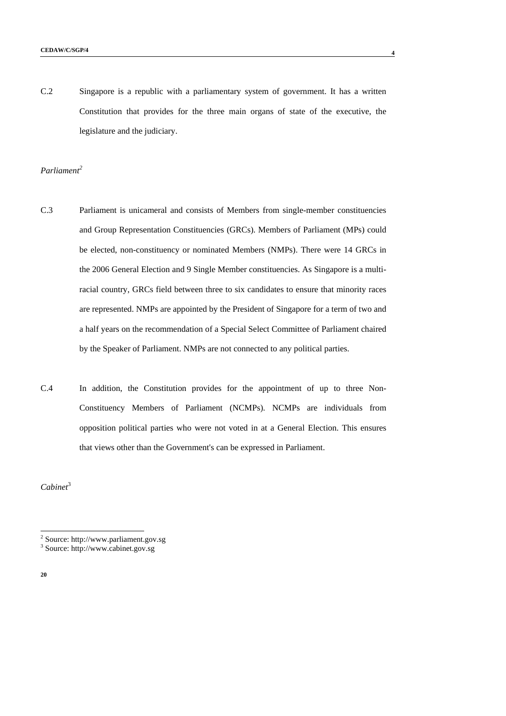C.2 Singapore is a republic with a parliamentary system of government. It has a written Constitution that provides for the three main organs of state of the executive, the legislature and the judiciary.

#### *Parliament2*

- C.3 Parliament is unicameral and consists of Members from single-member constituencies and Group Representation Constituencies (GRCs). Members of Parliament (MPs) could be elected, non-constituency or nominated Members (NMPs). There were 14 GRCs in the 2006 General Election and 9 Single Member constituencies. As Singapore is a multiracial country, GRCs field between three to six candidates to ensure that minority races are represented. NMPs are appointed by the President of Singapore for a term of two and a half years on the recommendation of a Special Select Committee of Parliament chaired by the Speaker of Parliament. NMPs are not connected to any political parties.
- C.4 In addition, the Constitution provides for the appointment of up to three Non-Constituency Members of Parliament (NCMPs). NCMPs are individuals from opposition political parties who were not voted in at a General Election. This ensures that views other than the Government's can be expressed in Parliament.

*Cabinet*<sup>3</sup>

**20** 

-

<sup>2</sup> Source: http://www.parliament.gov.sg

<sup>3</sup> Source: http://www.cabinet.gov.sg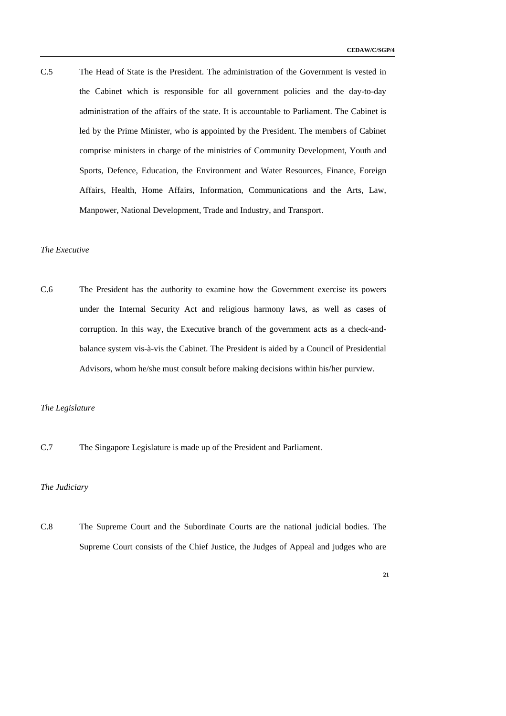C.5 The Head of State is the President. The administration of the Government is vested in the Cabinet which is responsible for all government policies and the day-to-day administration of the affairs of the state. It is accountable to Parliament. The Cabinet is led by the Prime Minister, who is appointed by the President. The members of Cabinet comprise ministers in charge of the ministries of Community Development, Youth and Sports, Defence, Education, the Environment and Water Resources, Finance, Foreign Affairs, Health, Home Affairs, Information, Communications and the Arts, Law, Manpower, National Development, Trade and Industry, and Transport.

#### *The Executive*

C.6 The President has the authority to examine how the Government exercise its powers under the Internal Security Act and religious harmony laws, as well as cases of corruption. In this way, the Executive branch of the government acts as a check-andbalance system vis-à-vis the Cabinet. The President is aided by a Council of Presidential Advisors, whom he/she must consult before making decisions within his/her purview.

#### *The Legislature*

C.7 The Singapore Legislature is made up of the President and Parliament.

### *The Judiciary*

C.8 The Supreme Court and the Subordinate Courts are the national judicial bodies. The Supreme Court consists of the Chief Justice, the Judges of Appeal and judges who are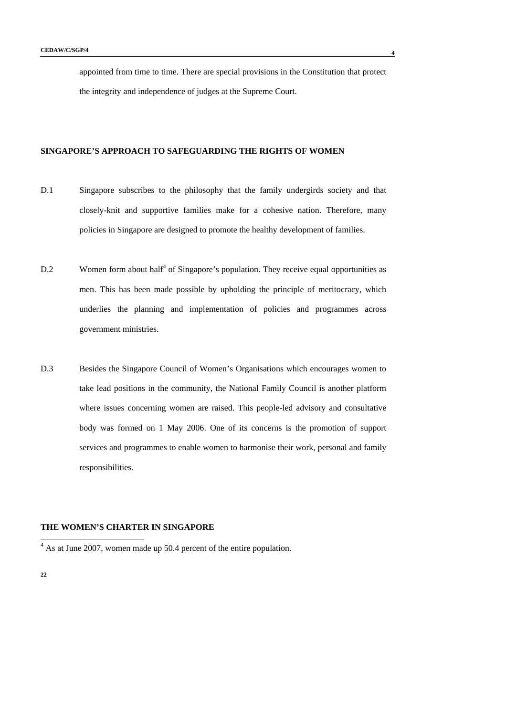appointed from time to time. There are special provisions in the Constitution that protect the integrity and independence of judges at the Supreme Court.

## **SINGAPORE'S APPROACH TO SAFEGUARDING THE RIGHTS OF WOMEN**

- D.1 Singapore subscribes to the philosophy that the family undergirds society and that closely-knit and supportive families make for a cohesive nation. Therefore, many policies in Singapore are designed to promote the healthy development of families.
- $D.2$  Women form about half<sup>4</sup> of Singapore's population. They receive equal opportunities as men. This has been made possible by upholding the principle of meritocracy, which underlies the planning and implementation of policies and programmes across government ministries.
- D.3 Besides the Singapore Council of Women's Organisations which encourages women to take lead positions in the community, the National Family Council is another platform where issues concerning women are raised. This people-led advisory and consultative body was formed on 1 May 2006. One of its concerns is the promotion of support services and programmes to enable women to harmonise their work, personal and family responsibilities.

### **THE WOMEN'S CHARTER IN SINGAPORE**

<sup>&</sup>lt;sup>4</sup> As at June 2007, women made up 50.4 percent of the entire population.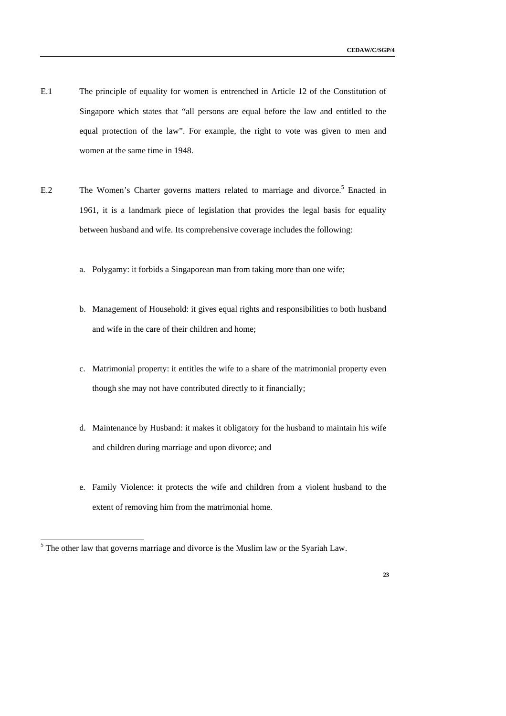- E.1 The principle of equality for women is entrenched in Article 12 of the Constitution of Singapore which states that "all persons are equal before the law and entitled to the equal protection of the law". For example, the right to vote was given to men and women at the same time in 1948.
- E.2 The Women's Charter governs matters related to marriage and divorce.<sup>5</sup> Enacted in 1961, it is a landmark piece of legislation that provides the legal basis for equality between husband and wife. Its comprehensive coverage includes the following:
	- a. Polygamy: it forbids a Singaporean man from taking more than one wife;
	- b. Management of Household: it gives equal rights and responsibilities to both husband and wife in the care of their children and home;
	- c. Matrimonial property: it entitles the wife to a share of the matrimonial property even though she may not have contributed directly to it financially;
	- d. Maintenance by Husband: it makes it obligatory for the husband to maintain his wife and children during marriage and upon divorce; and
	- e. Family Violence: it protects the wife and children from a violent husband to the extent of removing him from the matrimonial home.

<sup>&</sup>lt;sup>5</sup> The other law that governs marriage and divorce is the Muslim law or the Syariah Law.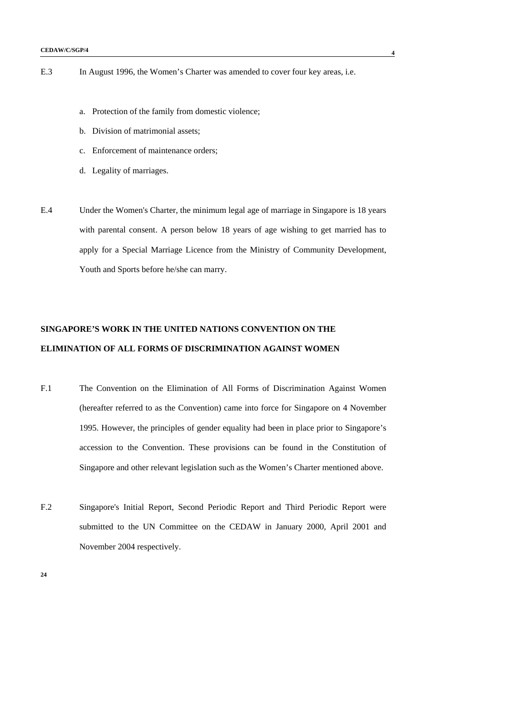- a. Protection of the family from domestic violence;
- b. Division of matrimonial assets;
- c. Enforcement of maintenance orders;
- d. Legality of marriages.
- E.4 Under the Women's Charter, the minimum legal age of marriage in Singapore is 18 years with parental consent. A person below 18 years of age wishing to get married has to apply for a Special Marriage Licence from the Ministry of Community Development, Youth and Sports before he/she can marry.

## **SINGAPORE'S WORK IN THE UNITED NATIONS CONVENTION ON THE ELIMINATION OF ALL FORMS OF DISCRIMINATION AGAINST WOMEN**

- F.1 The Convention on the Elimination of All Forms of Discrimination Against Women (hereafter referred to as the Convention) came into force for Singapore on 4 November 1995. However, the principles of gender equality had been in place prior to Singapore's accession to the Convention. These provisions can be found in the Constitution of Singapore and other relevant legislation such as the Women's Charter mentioned above.
- F.2 Singapore's Initial Report, Second Periodic Report and Third Periodic Report were submitted to the UN Committee on the CEDAW in January 2000, April 2001 and November 2004 respectively.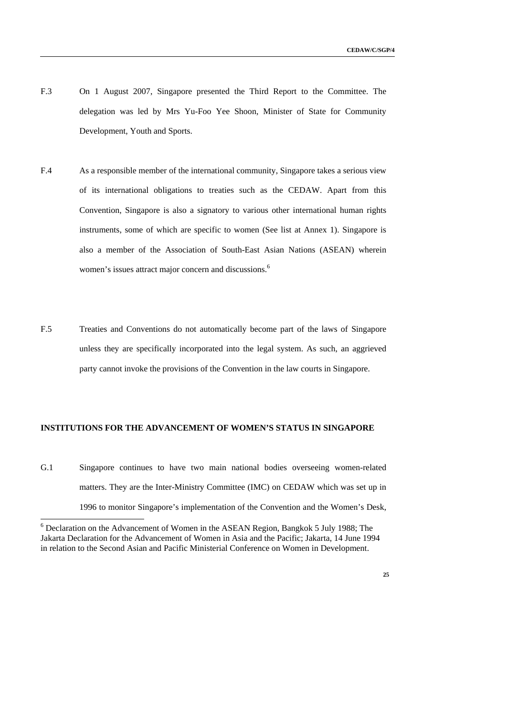- F.3 On 1 August 2007, Singapore presented the Third Report to the Committee. The delegation was led by Mrs Yu-Foo Yee Shoon, Minister of State for Community Development, Youth and Sports.
- F.4 As a responsible member of the international community, Singapore takes a serious view of its international obligations to treaties such as the CEDAW. Apart from this Convention, Singapore is also a signatory to various other international human rights instruments, some of which are specific to women (See list at Annex 1). Singapore is also a member of the Association of South-East Asian Nations (ASEAN) wherein women's issues attract major concern and discussions.<sup>6</sup>
- F.5 Treaties and Conventions do not automatically become part of the laws of Singapore unless they are specifically incorporated into the legal system. As such, an aggrieved party cannot invoke the provisions of the Convention in the law courts in Singapore.

#### **INSTITUTIONS FOR THE ADVANCEMENT OF WOMEN'S STATUS IN SINGAPORE**

G.1 Singapore continues to have two main national bodies overseeing women-related matters. They are the Inter-Ministry Committee (IMC) on CEDAW which was set up in 1996 to monitor Singapore's implementation of the Convention and the Women's Desk,

-

<sup>&</sup>lt;sup>6</sup> Declaration on the Advancement of Women in the ASEAN Region, Bangkok 5 July 1988; The Jakarta Declaration for the Advancement of Women in Asia and the Pacific; Jakarta, 14 June 1994 in relation to the Second Asian and Pacific Ministerial Conference on Women in Development.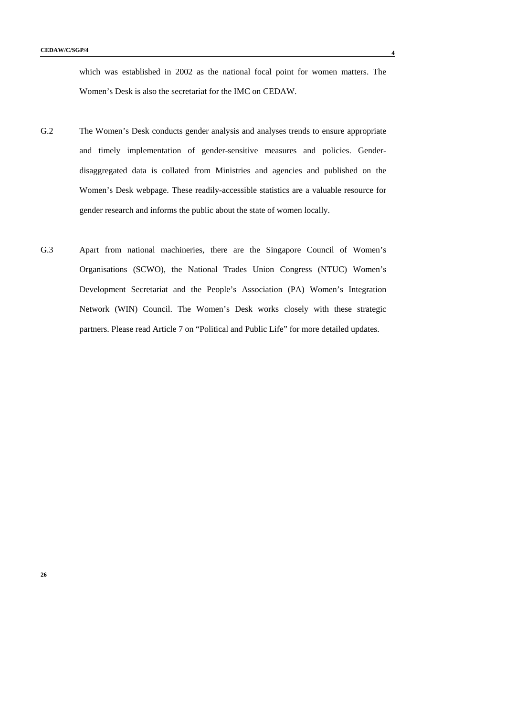which was established in 2002 as the national focal point for women matters. The Women's Desk is also the secretariat for the IMC on CEDAW.

- G.2 The Women's Desk conducts gender analysis and analyses trends to ensure appropriate and timely implementation of gender-sensitive measures and policies. Genderdisaggregated data is collated from Ministries and agencies and published on the Women's Desk webpage. These readily-accessible statistics are a valuable resource for gender research and informs the public about the state of women locally.
- G.3 Apart from national machineries, there are the Singapore Council of Women's Organisations (SCWO), the National Trades Union Congress (NTUC) Women's Development Secretariat and the People's Association (PA) Women's Integration Network (WIN) Council. The Women's Desk works closely with these strategic partners. Please read Article 7 on "Political and Public Life" for more detailed updates.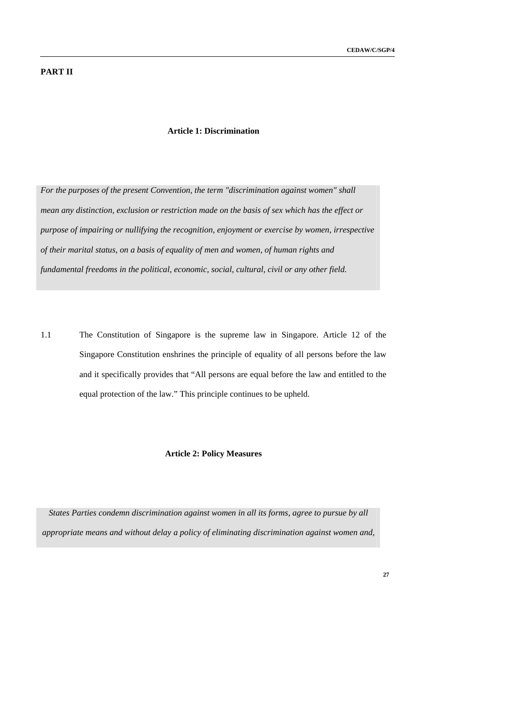## **PART II**

#### **Article 1: Discrimination**

*For the purposes of the present Convention, the term "discrimination against women" shall mean any distinction, exclusion or restriction made on the basis of sex which has the effect or purpose of impairing or nullifying the recognition, enjoyment or exercise by women, irrespective of their marital status, on a basis of equality of men and women, of human rights and fundamental freedoms in the political, economic, social, cultural, civil or any other field.* 

1.1 The Constitution of Singapore is the supreme law in Singapore. Article 12 of the Singapore Constitution enshrines the principle of equality of all persons before the law and it specifically provides that "All persons are equal before the law and entitled to the equal protection of the law." This principle continues to be upheld.

## **Article 2: Policy Measures**

*States Parties condemn discrimination against women in all its forms, agree to pursue by all appropriate means and without delay a policy of eliminating discrimination against women and,*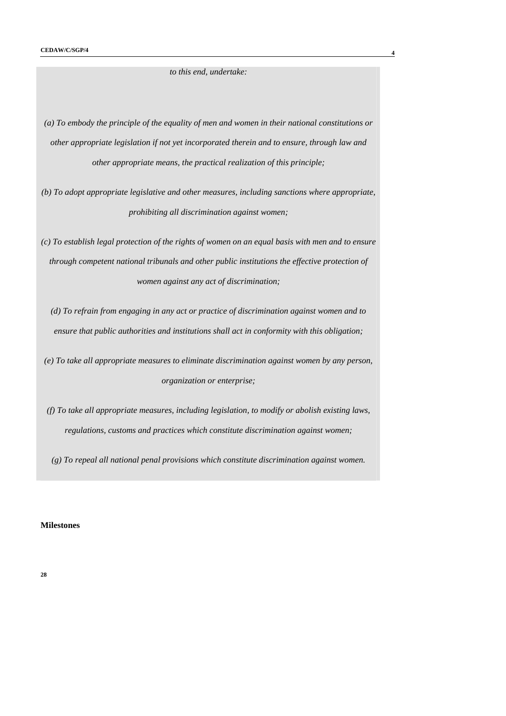*to this end, undertake:* 

*(a) To embody the principle of the equality of men and women in their national constitutions or other appropriate legislation if not yet incorporated therein and to ensure, through law and other appropriate means, the practical realization of this principle;* 

*(b) To adopt appropriate legislative and other measures, including sanctions where appropriate, prohibiting all discrimination against women;* 

*(c) To establish legal protection of the rights of women on an equal basis with men and to ensure through competent national tribunals and other public institutions the effective protection of women against any act of discrimination;* 

*(d) To refrain from engaging in any act or practice of discrimination against women and to ensure that public authorities and institutions shall act in conformity with this obligation;* 

*(e) To take all appropriate measures to eliminate discrimination against women by any person, organization or enterprise;* 

*(f) To take all appropriate measures, including legislation, to modify or abolish existing laws, regulations, customs and practices which constitute discrimination against women;* 

*(g) To repeal all national penal provisions which constitute discrimination against women.* 

#### **Milestones**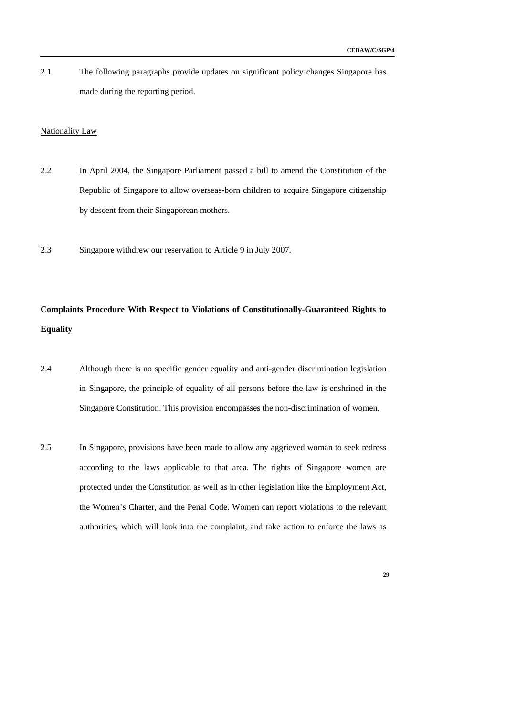2.1 The following paragraphs provide updates on significant policy changes Singapore has made during the reporting period.

#### Nationality Law

- 2.2 In April 2004, the Singapore Parliament passed a bill to amend the Constitution of the Republic of Singapore to allow overseas-born children to acquire Singapore citizenship by descent from their Singaporean mothers.
- 2.3 Singapore withdrew our reservation to Article 9 in July 2007.

## **Complaints Procedure With Respect to Violations of Constitutionally-Guaranteed Rights to Equality**

- 2.4 Although there is no specific gender equality and anti-gender discrimination legislation in Singapore, the principle of equality of all persons before the law is enshrined in the Singapore Constitution. This provision encompasses the non-discrimination of women.
- 2.5 In Singapore, provisions have been made to allow any aggrieved woman to seek redress according to the laws applicable to that area. The rights of Singapore women are protected under the Constitution as well as in other legislation like the Employment Act, the Women's Charter, and the Penal Code. Women can report violations to the relevant authorities, which will look into the complaint, and take action to enforce the laws as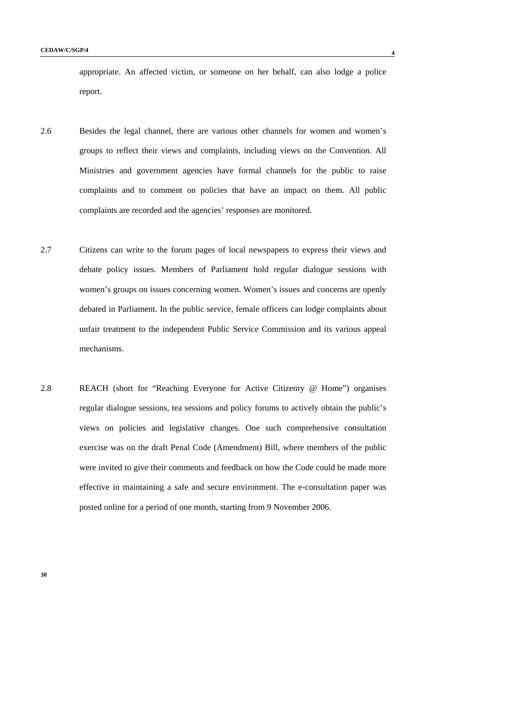appropriate. An affected victim, or someone on her behalf, can also lodge a police report.

- 2.6 Besides the legal channel, there are various other channels for women and women's groups to reflect their views and complaints, including views on the Convention. All Ministries and government agencies have formal channels for the public to raise complaints and to comment on policies that have an impact on them. All public complaints are recorded and the agencies' responses are monitored.
- 2.7 Citizens can write to the forum pages of local newspapers to express their views and debate policy issues. Members of Parliament hold regular dialogue sessions with women's groups on issues concerning women. Women's issues and concerns are openly debated in Parliament. In the public service, female officers can lodge complaints about unfair treatment to the independent Public Service Commission and its various appeal mechanisms.
- 2.8 REACH (short for "Reaching Everyone for Active Citizenry @ Home") organises regular dialogue sessions, tea sessions and policy forums to actively obtain the public's views on policies and legislative changes. One such comprehensive consultation exercise was on the draft Penal Code (Amendment) Bill, where members of the public were invited to give their comments and feedback on how the Code could be made more effective in maintaining a safe and secure environment. The e-consultation paper was posted online for a period of one month, starting from 9 November 2006.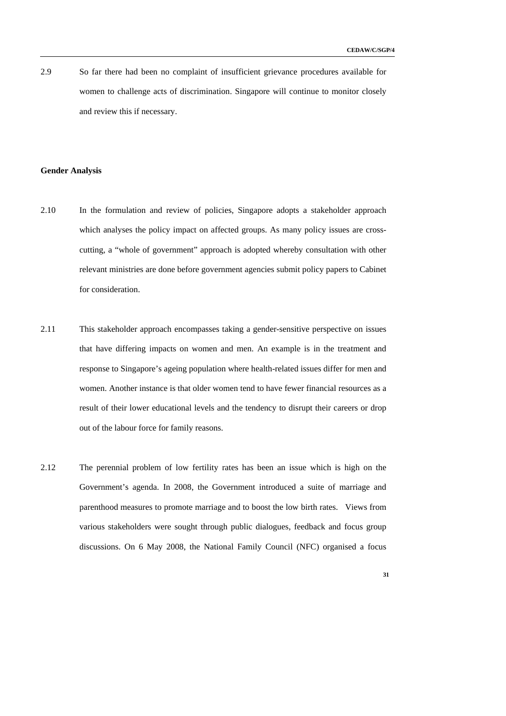2.9 So far there had been no complaint of insufficient grievance procedures available for women to challenge acts of discrimination. Singapore will continue to monitor closely and review this if necessary.

#### **Gender Analysis**

- 2.10 In the formulation and review of policies, Singapore adopts a stakeholder approach which analyses the policy impact on affected groups. As many policy issues are crosscutting, a "whole of government" approach is adopted whereby consultation with other relevant ministries are done before government agencies submit policy papers to Cabinet for consideration.
- 2.11 This stakeholder approach encompasses taking a gender-sensitive perspective on issues that have differing impacts on women and men. An example is in the treatment and response to Singapore's ageing population where health-related issues differ for men and women. Another instance is that older women tend to have fewer financial resources as a result of their lower educational levels and the tendency to disrupt their careers or drop out of the labour force for family reasons.
- 2.12 The perennial problem of low fertility rates has been an issue which is high on the Government's agenda. In 2008, the Government introduced a suite of marriage and parenthood measures to promote marriage and to boost the low birth rates. Views from various stakeholders were sought through public dialogues, feedback and focus group discussions. On 6 May 2008, the National Family Council (NFC) organised a focus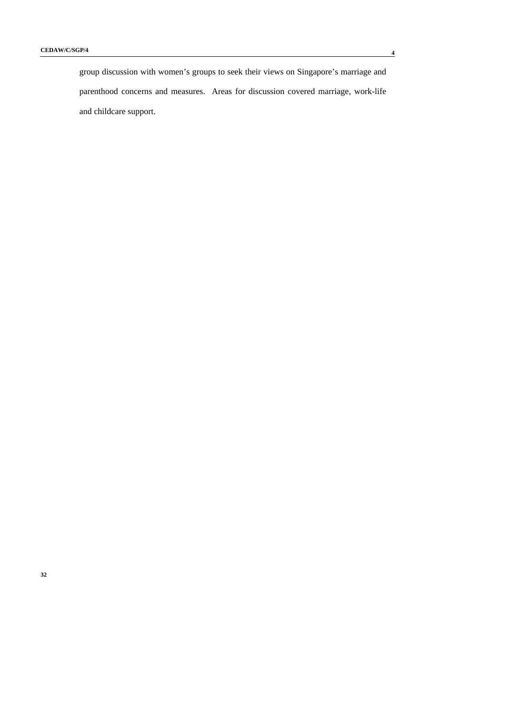group discussion with women's groups to seek their views on Singapore's marriage and parenthood concerns and measures. Areas for discussion covered marriage, work-life and childcare support.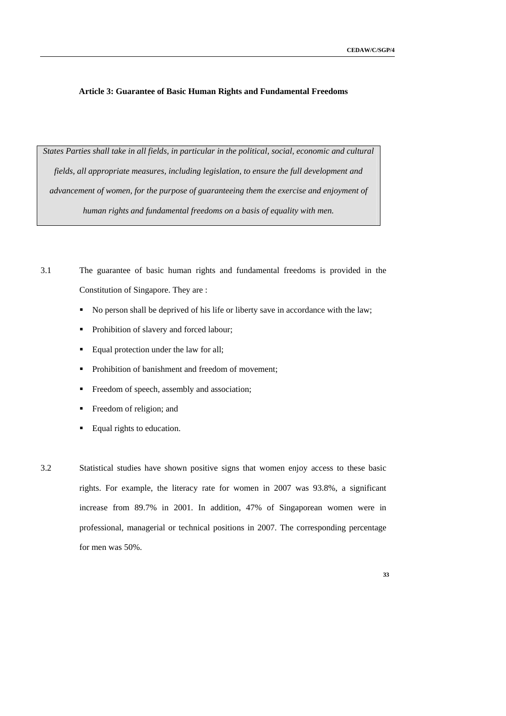#### **Article 3: Guarantee of Basic Human Rights and Fundamental Freedoms**

*States Parties shall take in all fields, in particular in the political, social, economic and cultural fields, all appropriate measures, including legislation, to ensure the full development and advancement of women, for the purpose of guaranteeing them the exercise and enjoyment of human rights and fundamental freedoms on a basis of equality with men.* 

3.1 The guarantee of basic human rights and fundamental freedoms is provided in the Constitution of Singapore. They are :

- No person shall be deprived of his life or liberty save in accordance with the law;
- Prohibition of slavery and forced labour;
- **Equal protection under the law for all;**
- Prohibition of banishment and freedom of movement;
- Freedom of speech, assembly and association;
- Freedom of religion; and
- Equal rights to education.
- 3.2 Statistical studies have shown positive signs that women enjoy access to these basic rights. For example, the literacy rate for women in 2007 was 93.8%, a significant increase from 89.7% in 2001. In addition, 47% of Singaporean women were in professional, managerial or technical positions in 2007. The corresponding percentage for men was 50%.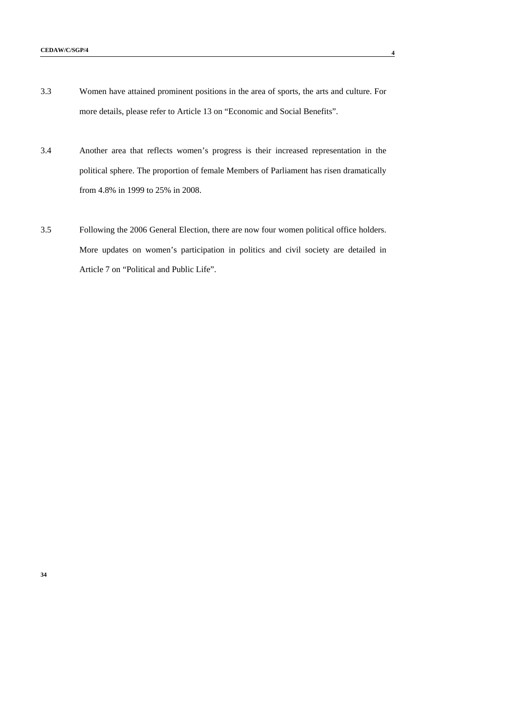- 3.3 Women have attained prominent positions in the area of sports, the arts and culture. For more details, please refer to Article 13 on "Economic and Social Benefits".
- 3.4 Another area that reflects women's progress is their increased representation in the political sphere. The proportion of female Members of Parliament has risen dramatically from 4.8% in 1999 to 25% in 2008.
- 3.5 Following the 2006 General Election, there are now four women political office holders. More updates on women's participation in politics and civil society are detailed in Article 7 on "Political and Public Life".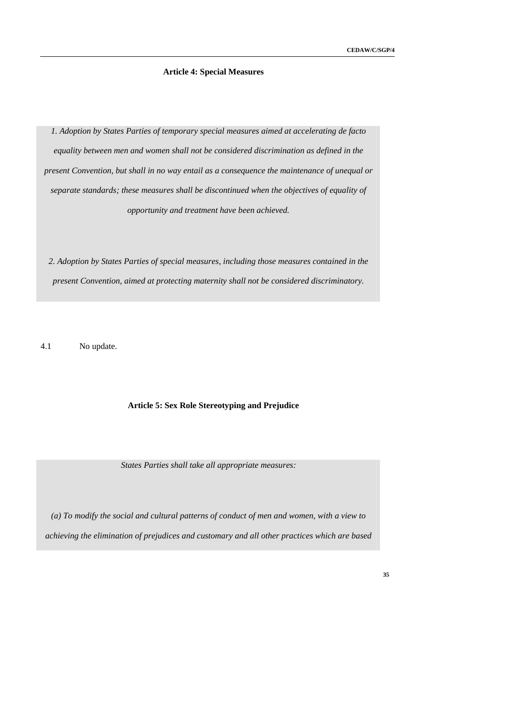# **Article 4: Special Measures**

*1. Adoption by States Parties of temporary special measures aimed at accelerating de facto equality between men and women shall not be considered discrimination as defined in the present Convention, but shall in no way entail as a consequence the maintenance of unequal or separate standards; these measures shall be discontinued when the objectives of equality of opportunity and treatment have been achieved.* 

*2. Adoption by States Parties of special measures, including those measures contained in the present Convention, aimed at protecting maternity shall not be considered discriminatory.* 

4.1 No update.

# **Article 5: Sex Role Stereotyping and Prejudice**

*States Parties shall take all appropriate measures:* 

*(a) To modify the social and cultural patterns of conduct of men and women, with a view to achieving the elimination of prejudices and customary and all other practices which are based*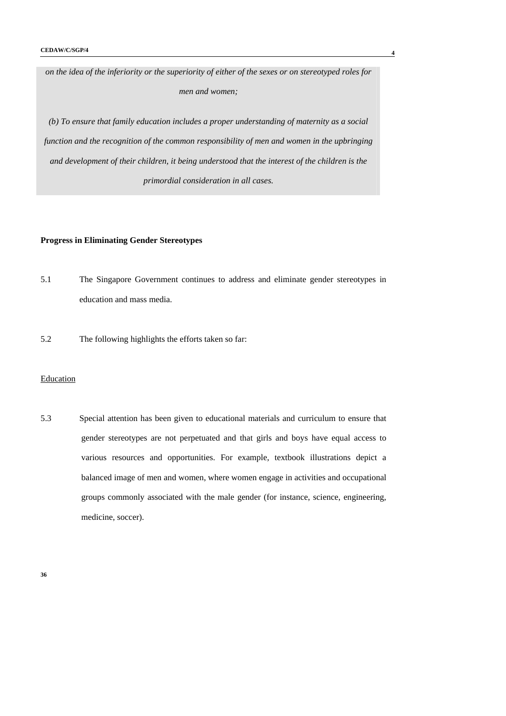*on the idea of the inferiority or the superiority of either of the sexes or on stereotyped roles for men and women;* 

*(b) To ensure that family education includes a proper understanding of maternity as a social function and the recognition of the common responsibility of men and women in the upbringing and development of their children, it being understood that the interest of the children is the primordial consideration in all cases.* 

# **Progress in Eliminating Gender Stereotypes**

- 5.1 The Singapore Government continues to address and eliminate gender stereotypes in education and mass media.
- 5.2 The following highlights the efforts taken so far:

# Education

5.3 Special attention has been given to educational materials and curriculum to ensure that gender stereotypes are not perpetuated and that girls and boys have equal access to various resources and opportunities. For example, textbook illustrations depict a balanced image of men and women, where women engage in activities and occupational groups commonly associated with the male gender (for instance, science, engineering, medicine, soccer).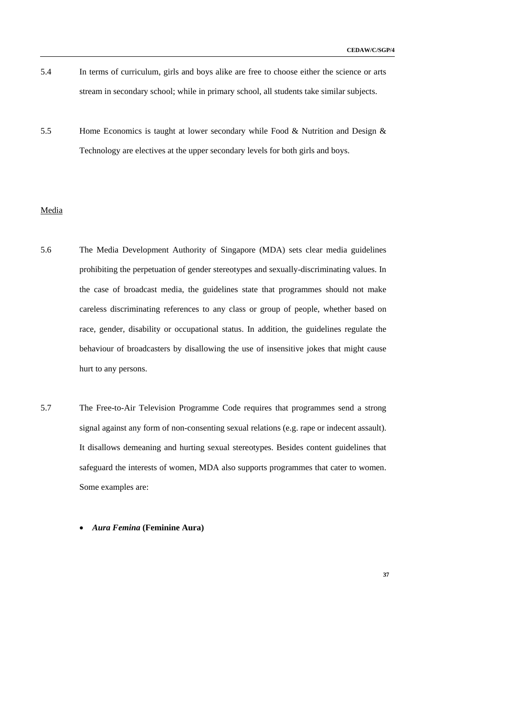- 5.4 In terms of curriculum, girls and boys alike are free to choose either the science or arts stream in secondary school; while in primary school, all students take similar subjects.
- 5.5 Home Economics is taught at lower secondary while Food & Nutrition and Design & Technology are electives at the upper secondary levels for both girls and boys.

# Media

- 5.6 The Media Development Authority of Singapore (MDA) sets clear media guidelines prohibiting the perpetuation of gender stereotypes and sexually-discriminating values. In the case of broadcast media, the guidelines state that programmes should not make careless discriminating references to any class or group of people, whether based on race, gender, disability or occupational status. In addition, the guidelines regulate the behaviour of broadcasters by disallowing the use of insensitive jokes that might cause hurt to any persons.
- 5.7 The Free-to-Air Television Programme Code requires that programmes send a strong signal against any form of non-consenting sexual relations (e.g. rape or indecent assault). It disallows demeaning and hurting sexual stereotypes. Besides content guidelines that safeguard the interests of women, MDA also supports programmes that cater to women. Some examples are:
	- *Aura Femina* **(Feminine Aura)**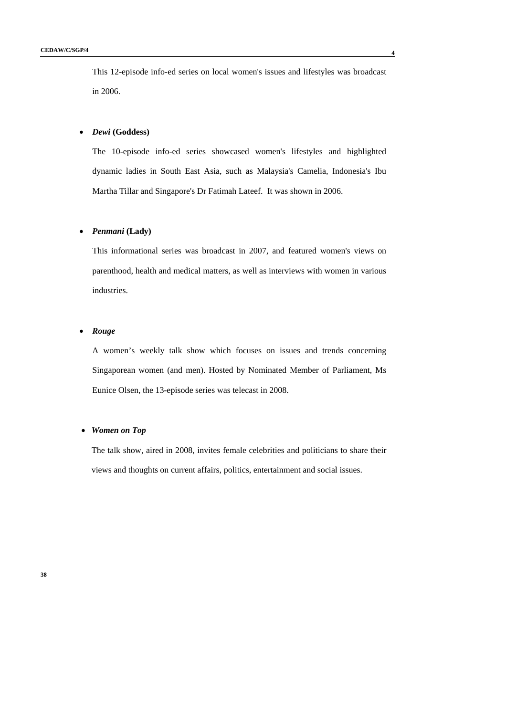This 12-episode info-ed series on local women's issues and lifestyles was broadcast in 2006.

# • *Dewi* **(Goddess)**

The 10-episode info-ed series showcased women's lifestyles and highlighted dynamic ladies in South East Asia, such as Malaysia's Camelia, Indonesia's Ibu Martha Tillar and Singapore's Dr Fatimah Lateef. It was shown in 2006.

# • *Penmani* **(Lady)**

This informational series was broadcast in 2007, and featured women's views on parenthood, health and medical matters, as well as interviews with women in various industries.

### • *Rouge*

A women's weekly talk show which focuses on issues and trends concerning Singaporean women (and men). Hosted by Nominated Member of Parliament, Ms Eunice Olsen, the 13-episode series was telecast in 2008.

### • *Women on Top*

The talk show, aired in 2008, invites female celebrities and politicians to share their views and thoughts on current affairs, politics, entertainment and social issues.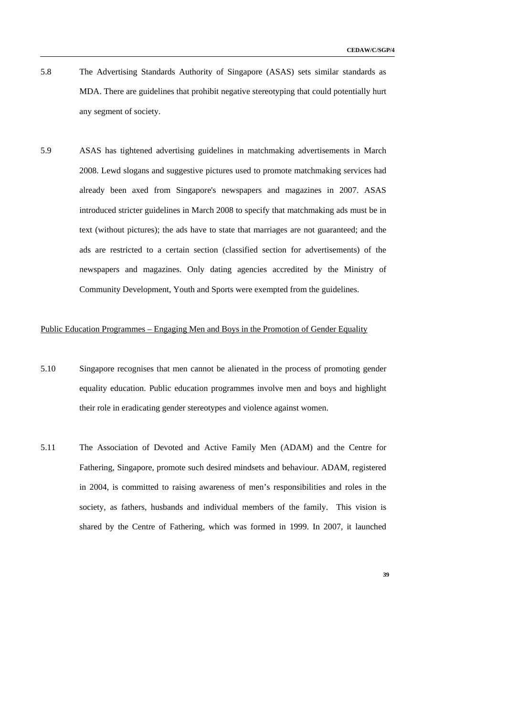- 5.8 The Advertising Standards Authority of Singapore (ASAS) sets similar standards as MDA. There are guidelines that prohibit negative stereotyping that could potentially hurt any segment of society.
- 5.9 ASAS has tightened advertising guidelines in matchmaking advertisements in March 2008. Lewd slogans and suggestive pictures used to promote matchmaking services had already been axed from Singapore's newspapers and magazines in 2007. ASAS introduced stricter guidelines in March 2008 to specify that matchmaking ads must be in text (without pictures); the ads have to state that marriages are not guaranteed; and the ads are restricted to a certain section (classified section for advertisements) of the newspapers and magazines. Only dating agencies accredited by the Ministry of Community Development, Youth and Sports were exempted from the guidelines.

## Public Education Programmes – Engaging Men and Boys in the Promotion of Gender Equality

- 5.10 Singapore recognises that men cannot be alienated in the process of promoting gender equality education. Public education programmes involve men and boys and highlight their role in eradicating gender stereotypes and violence against women.
- 5.11 The Association of Devoted and Active Family Men (ADAM) and the Centre for Fathering, Singapore, promote such desired mindsets and behaviour. ADAM, registered in 2004, is committed to raising awareness of men's responsibilities and roles in the society, as fathers, husbands and individual members of the family. This vision is shared by the Centre of Fathering, which was formed in 1999. In 2007, it launched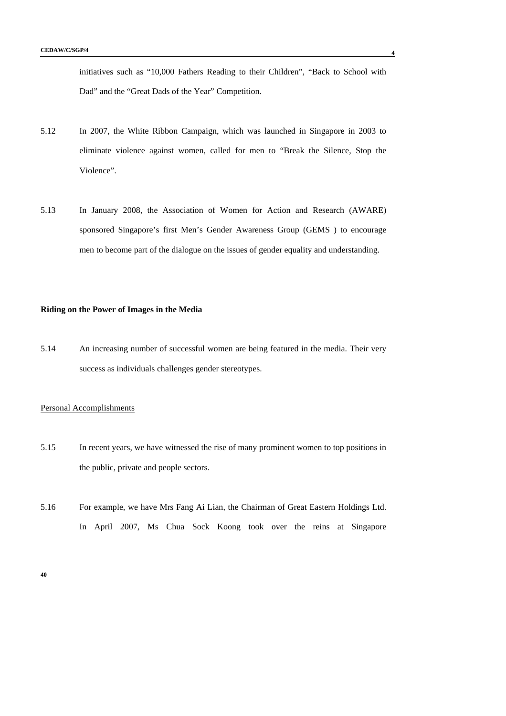initiatives such as "10,000 Fathers Reading to their Children", "Back to School with Dad" and the "Great Dads of the Year" Competition.

- 5.12 In 2007, the White Ribbon Campaign, which was launched in Singapore in 2003 to eliminate violence against women, called for men to "Break the Silence, Stop the Violence".
- 5.13 In January 2008, the Association of Women for Action and Research (AWARE) sponsored Singapore's first Men's Gender Awareness Group (GEMS ) to encourage men to become part of the dialogue on the issues of gender equality and understanding.

## **Riding on the Power of Images in the Media**

5.14 An increasing number of successful women are being featured in the media. Their very success as individuals challenges gender stereotypes.

# Personal Accomplishments

- 5.15 In recent years, we have witnessed the rise of many prominent women to top positions in the public, private and people sectors.
- 5.16 For example, we have Mrs Fang Ai Lian, the Chairman of Great Eastern Holdings Ltd. In April 2007, Ms Chua Sock Koong took over the reins at Singapore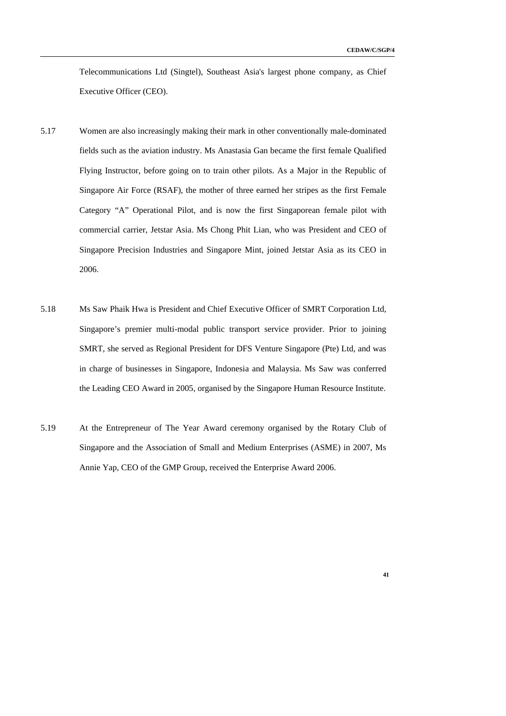Telecommunications Ltd (Singtel), Southeast Asia's largest phone company, as Chief Executive Officer (CEO).

- 5.17 Women are also increasingly making their mark in other conventionally male-dominated fields such as the aviation industry. Ms Anastasia Gan became the first female Qualified Flying Instructor, before going on to train other pilots. As a Major in the Republic of Singapore Air Force (RSAF), the mother of three earned her stripes as the first Female Category "A" Operational Pilot, and is now the first Singaporean female pilot with commercial carrier, Jetstar Asia. Ms Chong Phit Lian, who was President and CEO of Singapore Precision Industries and Singapore Mint, joined Jetstar Asia as its CEO in 2006.
- 5.18 Ms Saw Phaik Hwa is President and Chief Executive Officer of SMRT Corporation Ltd, Singapore's premier multi-modal public transport service provider. Prior to joining SMRT, she served as Regional President for DFS Venture Singapore (Pte) Ltd, and was in charge of businesses in Singapore, Indonesia and Malaysia. Ms Saw was conferred the Leading CEO Award in 2005, organised by the Singapore Human Resource Institute.
- 5.19 At the Entrepreneur of The Year Award ceremony organised by the Rotary Club of Singapore and the Association of Small and Medium Enterprises (ASME) in 2007, Ms Annie Yap, CEO of the GMP Group, received the Enterprise Award 2006.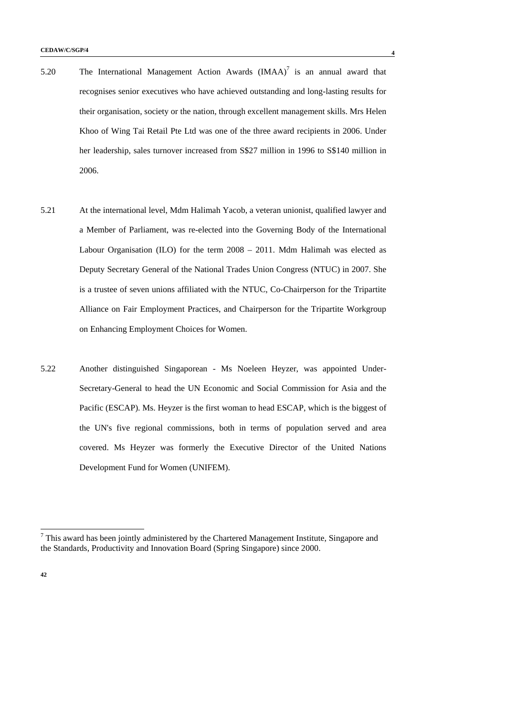- 5.20 The International Management Action Awards  $(IMAA)^7$  is an annual award that recognises senior executives who have achieved outstanding and long-lasting results for their organisation, society or the nation, through excellent management skills. Mrs Helen Khoo of Wing Tai Retail Pte Ltd was one of the three award recipients in 2006. Under her leadership, sales turnover increased from S\$27 million in 1996 to S\$140 million in 2006.
- 5.21 At the international level, Mdm Halimah Yacob, a veteran unionist, qualified lawyer and a Member of Parliament, was re-elected into the Governing Body of the International Labour Organisation (ILO) for the term 2008 – 2011. Mdm Halimah was elected as Deputy Secretary General of the National Trades Union Congress (NTUC) in 2007. She is a trustee of seven unions affiliated with the NTUC, Co-Chairperson for the Tripartite Alliance on Fair Employment Practices, and Chairperson for the Tripartite Workgroup on Enhancing Employment Choices for Women.
- 5.22 Another distinguished Singaporean Ms Noeleen Heyzer, was appointed Under-Secretary-General to head the UN Economic and Social Commission for Asia and the Pacific (ESCAP). Ms. Heyzer is the first woman to head ESCAP, which is the biggest of the UN's five regional commissions, both in terms of population served and area covered. Ms Heyzer was formerly the Executive Director of the United Nations Development Fund for Women (UNIFEM).

This award has been jointly administered by the Chartered Management Institute, Singapore and <sup>7</sup> the Standards, Productivity and Innovation Board (Spring Singapore) since 2000.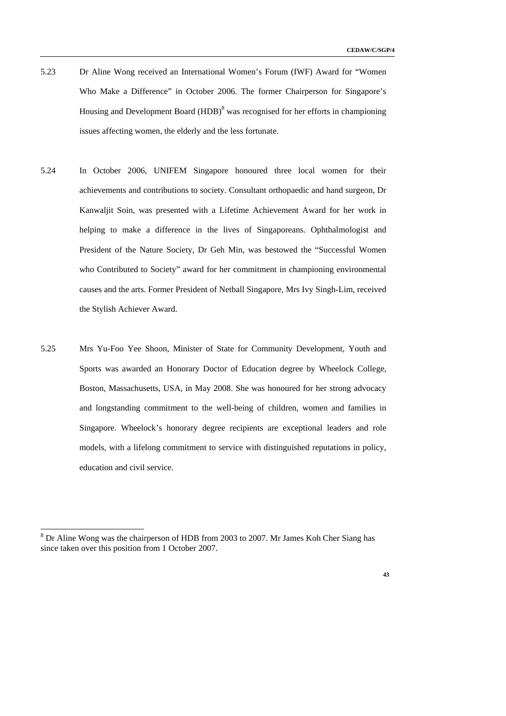- 5.23 Dr Aline Wong received an International Women's Forum (IWF) Award for "Women Who Make a Difference" in October 2006. The former Chairperson for Singapore's Housing and Development Board (HDB)<sup>8</sup> was recognised for her efforts in championing issues affecting women, the elderly and the less fortunate.
- 5.24 In October 2006, UNIFEM Singapore honoured three local women for their achievements and contributions to society. Consultant orthopaedic and hand surgeon, Dr Kanwaljit Soin, was presented with a Lifetime Achievement Award for her work in helping to make a difference in the lives of Singaporeans. Ophthalmologist and President of the Nature Society, Dr Geh Min, was bestowed the "Successful Women who Contributed to Society" award for her commitment in championing environmental causes and the arts. Former President of Netball Singapore, Mrs Ivy Singh-Lim, received the Stylish Achiever Award.
- 5.25 Mrs Yu-Foo Yee Shoon, Minister of State for Community Development, Youth and Sports was awarded an Honorary Doctor of Education degree by Wheelock College, Boston, Massachusetts, USA, in May 2008. She was honoured for her strong advocacy and longstanding commitment to the well-being of children, women and families in Singapore. Wheelock's honorary degree recipients are exceptional leaders and role models, with a lifelong commitment to service with distinguished reputations in policy, education and civil service.

-



<sup>&</sup>lt;sup>8</sup> Dr Aline Wong was the chairperson of HDB from 2003 to 2007. Mr James Koh Cher Siang has since taken over this position from 1 October 2007.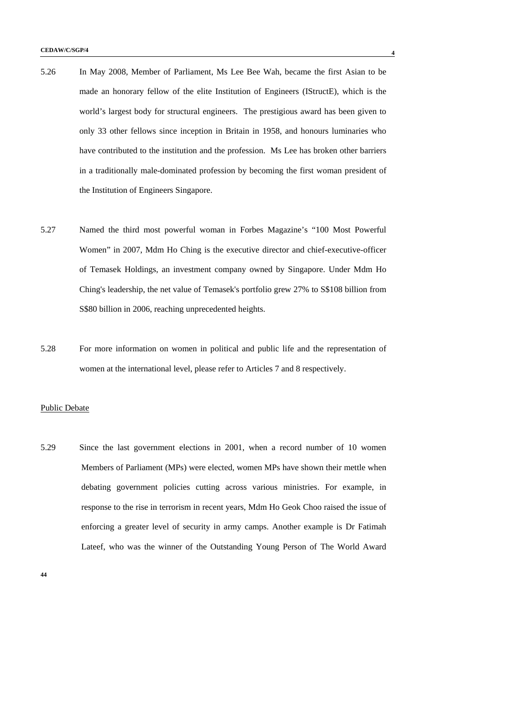- 5.26 In May 2008, Member of Parliament, Ms Lee Bee Wah, became the first Asian to be made an honorary fellow of the elite Institution of Engineers (IStructE), which is the world's largest body for structural engineers. The prestigious award has been given to only 33 other fellows since inception in Britain in 1958, and honours luminaries who have contributed to the institution and the profession. Ms Lee has broken other barriers in a traditionally male-dominated profession by becoming the first woman president of the Institution of Engineers Singapore.
- 5.27 Named the third most powerful woman in Forbes Magazine's "100 Most Powerful Women" in 2007, Mdm Ho Ching is the executive director and chief-executive-officer of Temasek Holdings, an investment company owned by Singapore. Under Mdm Ho Ching's leadership, the net value of Temasek's portfolio grew 27% to S\$108 billion from S\$80 billion in 2006, reaching unprecedented heights.
- 5.28 For more information on women in political and public life and the representation of women at the international level, please refer to Articles 7 and 8 respectively.

# Public Debate

5.29 Since the last government elections in 2001, when a record number of 10 women Members of Parliament (MPs) were elected, women MPs have shown their mettle when debating government policies cutting across various ministries. For example, in response to the rise in terrorism in recent years, Mdm Ho Geok Choo raised the issue of enforcing a greater level of security in army camps. Another example is Dr Fatimah Lateef, who was the winner of the Outstanding Young Person of The World Award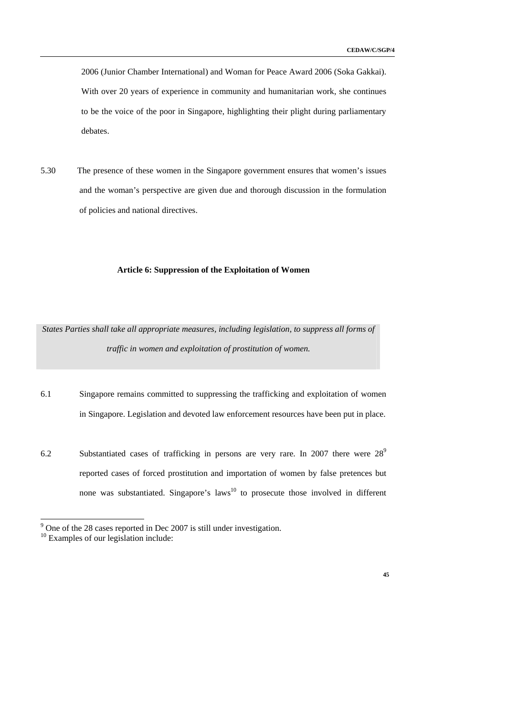2006 (Junior Chamber International) and Woman for Peace Award 2006 (Soka Gakkai). With over 20 years of experience in community and humanitarian work, she continues to be the voice of the poor in Singapore, highlighting their plight during parliamentary debates.

5.30 The presence of these women in the Singapore government ensures that women's issues and the woman's perspective are given due and thorough discussion in the formulation of policies and national directives.

# **Article 6: Suppression of the Exploitation of Women**

*States Parties shall take all appropriate measures, including legislation, to suppress all forms of traffic in women and exploitation of prostitution of women.* 

- 6.1 Singapore remains committed to suppressing the trafficking and exploitation of women in Singapore. Legislation and devoted law enforcement resources have been put in place.
- 6.2 Substantiated cases of trafficking in persons are very rare. In 2007 there were  $28^9$ reported cases of forced prostitution and importation of women by false pretences but none was substantiated. Singapore's laws<sup>10</sup> to prosecute those involved in different



<sup>&</sup>lt;sup>9</sup> One of the 28 cases reported in Dec 2007 is still under investigation.

<sup>&</sup>lt;sup>10</sup> Examples of our legislation include: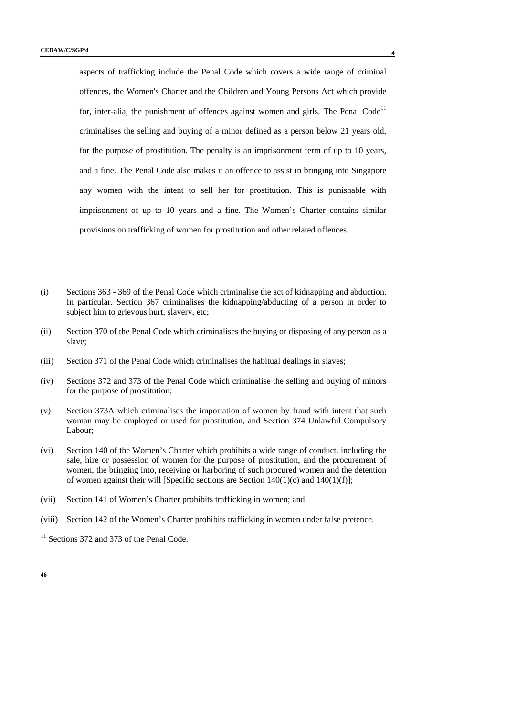aspects of trafficking include the Penal Code which covers a wide range of criminal offences, the Women's Charter and the Children and Young Persons Act which provide for, inter-alia, the punishment of offences against women and girls. The Penal Code<sup>11</sup> criminalises the selling and buying of a minor defined as a person below 21 years old, for the purpose of prostitution. The penalty is an imprisonment term of up to 10 years, and a fine. The Penal Code also makes it an offence to assist in bringing into Singapore any women with the intent to sell her for prostitution. This is punishable with imprisonment of up to 10 years and a fine. The Women's Charter contains similar provisions on trafficking of women for prostitution and other related offences.

- (i) Sections 363 369 of the Penal Code which criminalise the act of kidnapping and abduction. In particular, Section 367 criminalises the kidnapping/abducting of a person in order to subject him to grievous hurt, slavery, etc;
- (ii) Section 370 of the Penal Code which criminalises the buying or disposing of any person as a slave;
- (iii) Section 371 of the Penal Code which criminalises the habitual dealings in slaves;
- (iv) Sections 372 and 373 of the Penal Code which criminalise the selling and buying of minors for the purpose of prostitution;
- (v) Section 373A which criminalises the importation of women by fraud with intent that such woman may be employed or used for prostitution, and Section 374 Unlawful Compulsory Labour;
- (vi) Section 140 of the Women's Charter which prohibits a wide range of conduct, including the sale, hire or possession of women for the purpose of prostitution, and the procurement of women, the bringing into, receiving or harboring of such procured women and the detention of women against their will [Specific sections are Section  $140(1)(c)$  and  $140(1)(f)$ ];
- (vii) Section 141 of Women's Charter prohibits trafficking in women; and
- (viii) Section 142 of the Women's Charter prohibits trafficking in women under false pretence.

<sup>11</sup> Sections 372 and 373 of the Penal Code.

l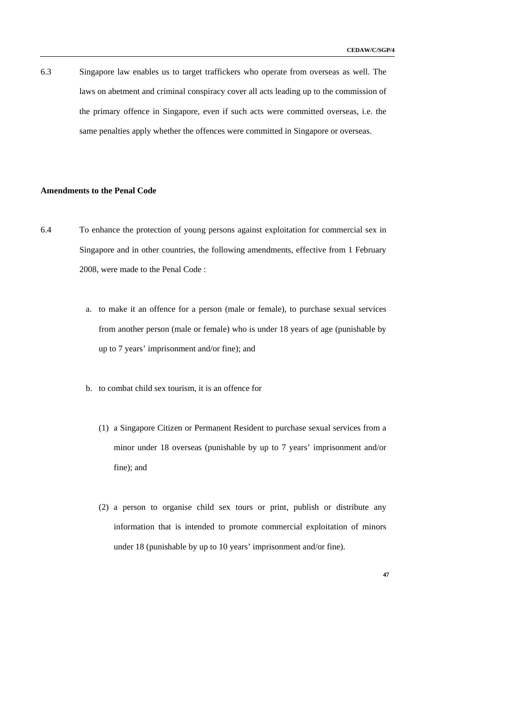6.3 Singapore law enables us to target traffickers who operate from overseas as well. The laws on abetment and criminal conspiracy cover all acts leading up to the commission of the primary offence in Singapore, even if such acts were committed overseas, i.e. the same penalties apply whether the offences were committed in Singapore or overseas.

## **Amendments to the Penal Code**

- 6.4 To enhance the protection of young persons against exploitation for commercial sex in Singapore and in other countries, the following amendments, effective from 1 February 2008, were made to the Penal Code :
	- a. to make it an offence for a person (male or female), to purchase sexual services from another person (male or female) who is under 18 years of age (punishable by up to 7 years' imprisonment and/or fine); and
	- b. to combat child sex tourism, it is an offence for
		- (1) a Singapore Citizen or Permanent Resident to purchase sexual services from a minor under 18 overseas (punishable by up to 7 years' imprisonment and/or fine); and
		- (2) a person to organise child sex tours or print, publish or distribute any information that is intended to promote commercial exploitation of minors under 18 (punishable by up to 10 years' imprisonment and/or fine).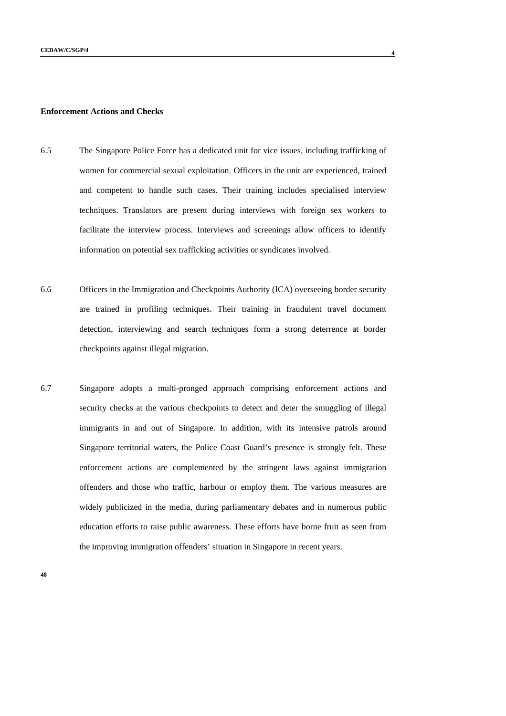### **Enforcement Actions and Checks**

- 6.5 The Singapore Police Force has a dedicated unit for vice issues, including trafficking of women for commercial sexual exploitation. Officers in the unit are experienced, trained and competent to handle such cases. Their training includes specialised interview techniques. Translators are present during interviews with foreign sex workers to facilitate the interview process. Interviews and screenings allow officers to identify information on potential sex trafficking activities or syndicates involved.
- 6.6 Officers in the Immigration and Checkpoints Authority (ICA) overseeing border security are trained in profiling techniques. Their training in fraudulent travel document detection, interviewing and search techniques form a strong deterrence at border checkpoints against illegal migration.
- 6.7 Singapore adopts a multi-pronged approach comprising enforcement actions and security checks at the various checkpoints to detect and deter the smuggling of illegal immigrants in and out of Singapore. In addition, with its intensive patrols around Singapore territorial waters, the Police Coast Guard's presence is strongly felt. These enforcement actions are complemented by the stringent laws against immigration offenders and those who traffic, harbour or employ them. The various measures are widely publicized in the media, during parliamentary debates and in numerous public education efforts to raise public awareness. These efforts have borne fruit as seen from the improving immigration offenders' situation in Singapore in recent years.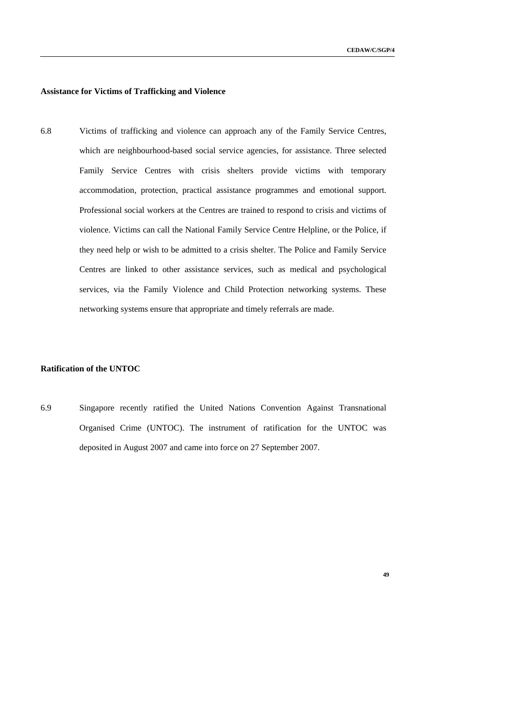**49** 

# **Assistance for Victims of Trafficking and Violence**

6.8 Victims of trafficking and violence can approach any of the Family Service Centres, which are neighbourhood-based social service agencies, for assistance. Three selected Family Service Centres with crisis shelters provide victims with temporary accommodation, protection, practical assistance programmes and emotional support. Professional social workers at the Centres are trained to respond to crisis and victims of violence. Victims can call the National Family Service Centre Helpline, or the Police, if they need help or wish to be admitted to a crisis shelter. The Police and Family Service Centres are linked to other assistance services, such as medical and psychological services, via the Family Violence and Child Protection networking systems. These networking systems ensure that appropriate and timely referrals are made.

# **Ratification of the UNTOC**

6.9 Singapore recently ratified the United Nations Convention Against Transnational Organised Crime (UNTOC). The instrument of ratification for the UNTOC was deposited in August 2007 and came into force on 27 September 2007.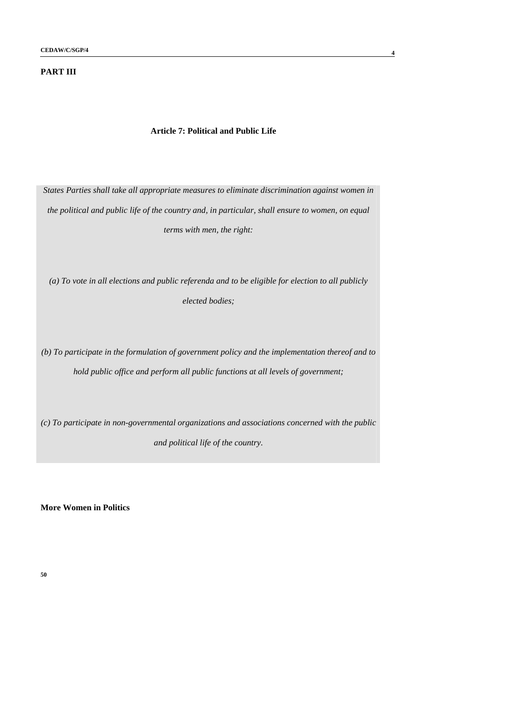# **PART III**

### **Article 7: Political and Public Life**

*States Parties shall take all appropriate measures to eliminate discrimination against women in the political and public life of the country and, in particular, shall ensure to women, on equal terms with men, the right:* 

*(a) To vote in all elections and public referenda and to be eligible for election to all publicly elected bodies;* 

*(b) To participate in the formulation of government policy and the implementation thereof and to hold public office and perform all public functions at all levels of government;* 

*(c) To participate in non-governmental organizations and associations concerned with the public and political life of the country.* 

**More Women in Politics**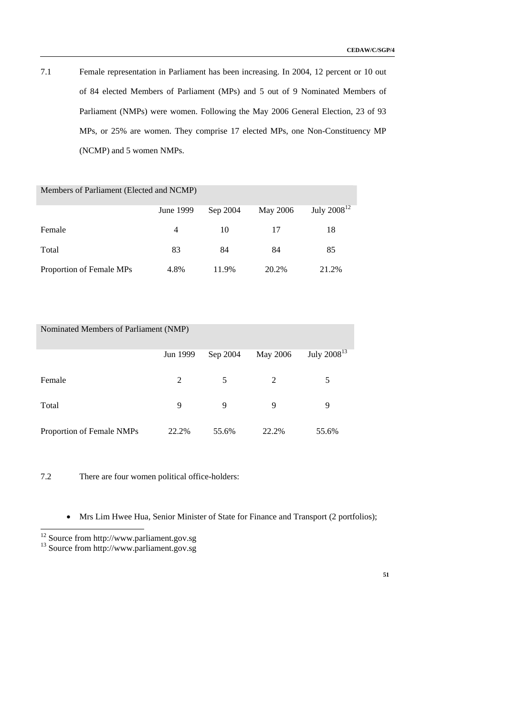7.1 Female representation in Parliament has been increasing. In 2004, 12 percent or 10 out of 84 elected Members of Parliament (MPs) and 5 out of 9 Nominated Members of Parliament (NMPs) were women. Following the May 2006 General Election, 23 of 93 MPs, or 25% are women. They comprise 17 elected MPs, one Non-Constituency MP (NCMP) and 5 women NMPs.

| Members of Parliament (Elected and NCMP) |           |          |          |                  |  |  |  |  |  |  |
|------------------------------------------|-----------|----------|----------|------------------|--|--|--|--|--|--|
|                                          | June 1999 | Sep 2004 | May 2006 | July $2008^{12}$ |  |  |  |  |  |  |
| Female                                   | 4         | 10       | 17       | 18               |  |  |  |  |  |  |
| Total                                    | 83        | 84       | 84       | 85               |  |  |  |  |  |  |
| Proportion of Female MPs                 | 4.8%      | 11.9%    | 20.2%    | 21.2%            |  |  |  |  |  |  |

| Nominated Members of Parliament (NMP) |          |          |          |                  |  |  |  |  |  |  |
|---------------------------------------|----------|----------|----------|------------------|--|--|--|--|--|--|
|                                       | Jun 1999 | Sep 2004 | May 2006 | July $2008^{13}$ |  |  |  |  |  |  |
| Female                                | 2        | 5        | 2        | 5                |  |  |  |  |  |  |
| Total                                 | 9        | 9        | 9        | 9                |  |  |  |  |  |  |
| Proportion of Female NMPs             | 22.2%    | 55.6%    | 22.2%    | 55.6%            |  |  |  |  |  |  |

7.2 There are four women political office-holders:

• Mrs Lim Hwee Hua, Senior Minister of State for Finance and Transport (2 portfolios);

-

 $12$  Source from http://www.parliament.gov.sg

<sup>&</sup>lt;sup>13</sup> Source from http://www.parliament.gov.sg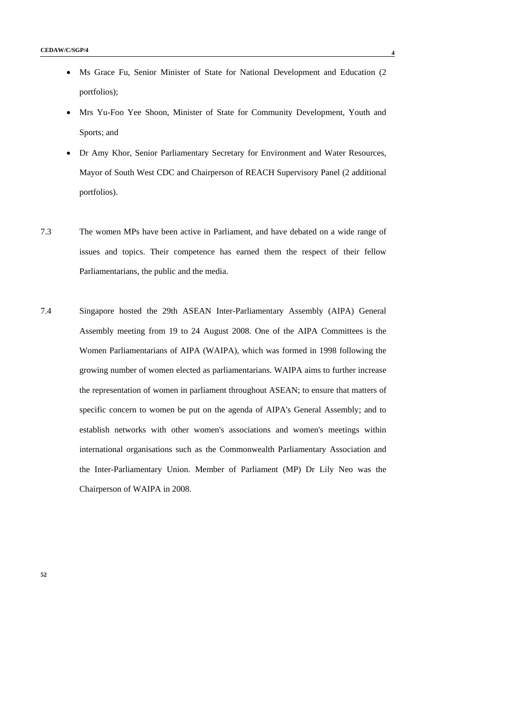- Ms Grace Fu, Senior Minister of State for National Development and Education (2) portfolios);
- Mrs Yu-Foo Yee Shoon, Minister of State for Community Development, Youth and Sports; and
- Dr Amy Khor, Senior Parliamentary Secretary for Environment and Water Resources, Mayor of South West CDC and Chairperson of REACH Supervisory Panel (2 additional portfolios).
- 7.3 The women MPs have been active in Parliament, and have debated on a wide range of issues and topics. Their competence has earned them the respect of their fellow Parliamentarians, the public and the media.
- 7.4 Singapore hosted the 29th ASEAN Inter-Parliamentary Assembly (AIPA) General Assembly meeting from 19 to 24 August 2008. One of the AIPA Committees is the Women Parliamentarians of AIPA (WAIPA), which was formed in 1998 following the growing number of women elected as parliamentarians. WAIPA aims to further increase the representation of women in parliament throughout ASEAN; to ensure that matters of specific concern to women be put on the agenda of AIPA's General Assembly; and to establish networks with other women's associations and women's meetings within international organisations such as the Commonwealth Parliamentary Association and the Inter-Parliamentary Union. Member of Parliament (MP) Dr Lily Neo was the Chairperson of WAIPA in 2008.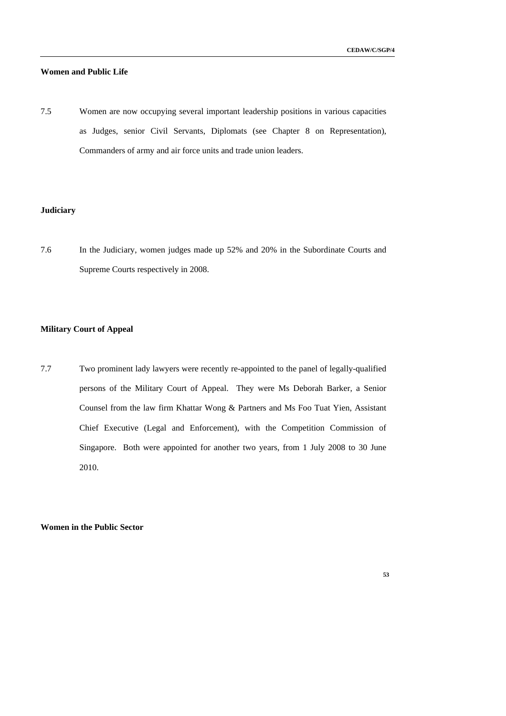# **Women and Public Life**

7.5 Women are now occupying several important leadership positions in various capacities as Judges, senior Civil Servants, Diplomats (see Chapter 8 on Representation), Commanders of army and air force units and trade union leaders.

# **Judiciary**

7.6 In the Judiciary, women judges made up 52% and 20% in the Subordinate Courts and Supreme Courts respectively in 2008.

# **Military Court of Appeal**

7.7 Two prominent lady lawyers were recently re-appointed to the panel of legally-qualified persons of the Military Court of Appeal. They were Ms Deborah Barker, a Senior Counsel from the law firm Khattar Wong & Partners and Ms Foo Tuat Yien, Assistant Chief Executive (Legal and Enforcement), with the Competition Commission of Singapore. Both were appointed for another two years, from 1 July 2008 to 30 June 2010.

**Women in the Public Sector**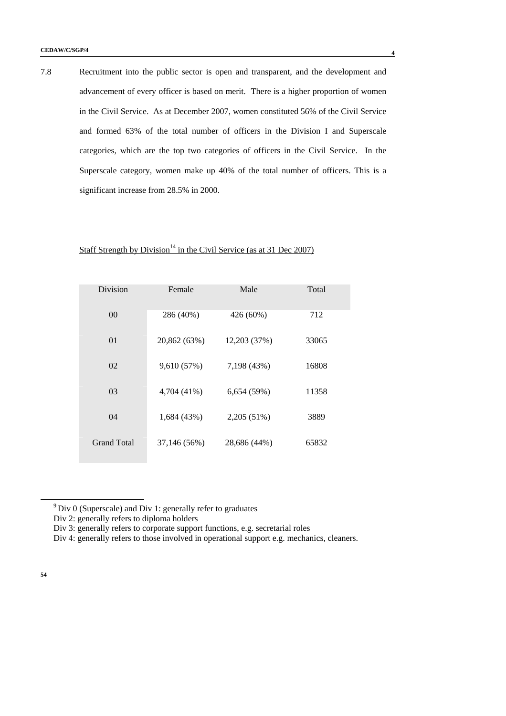7.8 Recruitment into the public sector is open and transparent, and the development and advancement of every officer is based on merit. There is a higher proportion of women in the Civil Service. As at December 2007, women constituted 56% of the Civil Service and formed 63% of the total number of officers in the Division I and Superscale categories, which are the top two categories of officers in the Civil Service. In the Superscale category, women make up 40% of the total number of officers. This is a significant increase from 28.5% in 2000.

# Staff Strength by Division<sup>14</sup> in the Civil Service (as at 31 Dec 2007)

| Division           | Female       | Male         | Total |
|--------------------|--------------|--------------|-------|
| 00                 | 286 (40%)    | 426 (60%)    | 712   |
| 01                 | 20,862 (63%) | 12,203 (37%) | 33065 |
| 02                 | 9,610 (57%)  | 7,198 (43%)  | 16808 |
| 03                 | 4,704 (41%)  | 6,654(59%)   | 11358 |
| 04                 | 1,684 (43%)  | 2,205 (51%)  | 3889  |
| <b>Grand Total</b> | 37,146 (56%) | 28,686 (44%) | 65832 |

 $9$  Div 0 (Superscale) and Div 1: generally refer to graduates

Div 2: generally refers to diploma holders

Div 3: generally refers to corporate support functions, e.g. secretarial roles

Div 4: generally refers to those involved in operational support e.g. mechanics, cleaners.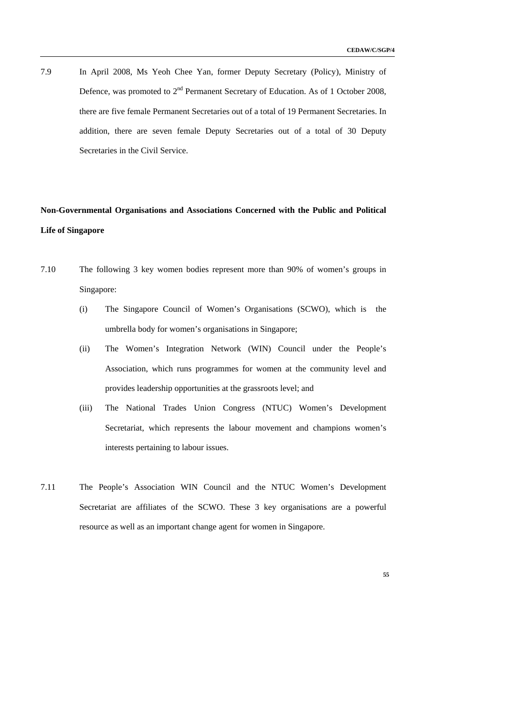7.9 In April 2008, Ms Yeoh Chee Yan, former Deputy Secretary (Policy), Ministry of Defence, was promoted to 2<sup>nd</sup> Permanent Secretary of Education. As of 1 October 2008, there are five female Permanent Secretaries out of a total of 19 Permanent Secretaries. In addition, there are seven female Deputy Secretaries out of a total of 30 Deputy Secretaries in the Civil Service.

# **Non-Governmental Organisations and Associations Concerned with the Public and Political Life of Singapore**

- 7.10 The following 3 key women bodies represent more than 90% of women's groups in Singapore:
	- (i) The Singapore Council of Women's Organisations (SCWO), which is the umbrella body for women's organisations in Singapore;
	- (ii) The Women's Integration Network (WIN) Council under the People's Association, which runs programmes for women at the community level and provides leadership opportunities at the grassroots level; and
	- (iii) The National Trades Union Congress (NTUC) Women's Development Secretariat, which represents the labour movement and champions women's interests pertaining to labour issues.
- 7.11 The People's Association WIN Council and the NTUC Women's Development Secretariat are affiliates of the SCWO. These 3 key organisations are a powerful resource as well as an important change agent for women in Singapore.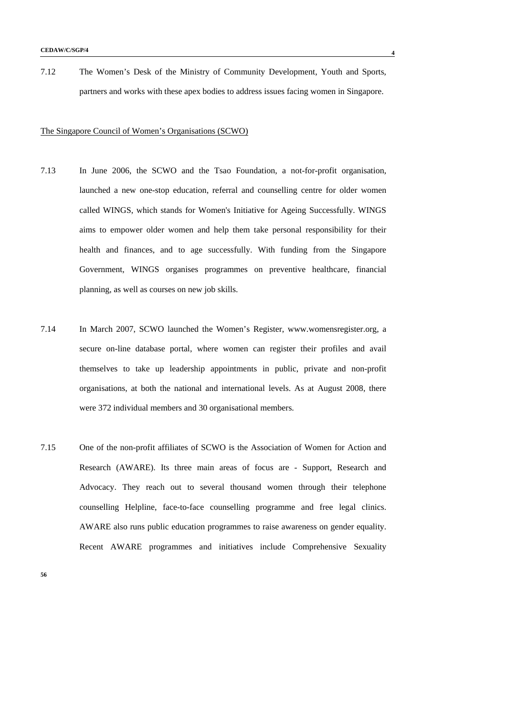7.12 The Women's Desk of the Ministry of Community Development, Youth and Sports, partners and works with these apex bodies to address issues facing women in Singapore.

#### The Singapore Council of Women's Organisations (SCWO)

- 7.13 In June 2006, the SCWO and the Tsao Foundation, a not-for-profit organisation, launched a new one-stop education, referral and counselling centre for older women called WINGS, which stands for Women's Initiative for Ageing Successfully. WINGS aims to empower older women and help them take personal responsibility for their health and finances, and to age successfully. With funding from the Singapore Government, WINGS organises programmes on preventive healthcare, financial planning, as well as courses on new job skills.
- 7.14 In March 2007, SCWO launched the Women's Register, www.womensregister.org, a secure on-line database portal, where women can register their profiles and avail themselves to take up leadership appointments in public, private and non-profit organisations, at both the national and international levels. As at August 2008, there were 372 individual members and 30 organisational members.
- 7.15 One of the non-profit affiliates of SCWO is the Association of Women for Action and Research (AWARE). Its three main areas of focus are - Support, Research and Advocacy. They reach out to several thousand women through their telephone counselling Helpline, face-to-face counselling programme and free legal clinics. AWARE also runs public education programmes to raise awareness on gender equality. Recent AWARE programmes and initiatives include Comprehensive Sexuality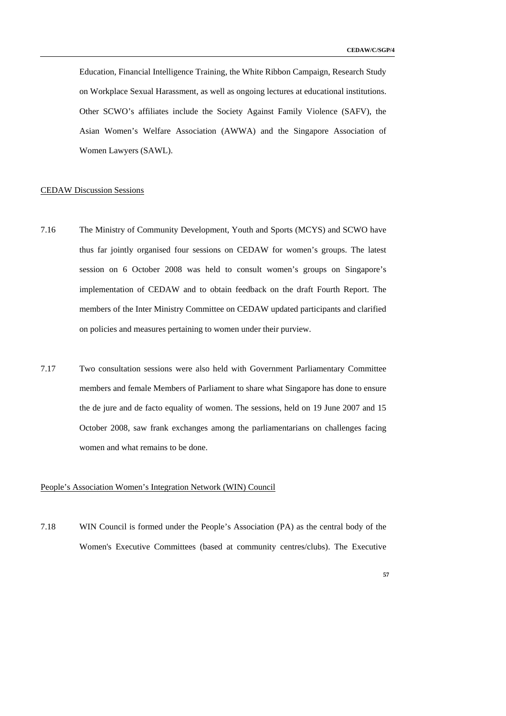Education, Financial Intelligence Training, the White Ribbon Campaign, Research Study on Workplace Sexual Harassment, as well as ongoing lectures at educational institutions. Other SCWO's affiliates include the Society Against Family Violence (SAFV), the Asian Women's Welfare Association (AWWA) and the Singapore Association of Women Lawyers (SAWL).

# CEDAW Discussion Sessions

- 7.16 The Ministry of Community Development, Youth and Sports (MCYS) and SCWO have thus far jointly organised four sessions on CEDAW for women's groups. The latest session on 6 October 2008 was held to consult women's groups on Singapore's implementation of CEDAW and to obtain feedback on the draft Fourth Report. The members of the Inter Ministry Committee on CEDAW updated participants and clarified on policies and measures pertaining to women under their purview.
- 7.17 Two consultation sessions were also held with Government Parliamentary Committee members and female Members of Parliament to share what Singapore has done to ensure the de jure and de facto equality of women. The sessions, held on 19 June 2007 and 15 October 2008, saw frank exchanges among the parliamentarians on challenges facing women and what remains to be done.

# People's Association Women's Integration Network (WIN) Council

7.18 WIN Council is formed under the People's Association (PA) as the central body of the Women's Executive Committees (based at community centres/clubs). The Executive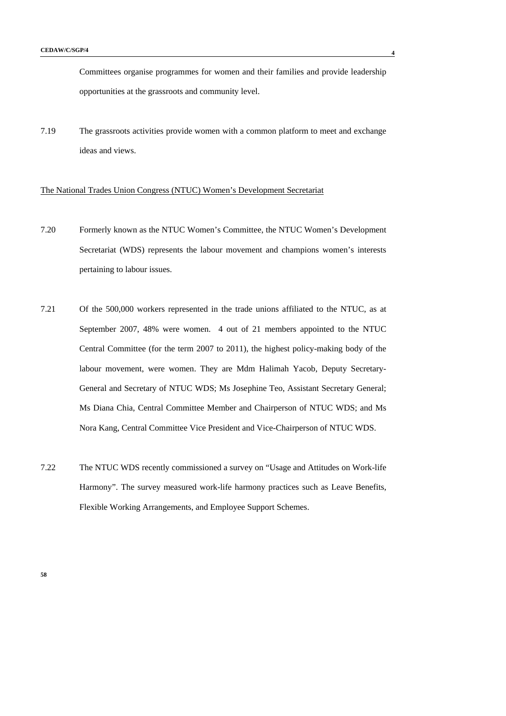Committees organise programmes for women and their families and provide leadership opportunities at the grassroots and community level.

7.19 The grassroots activities provide women with a common platform to meet and exchange ideas and views.

## The National Trades Union Congress (NTUC) Women's Development Secretariat

- 7.20 Formerly known as the NTUC Women's Committee, the NTUC Women's Development Secretariat (WDS) represents the labour movement and champions women's interests pertaining to labour issues.
- 7.21 Of the 500,000 workers represented in the trade unions affiliated to the NTUC, as at September 2007, 48% were women. 4 out of 21 members appointed to the NTUC Central Committee (for the term 2007 to 2011), the highest policy-making body of the labour movement, were women. They are Mdm Halimah Yacob, Deputy Secretary-General and Secretary of NTUC WDS; Ms Josephine Teo, Assistant Secretary General; Ms Diana Chia, Central Committee Member and Chairperson of NTUC WDS; and Ms Nora Kang, Central Committee Vice President and Vice-Chairperson of NTUC WDS.
- 7.22 The NTUC WDS recently commissioned a survey on "Usage and Attitudes on Work-life Harmony". The survey measured work-life harmony practices such as Leave Benefits, Flexible Working Arrangements, and Employee Support Schemes.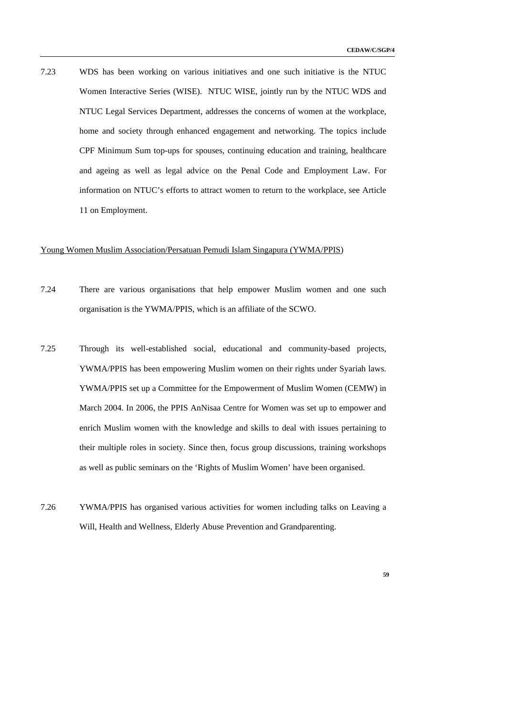7.23 WDS has been working on various initiatives and one such initiative is the NTUC Women Interactive Series (WISE). NTUC WISE, jointly run by the NTUC WDS and NTUC Legal Services Department, addresses the concerns of women at the workplace, home and society through enhanced engagement and networking. The topics include CPF Minimum Sum top-ups for spouses, continuing education and training, healthcare and ageing as well as legal advice on the Penal Code and Employment Law. For information on NTUC's efforts to attract women to return to the workplace, see Article 11 on Employment.

# Young Women Muslim Association/Persatuan Pemudi Islam Singapura (YWMA/PPIS)

- 7.24 There are various organisations that help empower Muslim women and one such organisation is the YWMA/PPIS, which is an affiliate of the SCWO.
- 7.25 Through its well-established social, educational and community-based projects, YWMA/PPIS has been empowering Muslim women on their rights under Syariah laws. YWMA/PPIS set up a Committee for the Empowerment of Muslim Women (CEMW) in March 2004. In 2006, the PPIS AnNisaa Centre for Women was set up to empower and enrich Muslim women with the knowledge and skills to deal with issues pertaining to their multiple roles in society. Since then, focus group discussions, training workshops as well as public seminars on the 'Rights of Muslim Women' have been organised.
- 7.26 YWMA/PPIS has organised various activities for women including talks on Leaving a Will, Health and Wellness, Elderly Abuse Prevention and Grandparenting.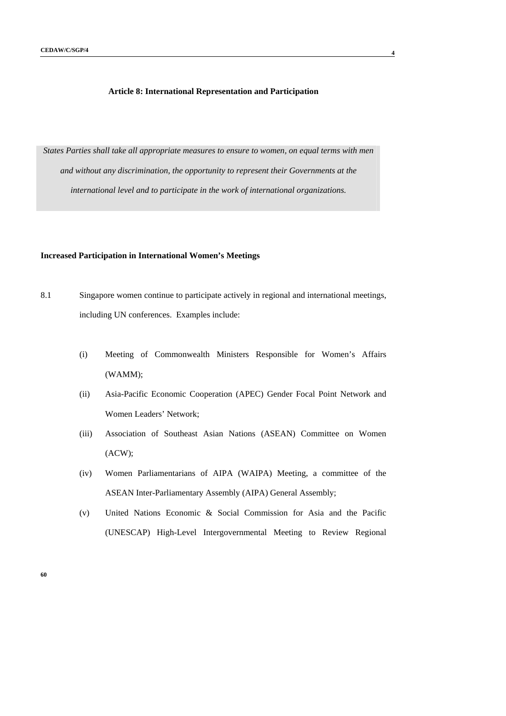# **Article 8: International Representation and Participation**

*States Parties shall take all appropriate measures to ensure to women, on equal terms with men and without any discrimination, the opportunity to represent their Governments at the international level and to participate in the work of international organizations.* 

# **Increased Participation in International Women's Meetings**

- 8.1 Singapore women continue to participate actively in regional and international meetings, including UN conferences. Examples include:
	- (i) Meeting of Commonwealth Ministers Responsible for Women's Affairs (WAMM);
	- (ii) Asia-Pacific Economic Cooperation (APEC) Gender Focal Point Network and Women Leaders' Network;
	- (iii) Association of Southeast Asian Nations (ASEAN) Committee on Women (ACW);
	- (iv) Women Parliamentarians of AIPA (WAIPA) Meeting, a committee of the ASEAN Inter-Parliamentary Assembly (AIPA) General Assembly;
	- (v) United Nations Economic & Social Commission for Asia and the Pacific (UNESCAP) High-Level Intergovernmental Meeting to Review Regional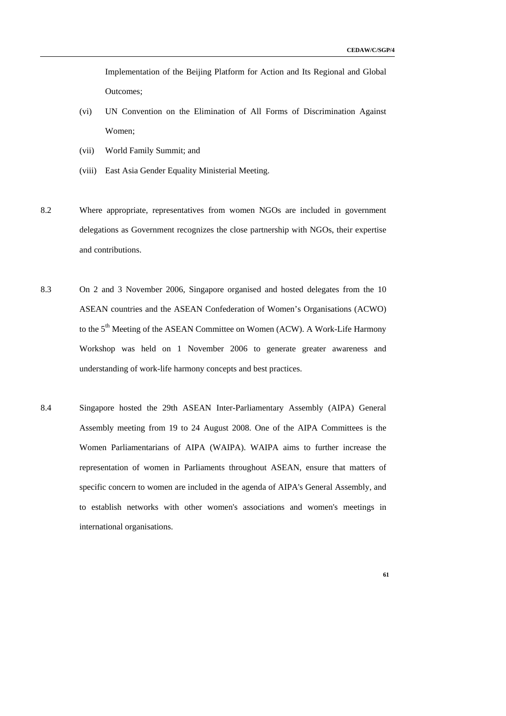Implementation of the Beijing Platform for Action and Its Regional and Global Outcomes;

- (vi) UN Convention on the Elimination of All Forms of Discrimination Against Women;
- (vii) World Family Summit; and
- (viii) East Asia Gender Equality Ministerial Meeting.
- 8.2 Where appropriate, representatives from women NGOs are included in government delegations as Government recognizes the close partnership with NGOs, their expertise and contributions.
- 8.3 On 2 and 3 November 2006, Singapore organised and hosted delegates from the 10 ASEAN countries and the ASEAN Confederation of Women's Organisations (ACWO) to the 5<sup>th</sup> Meeting of the ASEAN Committee on Women (ACW). A Work-Life Harmony Workshop was held on 1 November 2006 to generate greater awareness and understanding of work-life harmony concepts and best practices.
- 8.4 Singapore hosted the 29th ASEAN Inter-Parliamentary Assembly (AIPA) General Assembly meeting from 19 to 24 August 2008. One of the AIPA Committees is the Women Parliamentarians of AIPA (WAIPA). WAIPA aims to further increase the representation of women in Parliaments throughout ASEAN, ensure that matters of specific concern to women are included in the agenda of AIPA's General Assembly, and to establish networks with other women's associations and women's meetings in international organisations.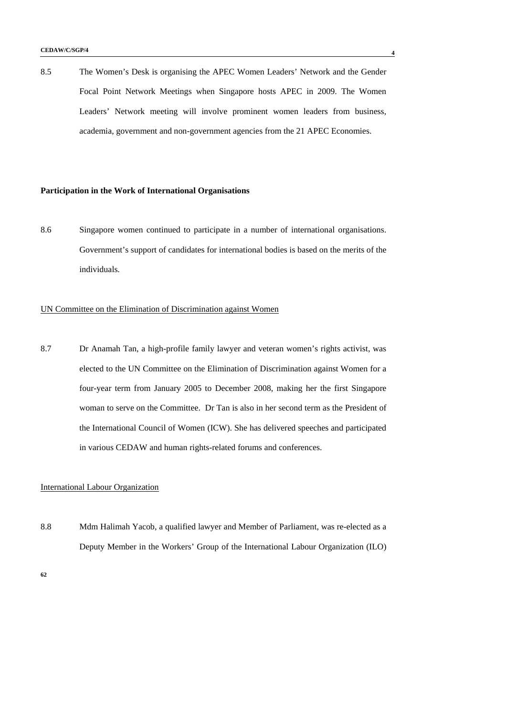8.5 The Women's Desk is organising the APEC Women Leaders' Network and the Gender Focal Point Network Meetings when Singapore hosts APEC in 2009. The Women Leaders' Network meeting will involve prominent women leaders from business, academia, government and non-government agencies from the 21 APEC Economies.

### **Participation in the Work of International Organisations**

8.6 Singapore women continued to participate in a number of international organisations. Government's support of candidates for international bodies is based on the merits of the individuals.

# UN Committee on the Elimination of Discrimination against Women

8.7 Dr Anamah Tan, a high-profile family lawyer and veteran women's rights activist, was elected to the UN Committee on the Elimination of Discrimination against Women for a four-year term from January 2005 to December 2008, making her the first Singapore woman to serve on the Committee. Dr Tan is also in her second term as the President of the International Council of Women (ICW). She has delivered speeches and participated in various CEDAW and human rights-related forums and conferences.

# International Labour Organization

8.8 Mdm Halimah Yacob, a qualified lawyer and Member of Parliament, was re-elected as a Deputy Member in the Workers' Group of the International Labour Organization (ILO)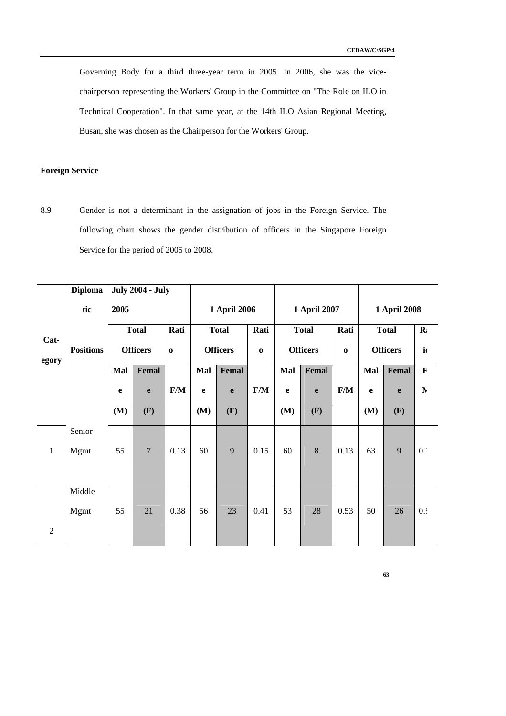Governing Body for a third three-year term in 2005. In 2006, she was the vicechairperson representing the Workers' Group in the Committee on "The Role on ILO in Technical Cooperation". In that same year, at the 14th ILO Asian Regional Meeting, Busan, she was chosen as the Chairperson for the Workers' Group.

# **Foreign Service**

8.9 Gender is not a determinant in the assignation of jobs in the Foreign Service. The following chart shows the gender distribution of officers in the Singapore Foreign Service for the period of 2005 to 2008.

|                | <b>Diploma</b>   |                                 | <b>July 2004 - July</b> |             |              |                             |      |                 |       |                         |                 |              |              |
|----------------|------------------|---------------------------------|-------------------------|-------------|--------------|-----------------------------|------|-----------------|-------|-------------------------|-----------------|--------------|--------------|
|                | tic              | 2005                            |                         |             | 1 April 2006 |                             |      | 1 April 2007    |       |                         | 1 April 2008    |              |              |
| Cat-           |                  | <b>Total</b><br><b>Officers</b> |                         | Rati        |              | <b>Total</b>                |      | <b>Total</b>    |       | Rati                    |                 | <b>Total</b> | $\mathbf{R}$ |
|                | <b>Positions</b> |                                 |                         | $\mathbf 0$ |              | <b>Officers</b><br>$\bf{0}$ |      | <b>Officers</b> |       | $\mathbf 0$             | <b>Officers</b> |              | $\mathbf{i}$ |
| egory          |                  | Mal                             | Femal                   |             | Mal          | Femal                       |      | Mal             | Femal |                         | Mal             | Femal        | $\mathbf F$  |
|                |                  | $\mathbf e$                     | $\mathbf{e}$            | F/M         | $\mathbf{e}$ | e                           | F/M  | e               | e     | $\mathbf{F}/\mathbf{M}$ | $\mathbf e$     | e            | ${\bf N}$    |
|                |                  | (M)                             | (F)                     |             | (M)          | (F)                         |      | (M)             | (F)   |                         | (M)             | (F)          |              |
|                | Senior           |                                 |                         |             |              |                             |      |                 |       |                         |                 |              |              |
| $\mathbf{1}$   | Mgmt             | 55                              | $\overline{7}$          | 0.13        | 60           | 9                           | 0.15 | 60              | 8     | 0.13                    | 63              | 9            | 0.1          |
|                |                  |                                 |                         |             |              |                             |      |                 |       |                         |                 |              |              |
|                | Middle           |                                 |                         |             |              |                             |      |                 |       |                         |                 |              |              |
|                | Mgmt             | 55                              | 21                      | 0.38        | 56           | 23                          | 0.41 | 53              | 28    | 0.53                    | 50              | 26           | 0.4          |
| $\overline{2}$ |                  |                                 |                         |             |              |                             |      |                 |       |                         |                 |              |              |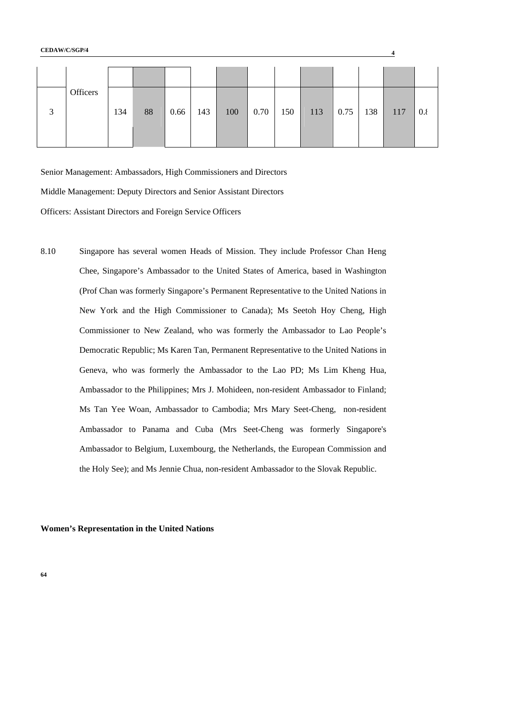| 3 | Officers | 134 | 88 | 0.66 | 143 | 100 | 0.70 | 150 | 113 | 0.75 | 138 | 117 | $0.\xi$ |
|---|----------|-----|----|------|-----|-----|------|-----|-----|------|-----|-----|---------|

Senior Management: Ambassadors, High Commissioners and Directors

Middle Management: Deputy Directors and Senior Assistant Directors

Officers: Assistant Directors and Foreign Service Officers

8.10 Singapore has several women Heads of Mission. They include Professor Chan Heng Chee, Singapore's Ambassador to the United States of America, based in Washington (Prof Chan was formerly Singapore's Permanent Representative to the United Nations in New York and the High Commissioner to Canada); Ms Seetoh Hoy Cheng, High Commissioner to New Zealand, who was formerly the Ambassador to Lao People's Democratic Republic; Ms Karen Tan, Permanent Representative to the United Nations in Geneva, who was formerly the Ambassador to the Lao PD; Ms Lim Kheng Hua, Ambassador to the Philippines; Mrs J. Mohideen, non-resident Ambassador to Finland; Ms Tan Yee Woan, Ambassador to Cambodia; Mrs Mary Seet-Cheng, non-resident Ambassador to Panama and Cuba (Mrs Seet-Cheng was formerly Singapore's Ambassador to Belgium, Luxembourg, the Netherlands, the European Commission and the Holy See); and Ms Jennie Chua, non-resident Ambassador to the Slovak Republic.

**Women's Representation in the United Nations**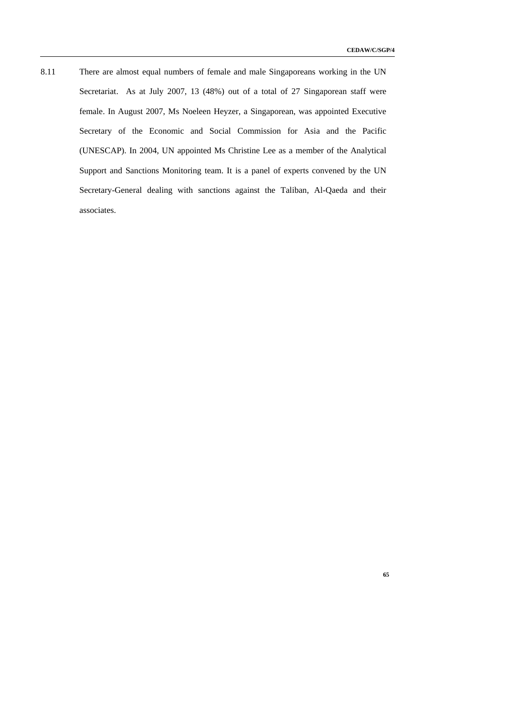**65** 

8.11 There are almost equal numbers of female and male Singaporeans working in the UN Secretariat. As at July 2007, 13 (48%) out of a total of 27 Singaporean staff were female. In August 2007, Ms Noeleen Heyzer, a Singaporean, was appointed Executive Secretary of the Economic and Social Commission for Asia and the Pacific (UNESCAP). In 2004, UN appointed Ms Christine Lee as a member of the Analytical Support and Sanctions Monitoring team. It is a panel of experts convened by the UN Secretary-General dealing with sanctions against the Taliban, Al-Qaeda and their associates.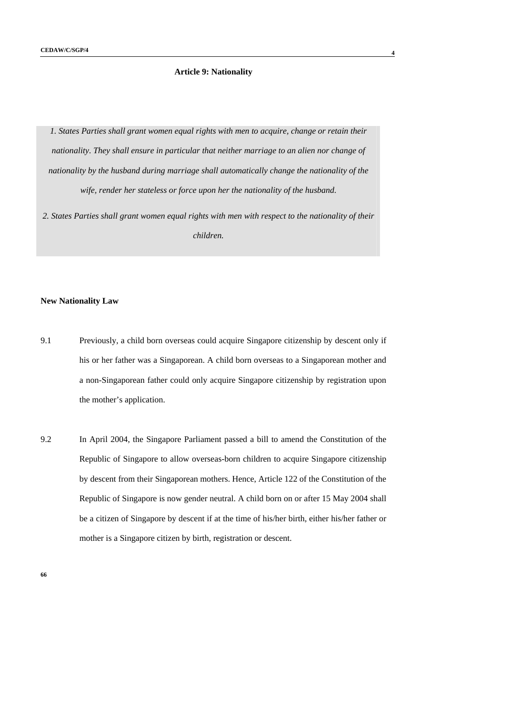# **Article 9: Nationality**

*1. States Parties shall grant women equal rights with men to acquire, change or retain their nationality. They shall ensure in particular that neither marriage to an alien nor change of nationality by the husband during marriage shall automatically change the nationality of the wife, render her stateless or force upon her the nationality of the husband.* 

*2. States Parties shall grant women equal rights with men with respect to the nationality of their children.* 

### **New Nationality Law**

- 9.1 Previously, a child born overseas could acquire Singapore citizenship by descent only if his or her father was a Singaporean. A child born overseas to a Singaporean mother and a non-Singaporean father could only acquire Singapore citizenship by registration upon the mother's application.
- 9.2 In April 2004, the Singapore Parliament passed a bill to amend the Constitution of the Republic of Singapore to allow overseas-born children to acquire Singapore citizenship by descent from their Singaporean mothers. Hence, Article 122 of the Constitution of the Republic of Singapore is now gender neutral. A child born on or after 15 May 2004 shall be a citizen of Singapore by descent if at the time of his/her birth, either his/her father or mother is a Singapore citizen by birth, registration or descent.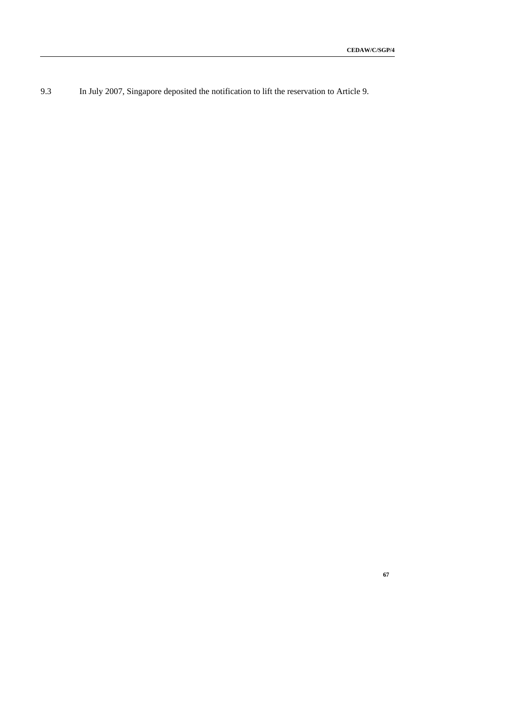9.3 In July 2007, Singapore deposited the notification to lift the reservation to Article 9.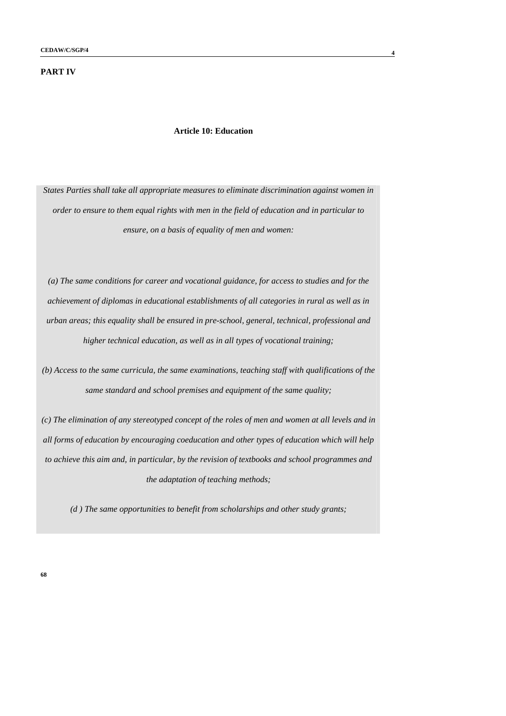# **PART IV**

### **Article 10: Education**

*States Parties shall take all appropriate measures to eliminate discrimination against women in order to ensure to them equal rights with men in the field of education and in particular to ensure, on a basis of equality of men and women:* 

*(a) The same conditions for career and vocational guidance, for access to studies and for the achievement of diplomas in educational establishments of all categories in rural as well as in urban areas; this equality shall be ensured in pre-school, general, technical, professional and higher technical education, as well as in all types of vocational training;* 

*(b) Access to the same curricula, the same examinations, teaching staff with qualifications of the same standard and school premises and equipment of the same quality;* 

*(c) The elimination of any stereotyped concept of the roles of men and women at all levels and in all forms of education by encouraging coeducation and other types of education which will help to achieve this aim and, in particular, by the revision of textbooks and school programmes and the adaptation of teaching methods;* 

*(d ) The same opportunities to benefit from scholarships and other study grants;*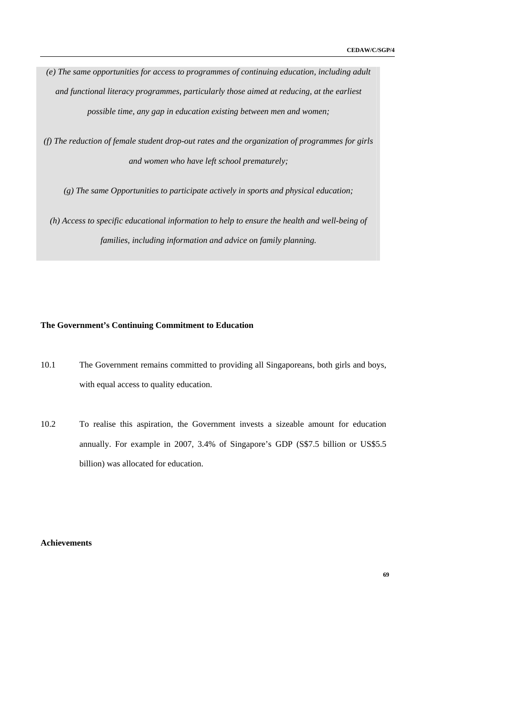*(e) The same opportunities for access to programmes of continuing education, including adult and functional literacy programmes, particularly those aimed at reducing, at the earliest possible time, any gap in education existing between men and women;* 

*(f) The reduction of female student drop-out rates and the organization of programmes for girls and women who have left school prematurely;* 

*(g) The same Opportunities to participate actively in sports and physical education;* 

*(h) Access to specific educational information to help to ensure the health and well-being of families, including information and advice on family planning.* 

# **The Government's Continuing Commitment to Education**

- 10.1 The Government remains committed to providing all Singaporeans, both girls and boys, with equal access to quality education.
- 10.2 To realise this aspiration, the Government invests a sizeable amount for education annually. For example in 2007, 3.4% of Singapore's GDP (S\$7.5 billion or US\$5.5 billion) was allocated for education.

# **Achievements**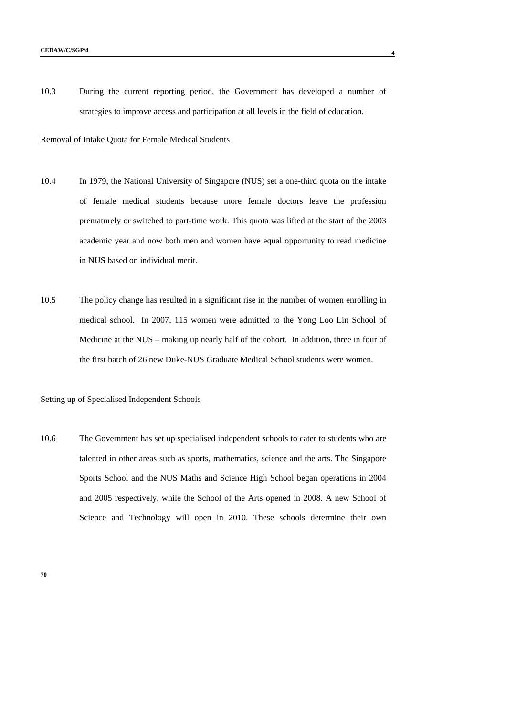10.3 During the current reporting period, the Government has developed a number of strategies to improve access and participation at all levels in the field of education.

### Removal of Intake Quota for Female Medical Students

- 10.4 In 1979, the National University of Singapore (NUS) set a one-third quota on the intake of female medical students because more female doctors leave the profession prematurely or switched to part-time work. This quota was lifted at the start of the 2003 academic year and now both men and women have equal opportunity to read medicine in NUS based on individual merit.
- 10.5 The policy change has resulted in a significant rise in the number of women enrolling in medical school. In 2007, 115 women were admitted to the Yong Loo Lin School of Medicine at the NUS – making up nearly half of the cohort. In addition, three in four of the first batch of 26 new Duke-NUS Graduate Medical School students were women.

# Setting up of Specialised Independent Schools

10.6 The Government has set up specialised independent schools to cater to students who are talented in other areas such as sports, mathematics, science and the arts. The Singapore Sports School and the NUS Maths and Science High School began operations in 2004 and 2005 respectively, while the School of the Arts opened in 2008. A new School of Science and Technology will open in 2010. These schools determine their own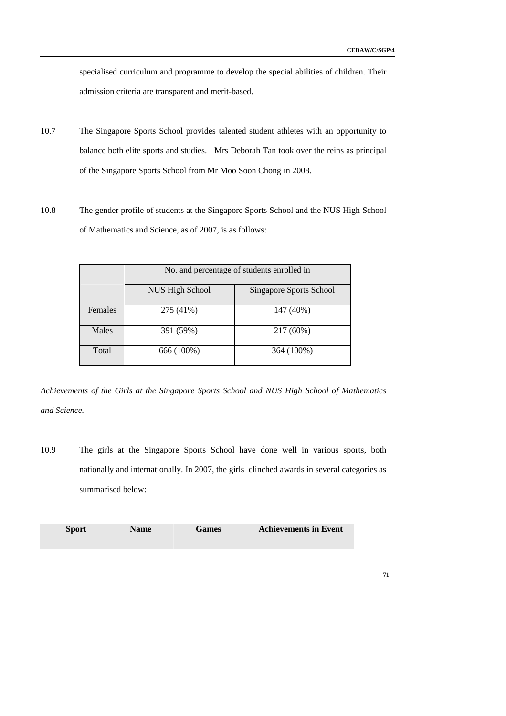specialised curriculum and programme to develop the special abilities of children. Their admission criteria are transparent and merit-based.

- 10.7 The Singapore Sports School provides talented student athletes with an opportunity to balance both elite sports and studies. Mrs Deborah Tan took over the reins as principal of the Singapore Sports School from Mr Moo Soon Chong in 2008.
- 10.8 The gender profile of students at the Singapore Sports School and the NUS High School of Mathematics and Science, as of 2007, is as follows:

|         |                 | No. and percentage of students enrolled in |
|---------|-----------------|--------------------------------------------|
|         | NUS High School | Singapore Sports School                    |
| Females | 275 (41%)       | 147 (40%)                                  |
| Males   | 391 (59%)       | 217 (60%)                                  |
| Total   | 666 (100%)      | 364 (100%)                                 |

*Achievements of the Girls at the Singapore Sports School and NUS High School of Mathematics and Science.* 

10.9 The girls at the Singapore Sports School have done well in various sports, both nationally and internationally. In 2007, the girls clinched awards in several categories as summarised below:

| <b>Sport</b> | <b>Name</b> | <b>Games</b> | <b>Achievements in Event</b> |
|--------------|-------------|--------------|------------------------------|
|--------------|-------------|--------------|------------------------------|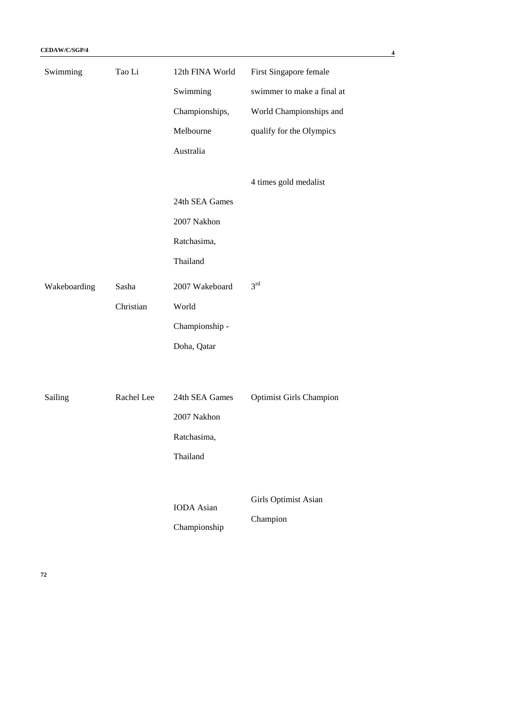| Swimming       | Tao Li     | 12th FINA World   | First Singapore female         |
|----------------|------------|-------------------|--------------------------------|
|                |            | Swimming          | swimmer to make a final at     |
|                |            | Championships,    | World Championships and        |
|                |            | Melbourne         | qualify for the Olympics       |
|                |            | Australia         |                                |
|                |            |                   | 4 times gold medalist          |
|                |            | 24th SEA Games    |                                |
|                |            | 2007 Nakhon       |                                |
|                |            | Ratchasima,       |                                |
|                |            | Thailand          |                                |
| Wakeboarding   | Sasha      | 2007 Wakeboard    | $3^{\text{rd}}$                |
|                | Christian  | World             |                                |
|                |            | Championship -    |                                |
|                |            | Doha, Qatar       |                                |
|                |            |                   |                                |
| <b>Sailing</b> | Rachel Lee | 24th SEA Games    | <b>Optimist Girls Champion</b> |
|                |            | 2007 Nakhon       |                                |
|                |            | Ratchasima,       |                                |
|                |            | Thailand          |                                |
|                |            |                   |                                |
|                |            | <b>IODA</b> Asian | Girls Optimist Asian           |
|                |            |                   | Champion                       |
|                |            | Championship      |                                |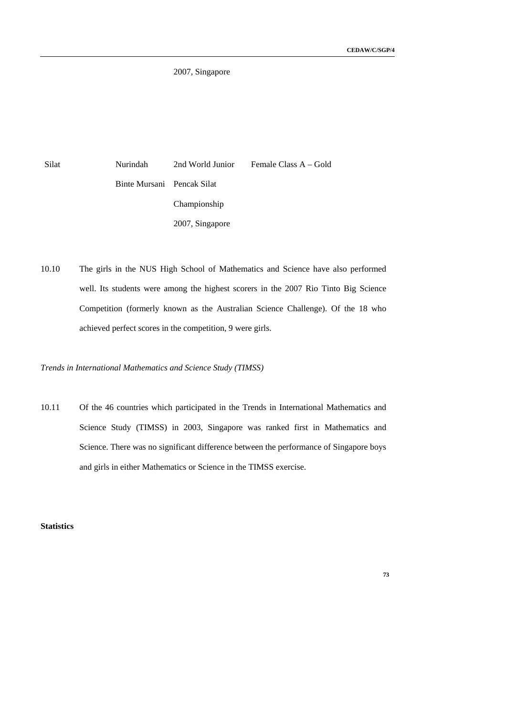2007, Singapore

Silat Nurindah Binte Mursani 2nd World Junior Pencak Silat Championship 2007, Singapore Female Class A – Gold

10.10 The girls in the NUS High School of Mathematics and Science have also performed well. Its students were among the highest scorers in the 2007 Rio Tinto Big Science Competition (formerly known as the Australian Science Challenge). Of the 18 who achieved perfect scores in the competition, 9 were girls.

*Trends in International Mathematics and Science Study (TIMSS)* 

10.11 Of the 46 countries which participated in the Trends in International Mathematics and Science Study (TIMSS) in 2003, Singapore was ranked first in Mathematics and Science. There was no significant difference between the performance of Singapore boys and girls in either Mathematics or Science in the TIMSS exercise.

**Statistics**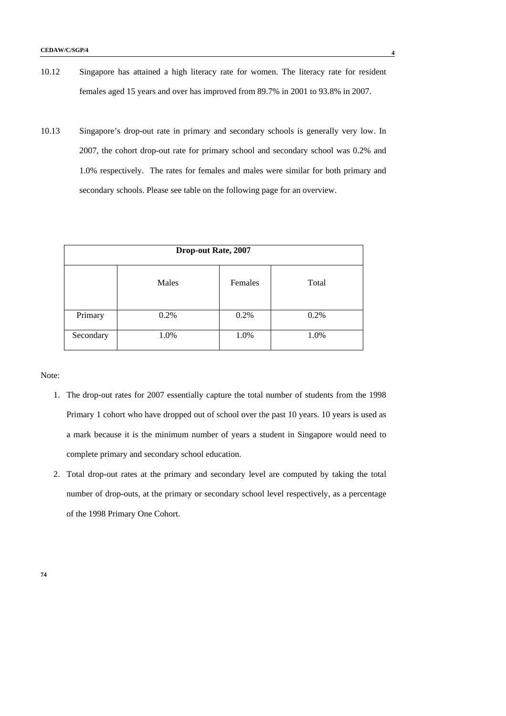- 10.12 Singapore has attained a high literacy rate for women. The literacy rate for resident females aged 15 years and over has improved from 89.7% in 2001 to 93.8% in 2007.
- 10.13 Singapore's drop-out rate in primary and secondary schools is generally very low. In 2007, the cohort drop-out rate for primary school and secondary school was 0.2% and 1.0% respectively. The rates for females and males were similar for both primary and secondary schools. Please see table on the following page for an overview.

|           | <b>Drop-out Rate, 2007</b> |         |       |
|-----------|----------------------------|---------|-------|
|           | Males                      | Females | Total |
| Primary   | 0.2%                       | 0.2%    | 0.2%  |
| Secondary | 1.0%                       | 1.0%    | 1.0%  |

Note:

- 1. The drop-out rates for 2007 essentially capture the total number of students from the 1998 Primary 1 cohort who have dropped out of school over the past 10 years. 10 years is used as a mark because it is the minimum number of years a student in Singapore would need to complete primary and secondary school education.
- 2. Total drop-out rates at the primary and secondary level are computed by taking the total number of drop-outs, at the primary or secondary school level respectively, as a percentage of the 1998 Primary One Cohort.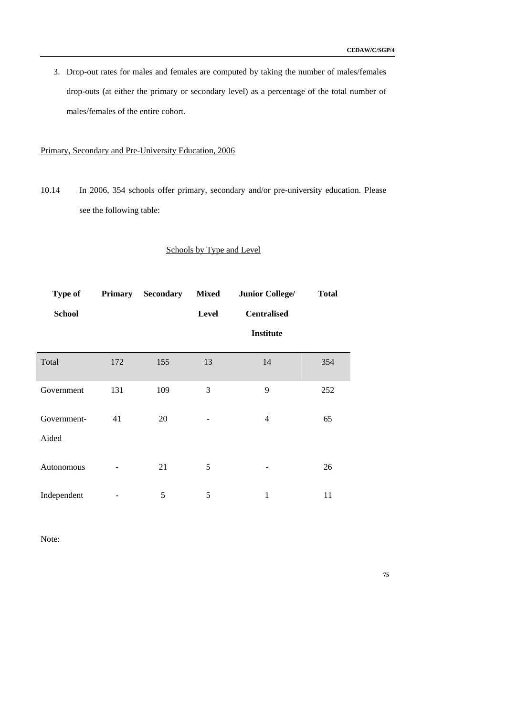3. Drop-out rates for males and females are computed by taking the number of males/females drop-outs (at either the primary or secondary level) as a percentage of the total number of males/females of the entire cohort.

# Primary, Secondary and Pre-University Education, 2006

10.14 In 2006, 354 schools offer primary, secondary and/or pre-university education. Please see the following table:

# Schools by Type and Level

| <b>Type of</b>       |     | <b>Primary</b> Secondary | <b>Mixed</b> | <b>Junior College/</b> | <b>Total</b> |
|----------------------|-----|--------------------------|--------------|------------------------|--------------|
| <b>School</b>        |     |                          | Level        | <b>Centralised</b>     |              |
|                      |     |                          |              | <b>Institute</b>       |              |
| Total                | 172 | 155                      | 13           | 14                     | 354          |
| Government           | 131 | 109                      | 3            | 9                      | 252          |
| Government-<br>Aided | 41  | 20                       |              | $\overline{4}$         | 65           |
|                      |     |                          |              |                        |              |
| Autonomous           |     | 21                       | 5            |                        | 26           |
| Independent          |     | 5                        | 5            | 1                      | 11           |

Note: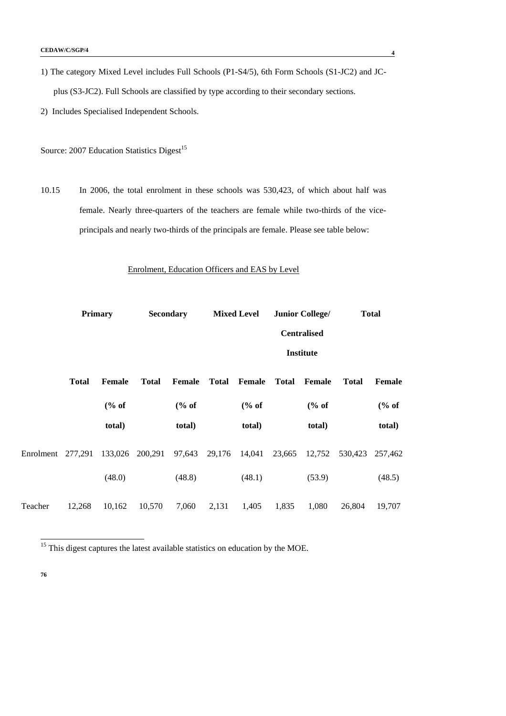- 1) The category Mixed Level includes Full Schools (P1-S4/5), 6th Form Schools (S1-JC2) and JCplus (S3-JC2). Full Schools are classified by type according to their secondary sections.
- 2) Includes Specialised Independent Schools.

Source: 2007 Education Statistics Digest<sup>15</sup>

10.15 In 2006, the total enrolment in these schools was 530,423, of which about half was female. Nearly three-quarters of the teachers are female while two-thirds of the viceprincipals and nearly two-thirds of the principals are female. Please see table below:

### Enrolment, Education Officers and EAS by Level

|           |              | <b>Primary</b>  | <b>Secondary</b> |               |              | <b>Mixed Level</b> |              | <b>Junior College/</b> |              | <b>Total</b> |
|-----------|--------------|-----------------|------------------|---------------|--------------|--------------------|--------------|------------------------|--------------|--------------|
|           |              |                 |                  |               |              |                    |              | <b>Centralised</b>     |              |              |
|           |              |                 |                  |               |              |                    |              | <b>Institute</b>       |              |              |
|           | <b>Total</b> | <b>Female</b>   | <b>Total</b>     | <b>Female</b> | <b>Total</b> | Female             | <b>Total</b> | <b>Female</b>          | <b>Total</b> | Female       |
|           |              | % of            |                  | % of          |              | % of               |              | % of                   |              | % of         |
|           |              | total)          |                  | total)        |              | total)             |              | total)                 |              | total)       |
| Enrolment | 277,291      | 133,026 200,291 |                  | 97,643        | 29,176       | 14,041             | 23,665       | 12,752                 | 530,423      | 257,462      |
|           |              | (48.0)          |                  | (48.8)        |              | (48.1)             |              | (53.9)                 |              | (48.5)       |
| Teacher   | 12,268       | 10,162          | 10,570           | 7,060         | 2,131        | 1,405              | 1,835        | 1,080                  | 26,804       | 19,707       |

 $15$  This digest captures the latest available statistics on education by the MOE.

-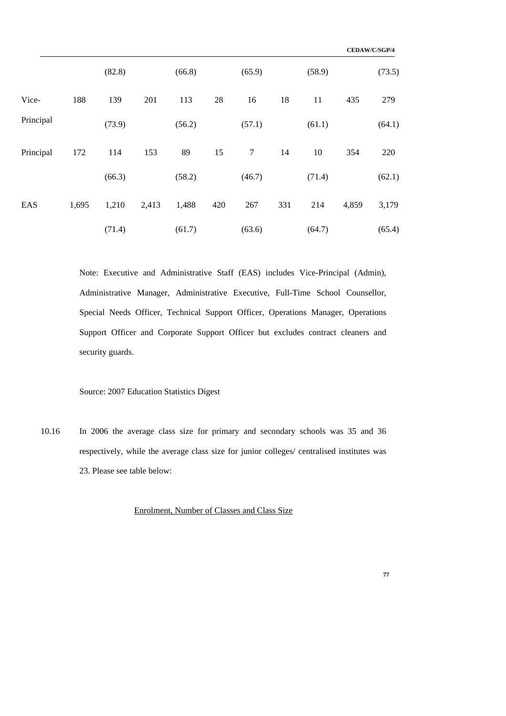|           |       |        |       |        |     |        |     |        |       | CEDAW/C/SGP/4 |
|-----------|-------|--------|-------|--------|-----|--------|-----|--------|-------|---------------|
|           |       | (82.8) |       | (66.8) |     | (65.9) |     | (58.9) |       | (73.5)        |
| Vice-     | 188   | 139    | 201   | 113    | 28  | 16     | 18  | 11     | 435   | 279           |
| Principal |       | (73.9) |       | (56.2) |     | (57.1) |     | (61.1) |       | (64.1)        |
| Principal | 172   | 114    | 153   | 89     | 15  | 7      | 14  | 10     | 354   | 220           |
|           |       | (66.3) |       | (58.2) |     | (46.7) |     | (71.4) |       | (62.1)        |
| EAS       | 1,695 | 1,210  | 2,413 | 1,488  | 420 | 267    | 331 | 214    | 4,859 | 3,179         |
|           |       | (71.4) |       | (61.7) |     | (63.6) |     | (64.7) |       | (65.4)        |

Note: Executive and Administrative Staff (EAS) includes Vice-Principal (Admin), Administrative Manager, Administrative Executive, Full-Time School Counsellor, Special Needs Officer, Technical Support Officer, Operations Manager, Operations Support Officer and Corporate Support Officer but excludes contract cleaners and security guards.

# Source: 2007 Education Statistics Digest

10.16 In 2006 the average class size for primary and secondary schools was 35 and 36 respectively, while the average class size for junior colleges/ centralised institutes was 23. Please see table below:

# Enrolment, Number of Classes and Class Size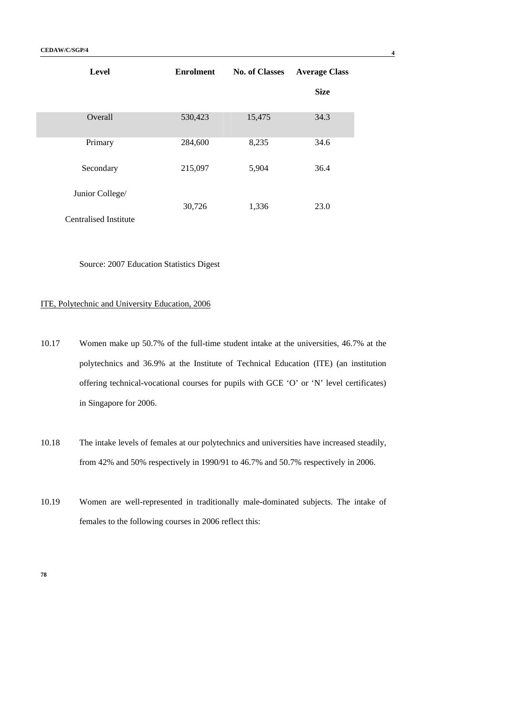| <b>Level</b>          | <b>Enrolment</b> | <b>No. of Classes</b> | <b>Average Class</b> |
|-----------------------|------------------|-----------------------|----------------------|
|                       |                  |                       | <b>Size</b>          |
| Overall               | 530,423          | 15,475                | 34.3                 |
| Primary               | 284,600          | 8,235                 | 34.6                 |
| Secondary             | 215,097          | 5,904                 | 36.4                 |
| Junior College/       | 30,726           | 1,336                 | 23.0                 |
| Centralised Institute |                  |                       |                      |

Source: 2007 Education Statistics Digest

# ITE, Polytechnic and University Education, 2006

- 10.17 Women make up 50.7% of the full-time student intake at the universities, 46.7% at the polytechnics and 36.9% at the Institute of Technical Education (ITE) (an institution offering technical-vocational courses for pupils with GCE 'O' or 'N' level certificates) in Singapore for 2006.
- 10.18 The intake levels of females at our polytechnics and universities have increased steadily, from 42% and 50% respectively in 1990/91 to 46.7% and 50.7% respectively in 2006.
- 10.19 Women are well-represented in traditionally male-dominated subjects. The intake of females to the following courses in 2006 reflect this: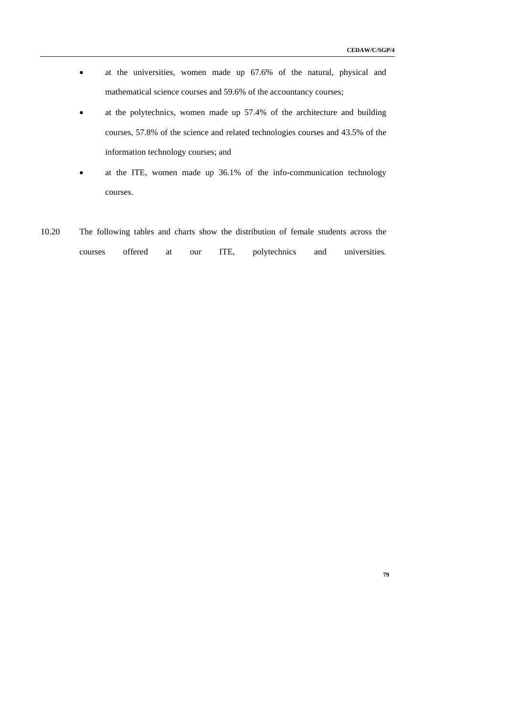- at the universities, women made up 67.6% of the natural, physical and mathematical science courses and 59.6% of the accountancy courses;
- at the polytechnics, women made up 57.4% of the architecture and building courses, 57.8% of the science and related technologies courses and 43.5% of the information technology courses; and
- at the ITE, women made up 36.1% of the info-communication technology courses.
- 10.20 The following tables and charts show the distribution of female students across the courses offered at our ITE, polytechnics and universities.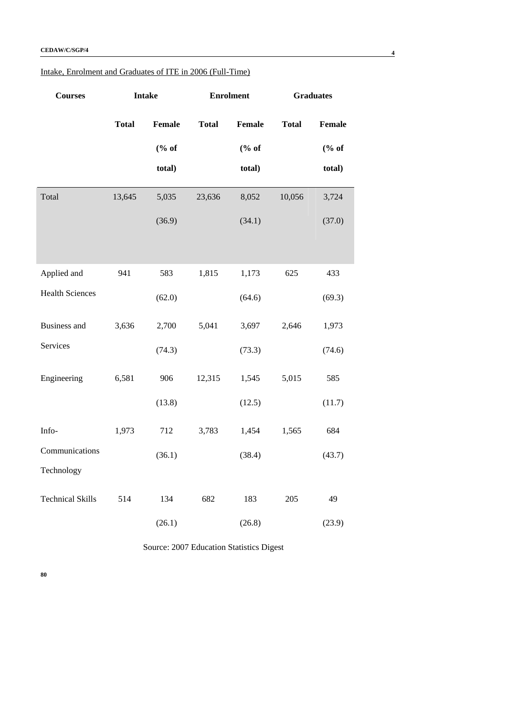| Intake, Enrolment and Graduates of ITE in 2006 (Full-Time) |
|------------------------------------------------------------|
|------------------------------------------------------------|

| <b>Courses</b>          |              | <b>Intake</b> |              | <b>Enrolment</b> |              | <b>Graduates</b>       |
|-------------------------|--------------|---------------|--------------|------------------|--------------|------------------------|
|                         | <b>Total</b> | <b>Female</b> | <b>Total</b> | Female           | <b>Total</b> | Female                 |
|                         |              | % of          |              | % of             |              | $(% \mathbf{A})$ (% of |
|                         |              | total)        |              | total)           |              | total)                 |
| Total                   | 13,645       | 5,035         | 23,636       | 8,052            | 10,056       | 3,724                  |
|                         |              | (36.9)        |              | (34.1)           |              | (37.0)                 |
|                         |              |               |              |                  |              |                        |
| Applied and             | 941          | 583           | 1,815        | 1,173            | 625          | 433                    |
| <b>Health Sciences</b>  |              | (62.0)        |              | (64.6)           |              | (69.3)                 |
| <b>Business and</b>     | 3,636        | 2,700         | 5,041        | 3,697            | 2,646        | 1,973                  |
| Services                |              | (74.3)        |              | (73.3)           |              | (74.6)                 |
| Engineering             | 6,581        | 906           | 12,315       | 1,545            | 5,015        | 585                    |
|                         |              | (13.8)        |              | (12.5)           |              | (11.7)                 |
| Info-                   | 1,973        | 712           | 3,783        | 1,454            | 1,565        | 684                    |
| Communications          |              | (36.1)        |              | (38.4)           |              | (43.7)                 |
| Technology              |              |               |              |                  |              |                        |
| <b>Technical Skills</b> | 514          | 134           | 682          | 183              | 205          | 49                     |
|                         |              | (26.1)        |              | (26.8)           |              | (23.9)                 |

Source: 2007 Education Statistics Digest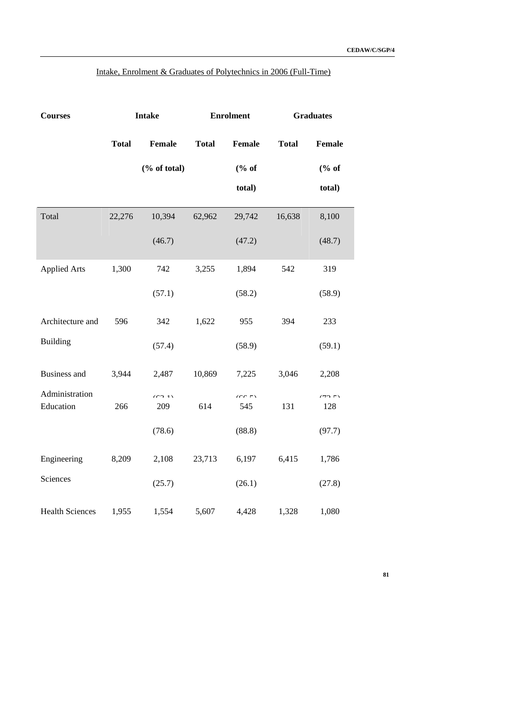| Intake, Enrolment & Graduates of Polytechnics in 2006 (Full-Time) |  |  |  |  |  |
|-------------------------------------------------------------------|--|--|--|--|--|
|                                                                   |  |  |  |  |  |

| <b>Courses</b>              |              |                               | <b>Enrolment</b><br><b>Intake</b> |                   |              | <b>Graduates</b> |  |  |
|-----------------------------|--------------|-------------------------------|-----------------------------------|-------------------|--------------|------------------|--|--|
|                             | <b>Total</b> | <b>Female</b>                 | <b>Total</b>                      | <b>Female</b>     | <b>Total</b> | <b>Female</b>    |  |  |
|                             |              | $(% \mathbf{A})$ (% of total) |                                   | % of              |              | % of             |  |  |
|                             |              |                               |                                   | total)            |              | total)           |  |  |
| Total                       | 22,276       | 10,394                        | 62,962                            | 29,742            | 16,638       | 8,100            |  |  |
|                             |              | (46.7)                        |                                   | (47.2)            |              | (48.7)           |  |  |
| <b>Applied Arts</b>         | 1,300        | 742                           | 3,255                             | 1,894             | 542          | 319              |  |  |
|                             |              | (57.1)                        |                                   | (58.2)            |              | (58.9)           |  |  |
| Architecture and            | 596          | 342                           | 1,622                             | 955               | 394          | 233              |  |  |
| <b>Building</b>             |              | (57.4)                        |                                   | (58.9)            |              | (59.1)           |  |  |
| <b>Business and</b>         | 3,944        | 2,487                         | 10,869                            | 7,225             | 3,046        | 2,208            |  |  |
| Administration<br>Education | 266          | (62.1)<br>209                 | 614                               | $\sqrt{2}$<br>545 | 131          | (72)<br>128      |  |  |
|                             |              | (78.6)                        |                                   | (88.8)            |              | (97.7)           |  |  |
| Engineering                 | 8,209        | 2,108                         | 23,713                            | 6,197             | 6,415        | 1,786            |  |  |
| Sciences                    |              | (25.7)                        |                                   | (26.1)            |              | (27.8)           |  |  |
| <b>Health Sciences</b>      | 1,955        | 1,554                         | 5,607                             | 4,428             | 1,328        | 1,080            |  |  |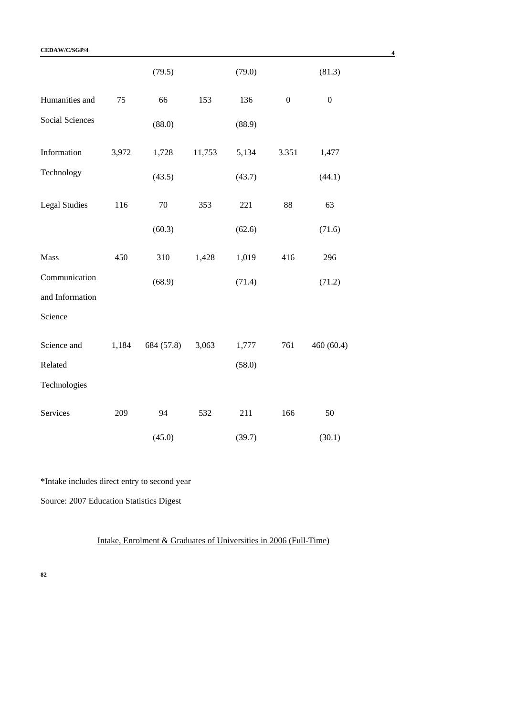|                        |       | (79.5)     |        | (79.0) |                  | (81.3)           |
|------------------------|-------|------------|--------|--------|------------------|------------------|
| Humanities and         | 75    | 66         | 153    | 136    | $\boldsymbol{0}$ | $\boldsymbol{0}$ |
| <b>Social Sciences</b> |       | (88.0)     |        | (88.9) |                  |                  |
| Information            | 3,972 | 1,728      | 11,753 | 5,134  | 3.351            | 1,477            |
| Technology             |       | (43.5)     |        | (43.7) |                  | (44.1)           |
| <b>Legal Studies</b>   | 116   | 70         | 353    | 221    | 88               | 63               |
|                        |       | (60.3)     |        | (62.6) |                  | (71.6)           |
| Mass                   | 450   | 310        | 1,428  | 1,019  | 416              | 296              |
| Communication          |       | (68.9)     |        | (71.4) |                  | (71.2)           |
| and Information        |       |            |        |        |                  |                  |
| Science                |       |            |        |        |                  |                  |
| Science and            | 1,184 | 684 (57.8) | 3,063  | 1,777  | 761              | 460(60.4)        |
| Related                |       |            |        | (58.0) |                  |                  |
| Technologies           |       |            |        |        |                  |                  |
| Services               | 209   | 94         | 532    | 211    | 166              | 50               |
|                        |       | (45.0)     |        | (39.7) |                  | (30.1)           |

\*Intake includes direct entry to second year

Source: 2007 Education Statistics Digest

Intake, Enrolment & Graduates of Universities in 2006 (Full-Time)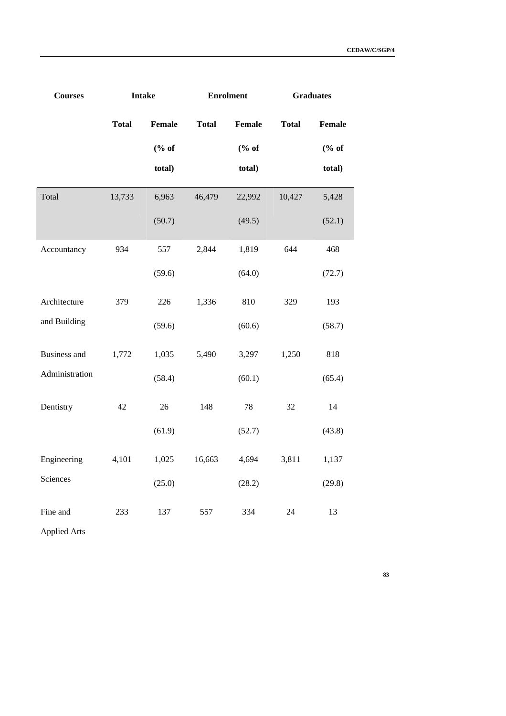| <b>Courses</b>      |              | <b>Intake</b> | <b>Enrolment</b> |                        | <b>Graduates</b> |        |
|---------------------|--------------|---------------|------------------|------------------------|------------------|--------|
|                     | <b>Total</b> | Female        | <b>Total</b>     | Female                 | <b>Total</b>     | Female |
|                     |              | % of          |                  | $(% \mathbf{A})$ (% of |                  | % of   |
|                     |              | total)        |                  | total)                 |                  | total) |
| Total               | 13,733       | 6,963         | 46,479           | 22,992                 | 10,427           | 5,428  |
|                     |              | (50.7)        |                  | (49.5)                 |                  | (52.1) |
| Accountancy         | 934          | 557           | 2,844            | 1,819                  | 644              | 468    |
|                     |              | (59.6)        |                  | (64.0)                 |                  | (72.7) |
| Architecture        | 379          | 226           | 1,336            | 810                    | 329              | 193    |
| and Building        |              | (59.6)        |                  | (60.6)                 |                  | (58.7) |
| <b>Business and</b> | 1,772        | 1,035         | 5,490            | 3,297                  | 1,250            | 818    |
| Administration      |              | (58.4)        |                  | (60.1)                 |                  | (65.4) |
| Dentistry           | 42           | 26            | 148              | 78                     | 32               | 14     |
|                     |              | (61.9)        |                  | (52.7)                 |                  | (43.8) |
| Engineering         | 4,101        | 1,025         | 16,663           | 4,694                  | 3,811            | 1,137  |
| Sciences            |              | (25.0)        |                  | (28.2)                 |                  | (29.8) |
| Fine and            | 233          | 137           | 557              | 334                    | 24               | 13     |
| <b>Applied Arts</b> |              |               |                  |                        |                  |        |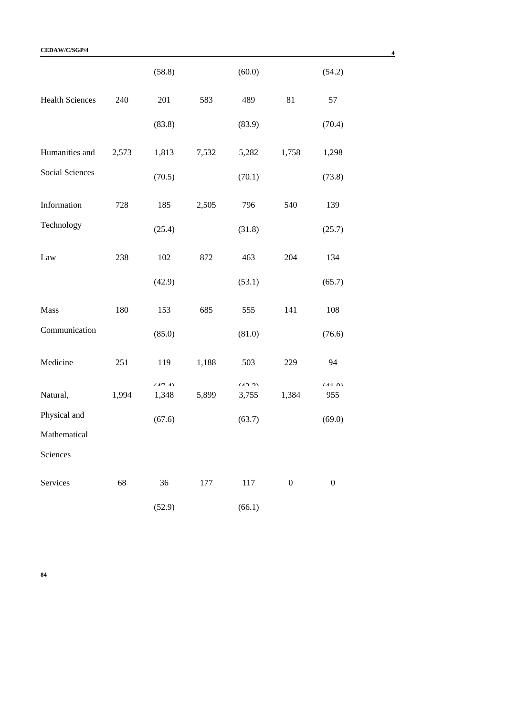|                        |       | (58.8)          |       | (60.0)          |                  | (54.2)           |
|------------------------|-------|-----------------|-------|-----------------|------------------|------------------|
| <b>Health Sciences</b> | 240   | 201             | 583   | 489             | 81               | 57               |
|                        |       | (83.8)          |       | (83.9)          |                  | (70.4)           |
| Humanities and         | 2,573 | 1,813           | 7,532 | 5,282           | 1,758            | 1,298            |
| Social Sciences        |       | (70.5)          |       | (70.1)          |                  | (73.8)           |
| Information            | 728   | 185             | 2,505 | 796             | 540              | 139              |
| Technology             |       | (25.4)          |       | (31.8)          |                  | (25.7)           |
| Law                    | 238   | 102             | 872   | 463             | 204              | 134              |
|                        |       | (42.9)          |       | (53.1)          |                  | (65.7)           |
| Mass                   | 180   | 153             | 685   | 555             | 141              | 108              |
| Communication          |       | (85.0)          |       | (81.0)          |                  | (76.6)           |
| Medicine               | 251   | 119             | 1,188 | 503             | 229              | 94               |
| Natural,               | 1,994 | (17.1)<br>1,348 | 5,899 | (10.2)<br>3,755 | 1,384            | (110)<br>955     |
| Physical and           |       | (67.6)          |       | (63.7)          |                  | (69.0)           |
| Mathematical           |       |                 |       |                 |                  |                  |
| Sciences               |       |                 |       |                 |                  |                  |
| Services               | 68    | 36              | 177   | 117             | $\boldsymbol{0}$ | $\boldsymbol{0}$ |
|                        |       | (52.9)          |       | (66.1)          |                  |                  |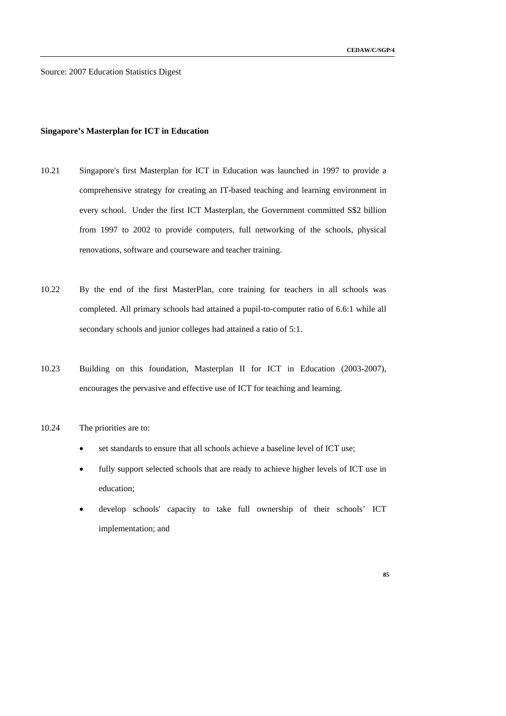Source: 2007 Education Statistics Digest

### **Singapore's Masterplan for ICT in Education**

- 10.21 Singapore's first Masterplan for ICT in Education was launched in 1997 to provide a comprehensive strategy for creating an IT-based teaching and learning environment in every school. Under the first ICT Masterplan, the Government committed S\$2 billion from 1997 to 2002 to provide computers, full networking of the schools, physical renovations, software and courseware and teacher training.
- 10.22 By the end of the first MasterPlan, core training for teachers in all schools was completed. All primary schools had attained a pupil-to-computer ratio of 6.6:1 while all secondary schools and junior colleges had attained a ratio of 5:1.
- 10.23 Building on this foundation, Masterplan II for ICT in Education (2003-2007), encourages the pervasive and effective use of ICT for teaching and learning.
- 10.24 The priorities are to:
	- set standards to ensure that all schools achieve a baseline level of ICT use;
	- fully support selected schools that are ready to achieve higher levels of ICT use in education;
	- develop schools' capacity to take full ownership of their schools' ICT implementation; and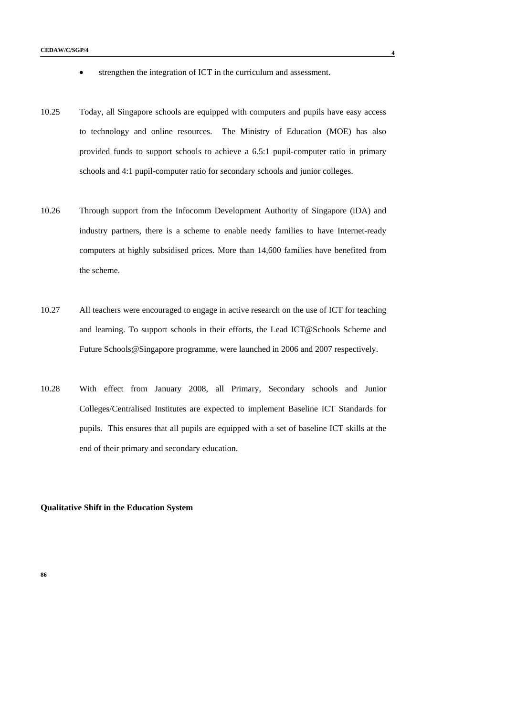- strengthen the integration of ICT in the curriculum and assessment.
- 10.25 Today, all Singapore schools are equipped with computers and pupils have easy access to technology and online resources. The Ministry of Education (MOE) has also provided funds to support schools to achieve a 6.5:1 pupil-computer ratio in primary schools and 4:1 pupil-computer ratio for secondary schools and junior colleges.
- 10.26 Through support from the Infocomm Development Authority of Singapore (iDA) and industry partners, there is a scheme to enable needy families to have Internet-ready computers at highly subsidised prices. More than 14,600 families have benefited from the scheme.
- 10.27 All teachers were encouraged to engage in active research on the use of ICT for teaching and learning. To support schools in their efforts, the Lead ICT@Schools Scheme and Future Schools@Singapore programme, were launched in 2006 and 2007 respectively.
- 10.28 With effect from January 2008, all Primary, Secondary schools and Junior Colleges/Centralised Institutes are expected to implement Baseline ICT Standards for pupils. This ensures that all pupils are equipped with a set of baseline ICT skills at the end of their primary and secondary education.

# **Qualitative Shift in the Education System**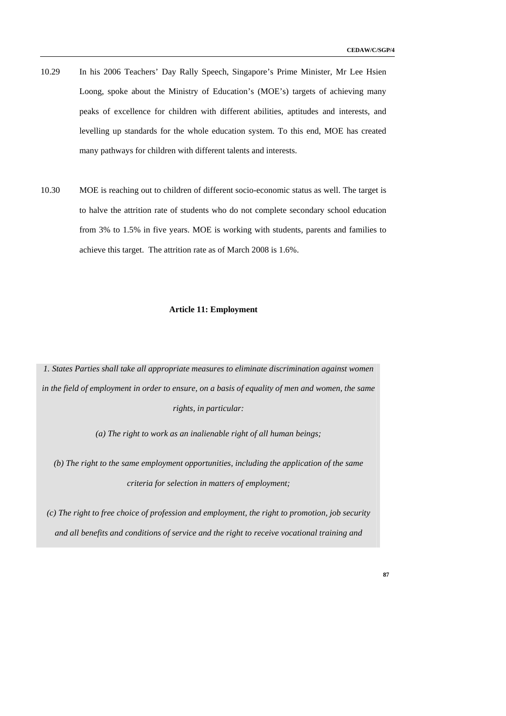- 10.29 In his 2006 Teachers' Day Rally Speech, Singapore's Prime Minister, Mr Lee Hsien Loong, spoke about the Ministry of Education's (MOE's) targets of achieving many peaks of excellence for children with different abilities, aptitudes and interests, and levelling up standards for the whole education system. To this end, MOE has created many pathways for children with different talents and interests.
- 10.30 MOE is reaching out to children of different socio-economic status as well. The target is to halve the attrition rate of students who do not complete secondary school education from 3% to 1.5% in five years. MOE is working with students, parents and families to achieve this target. The attrition rate as of March 2008 is 1.6%.

#### **Article 11: Employment**

*1. States Parties shall take all appropriate measures to eliminate discrimination against women in the field of employment in order to ensure, on a basis of equality of men and women, the same rights, in particular:* 

*(a) The right to work as an inalienable right of all human beings;* 

*(b) The right to the same employment opportunities, including the application of the same criteria for selection in matters of employment;* 

*(c) The right to free choice of profession and employment, the right to promotion, job security and all benefits and conditions of service and the right to receive vocational training and*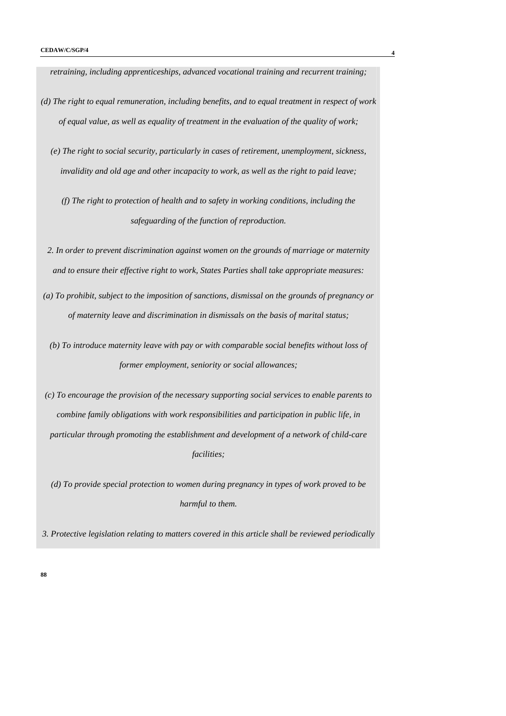*retraining, including apprenticeships, advanced vocational training and recurrent training;* 

- *(d) The right to equal remuneration, including benefits, and to equal treatment in respect of work of equal value, as well as equality of treatment in the evaluation of the quality of work;* 
	- *(e) The right to social security, particularly in cases of retirement, unemployment, sickness, invalidity and old age and other incapacity to work, as well as the right to paid leave;*

*(f) The right to protection of health and to safety in working conditions, including the safeguarding of the function of reproduction.* 

- *2. In order to prevent discrimination against women on the grounds of marriage or maternity and to ensure their effective right to work, States Parties shall take appropriate measures:*
- *(a) To prohibit, subject to the imposition of sanctions, dismissal on the grounds of pregnancy or of maternity leave and discrimination in dismissals on the basis of marital status;* 
	- *(b) To introduce maternity leave with pay or with comparable social benefits without loss of former employment, seniority or social allowances;*

*(c) To encourage the provision of the necessary supporting social services to enable parents to combine family obligations with work responsibilities and participation in public life, in particular through promoting the establishment and development of a network of child-care facilities;* 

*(d) To provide special protection to women during pregnancy in types of work proved to be harmful to them.* 

*3. Protective legislation relating to matters covered in this article shall be reviewed periodically*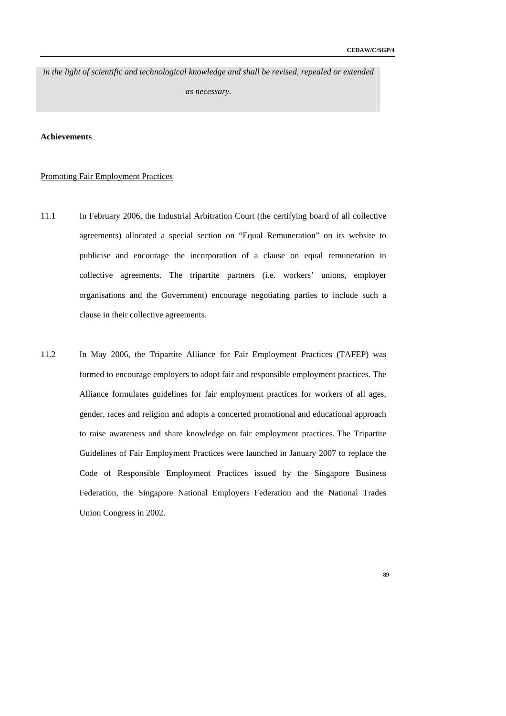*in the light of scientific and technological knowledge and shall be revised, repealed or extended* 

*as necessary.* 

# **Achievements**

### Promoting Fair Employment Practices

- 11.1 In February 2006, the Industrial Arbitration Court (the certifying board of all collective agreements) allocated a special section on "Equal Remuneration" on its website to publicise and encourage the incorporation of a clause on equal remuneration in collective agreements. The tripartite partners (i.e. workers' unions, employer organisations and the Government) encourage negotiating parties to include such a clause in their collective agreements.
- 11.2 In May 2006, the Tripartite Alliance for Fair Employment Practices (TAFEP) was formed to encourage employers to adopt fair and responsible employment practices. The Alliance formulates guidelines for fair employment practices for workers of all ages, gender, races and religion and adopts a concerted promotional and educational approach to raise awareness and share knowledge on fair employment practices. The Tripartite Guidelines of Fair Employment Practices were launched in January 2007 to replace the Code of Responsible Employment Practices issued by the Singapore Business Federation, the Singapore National Employers Federation and the National Trades Union Congress in 2002.
	- **89**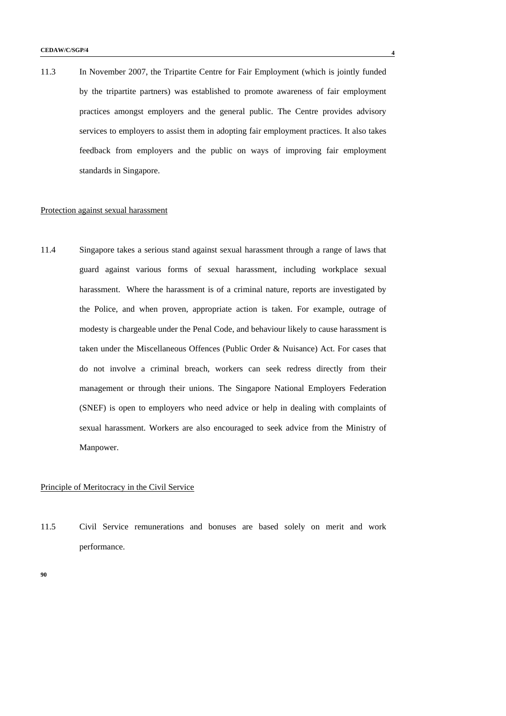11.3 In November 2007, the Tripartite Centre for Fair Employment (which is jointly funded by the tripartite partners) was established to promote awareness of fair employment practices amongst employers and the general public. The Centre provides advisory services to employers to assist them in adopting fair employment practices. It also takes feedback from employers and the public on ways of improving fair employment standards in Singapore.

#### Protection against sexual harassment

11.4 Singapore takes a serious stand against sexual harassment through a range of laws that guard against various forms of sexual harassment, including workplace sexual harassment. Where the harassment is of a criminal nature, reports are investigated by the Police, and when proven, appropriate action is taken. For example, outrage of modesty is chargeable under the Penal Code, and behaviour likely to cause harassment is taken under the Miscellaneous Offences (Public Order & Nuisance) Act. For cases that do not involve a criminal breach, workers can seek redress directly from their management or through their unions. The Singapore National Employers Federation (SNEF) is open to employers who need advice or help in dealing with complaints of sexual harassment. Workers are also encouraged to seek advice from the Ministry of Manpower.

# Principle of Meritocracy in the Civil Service

11.5 Civil Service remunerations and bonuses are based solely on merit and work performance.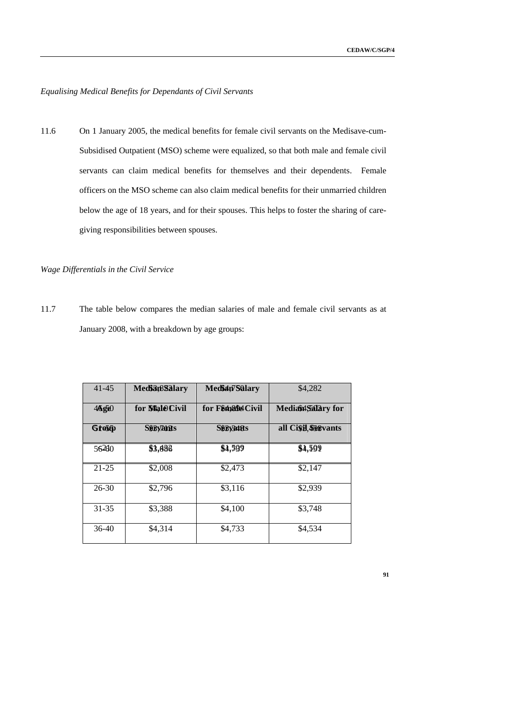# *Equalising Medical Benefits for Dependants of Civil Servants*

11.6 On 1 January 2005, the medical benefits for female civil servants on the Medisave-cum-Subsidised Outpatient (MSO) scheme were equalized, so that both male and female civil servants can claim medical benefits for themselves and their dependents. Female officers on the MSO scheme can also claim medical benefits for their unmarried children below the age of 18 years, and for their spouses. This helps to foster the sharing of caregiving responsibilities between spouses.

### *Wage Differentials in the Civil Service*

11.7 The table below compares the median salaries of male and female civil servants as at January 2008, with a breakdown by age groups:

| $41 - 45$ | <b>Mediatisalary</b> | Median7Salary        | \$4,282             |
|-----------|----------------------|----------------------|---------------------|
| 46g60     | for MaleCivil        | for F♂ Civil         | Mediaint Salary for |
| Grosp     | <b>Segyants</b>      | <b>S&amp;By34185</b> | all Cisil Segvants  |
| 56260     | \$3,886              | \$4,599              | \$4,599             |
| $21 - 25$ | \$2,008              | \$2,473              | \$2,147             |
| $26 - 30$ | \$2,796              | \$3,116              | \$2,939             |
| $31 - 35$ | \$3,388              | \$4,100              | \$3,748             |
| $36-40$   | \$4,314              | \$4,733              | \$4,534             |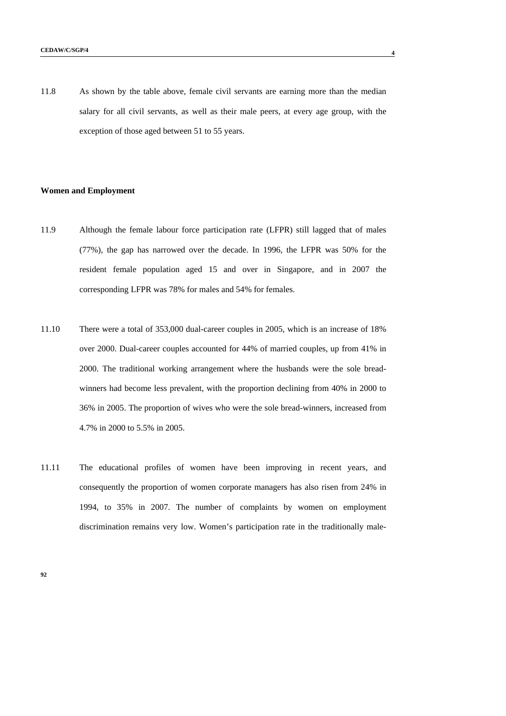11.8 As shown by the table above, female civil servants are earning more than the median salary for all civil servants, as well as their male peers, at every age group, with the exception of those aged between 51 to 55 years.

### **Women and Employment**

- 11.9 Although the female labour force participation rate (LFPR) still lagged that of males (77%), the gap has narrowed over the decade. In 1996, the LFPR was 50% for the resident female population aged 15 and over in Singapore, and in 2007 the corresponding LFPR was 78% for males and 54% for females.
- 11.10 There were a total of 353,000 dual-career couples in 2005, which is an increase of 18% over 2000. Dual-career couples accounted for 44% of married couples, up from 41% in 2000. The traditional working arrangement where the husbands were the sole breadwinners had become less prevalent, with the proportion declining from 40% in 2000 to 36% in 2005. The proportion of wives who were the sole bread-winners, increased from 4.7% in 2000 to 5.5% in 2005.
- 11.11 The educational profiles of women have been improving in recent years, and consequently the proportion of women corporate managers has also risen from 24% in 1994, to 35% in 2007. The number of complaints by women on employment discrimination remains very low. Women's participation rate in the traditionally male-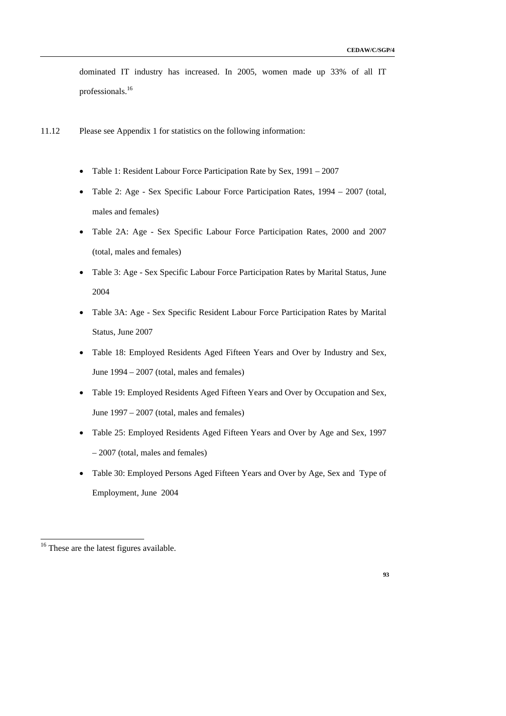dominated IT industry has increased. In 2005, women made up 33% of all IT professionals.16

- 11.12 Please see Appendix 1 for statistics on the following information:
	- Table 1: Resident Labour Force Participation Rate by Sex, 1991 2007
	- Table 2: Age Sex Specific Labour Force Participation Rates, 1994 2007 (total, males and females)
	- Table 2A: Age Sex Specific Labour Force Participation Rates, 2000 and 2007 (total, males and females)
	- Table 3: Age Sex Specific Labour Force Participation Rates by Marital Status, June 2004
	- Table 3A: Age Sex Specific Resident Labour Force Participation Rates by Marital Status, June 2007
	- Table 18: Employed Residents Aged Fifteen Years and Over by Industry and Sex, June 1994 – 2007 (total, males and females)
	- Table 19: Employed Residents Aged Fifteen Years and Over by Occupation and Sex, June 1997 – 2007 (total, males and females)
	- Table 25: Employed Residents Aged Fifteen Years and Over by Age and Sex, 1997 – 2007 (total, males and females)
	- Table 30: Employed Persons Aged Fifteen Years and Over by Age, Sex and Type of Employment, June 2004

-



<sup>&</sup>lt;sup>16</sup> These are the latest figures available.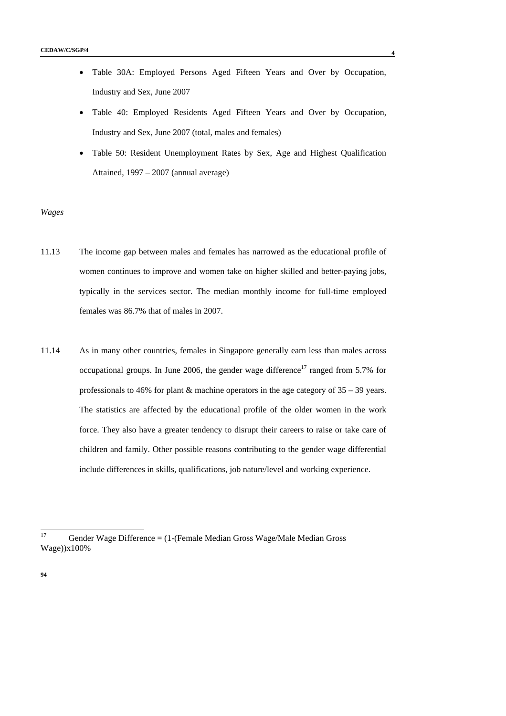- Table 30A: Employed Persons Aged Fifteen Years and Over by Occupation, Industry and Sex, June 2007
- Table 40: Employed Residents Aged Fifteen Years and Over by Occupation, Industry and Sex, June 2007 (total, males and females)
- Table 50: Resident Unemployment Rates by Sex, Age and Highest Qualification Attained, 1997 – 2007 (annual average)

#### *Wages*

- 11.13 The income gap between males and females has narrowed as the educational profile of women continues to improve and women take on higher skilled and better-paying jobs, typically in the services sector. The median monthly income for full-time employed females was 86.7% that of males in 2007.
- 11.14 As in many other countries, females in Singapore generally earn less than males across occupational groups. In June 2006, the gender wage difference<sup>17</sup> ranged from 5.7% for professionals to 46% for plant & machine operators in the age category of 35 – 39 years. The statistics are affected by the educational profile of the older women in the work force. They also have a greater tendency to disrupt their careers to raise or take care of children and family. Other possible reasons contributing to the gender wage differential include differences in skills, qualifications, job nature/level and working experience.

 $17$ 17 Gender Wage Difference = (1-(Female Median Gross Wage/Male Median Gross Wage))x100%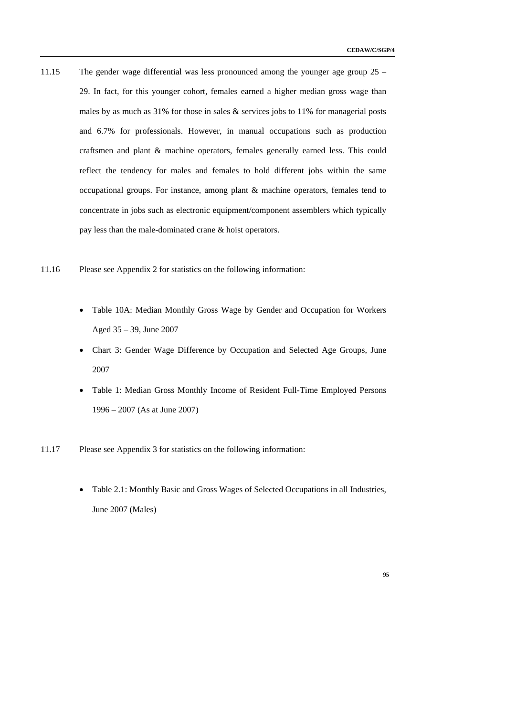- 11.15 The gender wage differential was less pronounced among the younger age group 25 29. In fact, for this younger cohort, females earned a higher median gross wage than males by as much as  $31\%$  for those in sales  $\&$  services jobs to 11% for managerial posts and 6.7% for professionals. However, in manual occupations such as production craftsmen and plant & machine operators, females generally earned less. This could reflect the tendency for males and females to hold different jobs within the same occupational groups. For instance, among plant & machine operators, females tend to concentrate in jobs such as electronic equipment/component assemblers which typically pay less than the male-dominated crane & hoist operators.
- 11.16 Please see Appendix 2 for statistics on the following information:
	- Table 10A: Median Monthly Gross Wage by Gender and Occupation for Workers Aged 35 – 39, June 2007
	- Chart 3: Gender Wage Difference by Occupation and Selected Age Groups, June 2007
	- Table 1: Median Gross Monthly Income of Resident Full-Time Employed Persons 1996 – 2007 (As at June 2007)
- 11.17 Please see Appendix 3 for statistics on the following information:
	- Table 2.1: Monthly Basic and Gross Wages of Selected Occupations in all Industries, June 2007 (Males)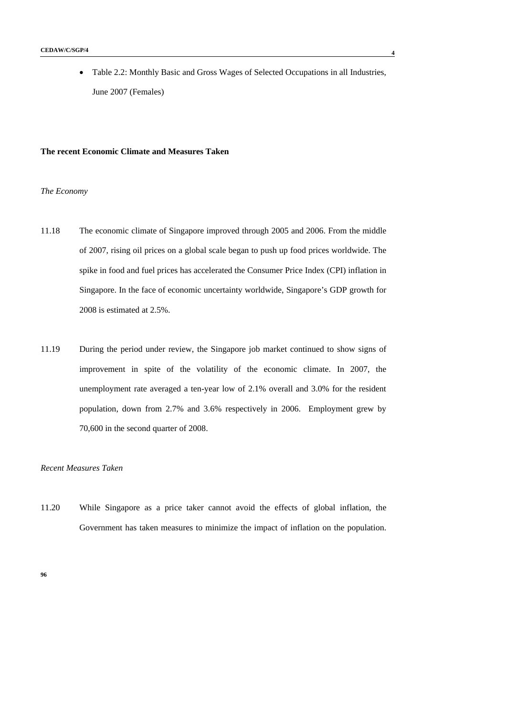• Table 2.2: Monthly Basic and Gross Wages of Selected Occupations in all Industries, June 2007 (Females)

### **The recent Economic Climate and Measures Taken**

# *The Economy*

- 11.18 The economic climate of Singapore improved through 2005 and 2006. From the middle of 2007, rising oil prices on a global scale began to push up food prices worldwide. The spike in food and fuel prices has accelerated the Consumer Price Index (CPI) inflation in Singapore. In the face of economic uncertainty worldwide, Singapore's GDP growth for 2008 is estimated at 2.5%.
- 11.19 During the period under review, the Singapore job market continued to show signs of improvement in spite of the volatility of the economic climate. In 2007, the unemployment rate averaged a ten-year low of 2.1% overall and 3.0% for the resident population, down from 2.7% and 3.6% respectively in 2006. Employment grew by 70,600 in the second quarter of 2008.

# *Recent Measures Taken*

11.20 While Singapore as a price taker cannot avoid the effects of global inflation, the Government has taken measures to minimize the impact of inflation on the population.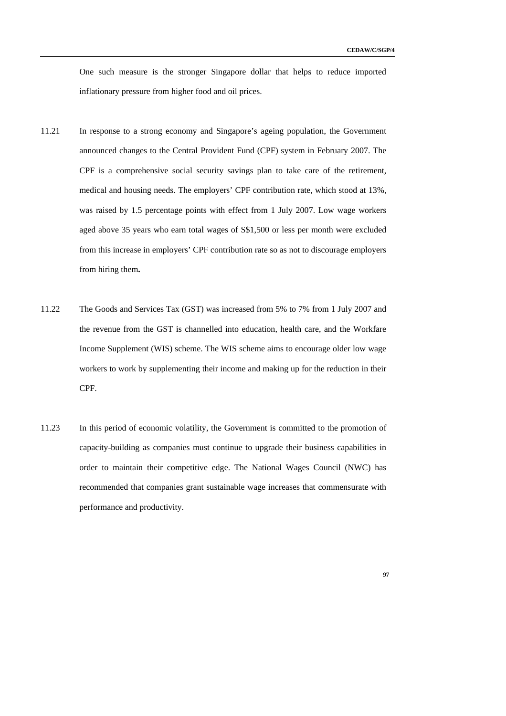One such measure is the stronger Singapore dollar that helps to reduce imported inflationary pressure from higher food and oil prices.

- 11.21 In response to a strong economy and Singapore's ageing population, the Government announced changes to the Central Provident Fund (CPF) system in February 2007. The CPF is a comprehensive social security savings plan to take care of the retirement, medical and housing needs. The employers' CPF contribution rate, which stood at 13%, was raised by 1.5 percentage points with effect from 1 July 2007. Low wage workers aged above 35 years who earn total wages of S\$1,500 or less per month were excluded from this increase in employers' CPF contribution rate so as not to discourage employers from hiring them**.**
- 11.22 The Goods and Services Tax (GST) was increased from 5% to 7% from 1 July 2007 and the revenue from the GST is channelled into education, health care, and the Workfare Income Supplement (WIS) scheme. The WIS scheme aims to encourage older low wage workers to work by supplementing their income and making up for the reduction in their CPF.
- 11.23 In this period of economic volatility, the Government is committed to the promotion of capacity-building as companies must continue to upgrade their business capabilities in order to maintain their competitive edge. The National Wages Council (NWC) has recommended that companies grant sustainable wage increases that commensurate with performance and productivity.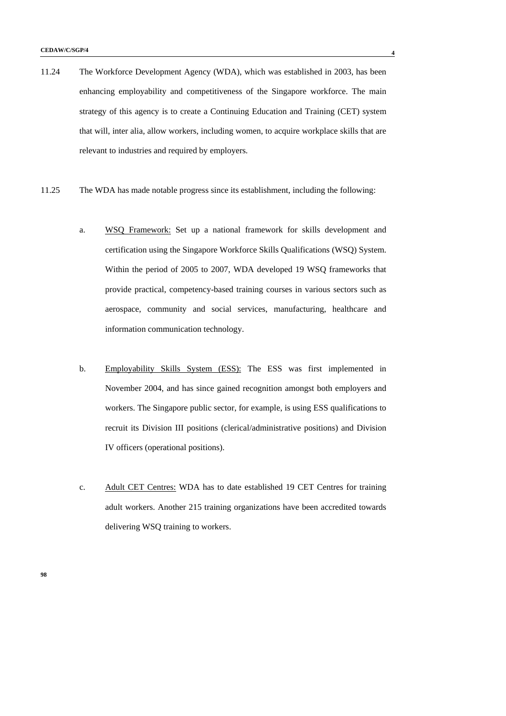- 11.24 The Workforce Development Agency (WDA), which was established in 2003, has been enhancing employability and competitiveness of the Singapore workforce. The main strategy of this agency is to create a Continuing Education and Training (CET) system that will, inter alia, allow workers, including women, to acquire workplace skills that are relevant to industries and required by employers.
- 11.25 The WDA has made notable progress since its establishment, including the following:
	- a. WSQ Framework: Set up a national framework for skills development and certification using the Singapore Workforce Skills Qualifications (WSQ) System. Within the period of 2005 to 2007, WDA developed 19 WSQ frameworks that provide practical, competency-based training courses in various sectors such as aerospace, community and social services, manufacturing, healthcare and information communication technology.
	- b. Employability Skills System (ESS): The ESS was first implemented in November 2004, and has since gained recognition amongst both employers and workers. The Singapore public sector, for example, is using ESS qualifications to recruit its Division III positions (clerical/administrative positions) and Division IV officers (operational positions).
	- c. Adult CET Centres: WDA has to date established 19 CET Centres for training adult workers. Another 215 training organizations have been accredited towards delivering WSQ training to workers.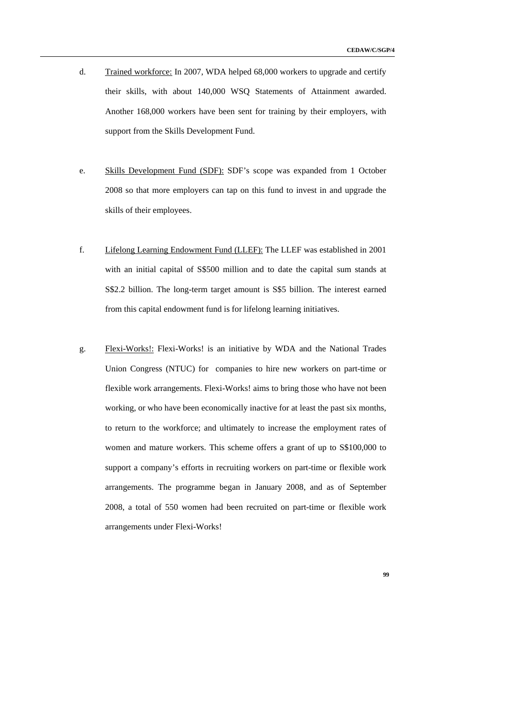- d. Trained workforce: In 2007, WDA helped 68,000 workers to upgrade and certify their skills, with about 140,000 WSQ Statements of Attainment awarded. Another 168,000 workers have been sent for training by their employers, with support from the Skills Development Fund.
- e. Skills Development Fund (SDF): SDF's scope was expanded from 1 October 2008 so that more employers can tap on this fund to invest in and upgrade the skills of their employees.
- f. Lifelong Learning Endowment Fund (LLEF): The LLEF was established in 2001 with an initial capital of S\$500 million and to date the capital sum stands at S\$2.2 billion. The long-term target amount is S\$5 billion. The interest earned from this capital endowment fund is for lifelong learning initiatives.
- g. Flexi-Works!: Flexi-Works! is an initiative by WDA and the National Trades Union Congress (NTUC) for companies to hire new workers on part-time or flexible work arrangements. Flexi-Works! aims to bring those who have not been working, or who have been economically inactive for at least the past six months, to return to the workforce; and ultimately to increase the employment rates of women and mature workers. This scheme offers a grant of up to S\$100,000 to support a company's efforts in recruiting workers on part-time or flexible work arrangements. The programme began in January 2008, and as of September 2008, a total of 550 women had been recruited on part-time or flexible work arrangements under Flexi-Works!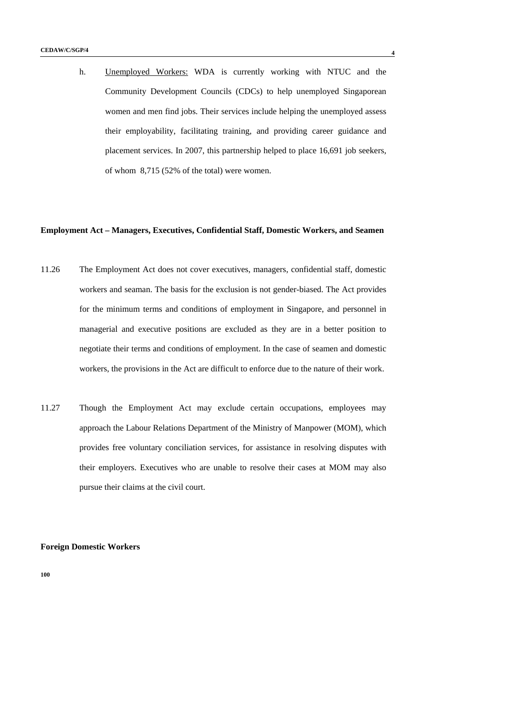h. Unemployed Workers: WDA is currently working with NTUC and the Community Development Councils (CDCs) to help unemployed Singaporean women and men find jobs. Their services include helping the unemployed assess their employability, facilitating training, and providing career guidance and placement services. In 2007, this partnership helped to place 16,691 job seekers, of whom 8,715 (52% of the total) were women.

#### **Employment Act – Managers, Executives, Confidential Staff, Domestic Workers, and Seamen**

- 11.26 The Employment Act does not cover executives, managers, confidential staff, domestic workers and seaman. The basis for the exclusion is not gender-biased. The Act provides for the minimum terms and conditions of employment in Singapore, and personnel in managerial and executive positions are excluded as they are in a better position to negotiate their terms and conditions of employment. In the case of seamen and domestic workers, the provisions in the Act are difficult to enforce due to the nature of their work.
- 11.27 Though the Employment Act may exclude certain occupations, employees may approach the Labour Relations Department of the Ministry of Manpower (MOM), which provides free voluntary conciliation services, for assistance in resolving disputes with their employers. Executives who are unable to resolve their cases at MOM may also pursue their claims at the civil court.

**Foreign Domestic Workers**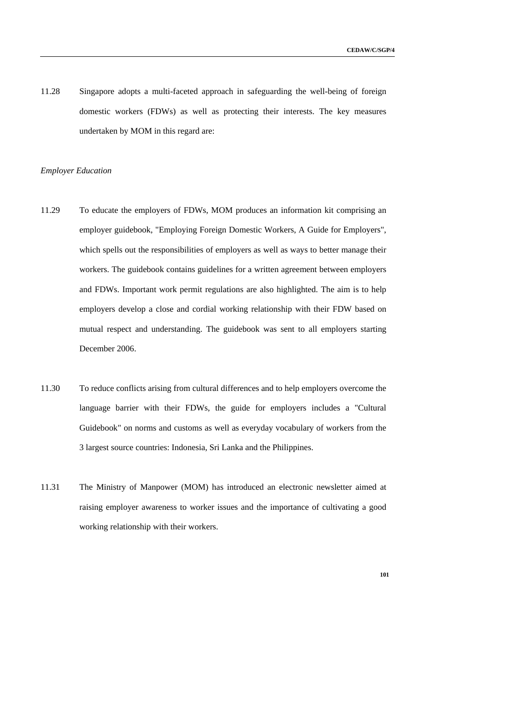11.28 Singapore adopts a multi-faceted approach in safeguarding the well-being of foreign domestic workers (FDWs) as well as protecting their interests. The key measures undertaken by MOM in this regard are:

### *Employer Education*

- 11.29 To educate the employers of FDWs, MOM produces an information kit comprising an employer guidebook, "Employing Foreign Domestic Workers, A Guide for Employers", which spells out the responsibilities of employers as well as ways to better manage their workers. The guidebook contains guidelines for a written agreement between employers and FDWs. Important work permit regulations are also highlighted. The aim is to help employers develop a close and cordial working relationship with their FDW based on mutual respect and understanding. The guidebook was sent to all employers starting December 2006.
- 11.30 To reduce conflicts arising from cultural differences and to help employers overcome the language barrier with their FDWs, the guide for employers includes a "Cultural Guidebook" on norms and customs as well as everyday vocabulary of workers from the 3 largest source countries: Indonesia, Sri Lanka and the Philippines.
- 11.31 The Ministry of Manpower (MOM) has introduced an electronic newsletter aimed at raising employer awareness to worker issues and the importance of cultivating a good working relationship with their workers.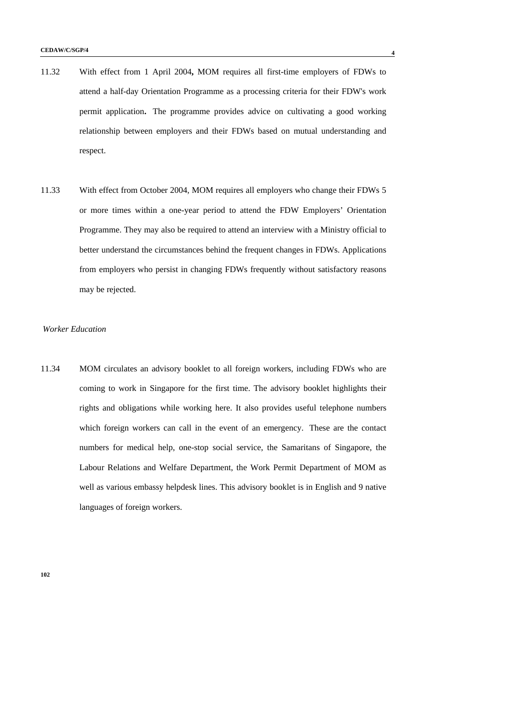- 11.32 With effect from 1 April 2004**,** MOM requires all first-time employers of FDWs to attend a half-day Orientation Programme as a processing criteria for their FDW's work permit application**.** The programme provides advice on cultivating a good working relationship between employers and their FDWs based on mutual understanding and respect.
- 11.33 With effect from October 2004, MOM requires all employers who change their FDWs 5 or more times within a one-year period to attend the FDW Employers' Orientation Programme. They may also be required to attend an interview with a Ministry official to better understand the circumstances behind the frequent changes in FDWs. Applications from employers who persist in changing FDWs frequently without satisfactory reasons may be rejected.

#### *Worker Education*

11.34 MOM circulates an advisory booklet to all foreign workers, including FDWs who are coming to work in Singapore for the first time. The advisory booklet highlights their rights and obligations while working here. It also provides useful telephone numbers which foreign workers can call in the event of an emergency. These are the contact numbers for medical help, one-stop social service, the Samaritans of Singapore, the Labour Relations and Welfare Department, the Work Permit Department of MOM as well as various embassy helpdesk lines. This advisory booklet is in English and 9 native languages of foreign workers.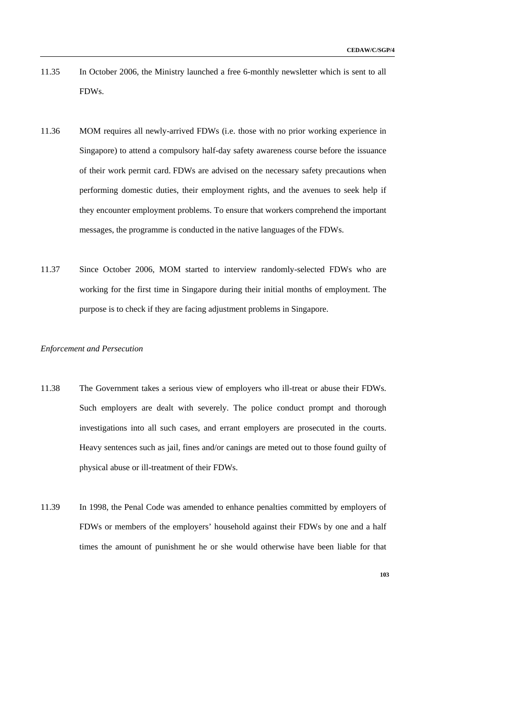- 11.35 In October 2006, the Ministry launched a free 6-monthly newsletter which is sent to all FDWs.
- 11.36 MOM requires all newly-arrived FDWs (i.e. those with no prior working experience in Singapore) to attend a compulsory half-day safety awareness course before the issuance of their work permit card. FDWs are advised on the necessary safety precautions when performing domestic duties, their employment rights, and the avenues to seek help if they encounter employment problems. To ensure that workers comprehend the important messages, the programme is conducted in the native languages of the FDWs.
- 11.37 Since October 2006, MOM started to interview randomly-selected FDWs who are working for the first time in Singapore during their initial months of employment. The purpose is to check if they are facing adjustment problems in Singapore.

# *Enforcement and Persecution*

- 11.38 The Government takes a serious view of employers who ill-treat or abuse their FDWs. Such employers are dealt with severely. The police conduct prompt and thorough investigations into all such cases, and errant employers are prosecuted in the courts. Heavy sentences such as jail, fines and/or canings are meted out to those found guilty of physical abuse or ill-treatment of their FDWs.
- 11.39 In 1998, the Penal Code was amended to enhance penalties committed by employers of FDWs or members of the employers' household against their FDWs by one and a half times the amount of punishment he or she would otherwise have been liable for that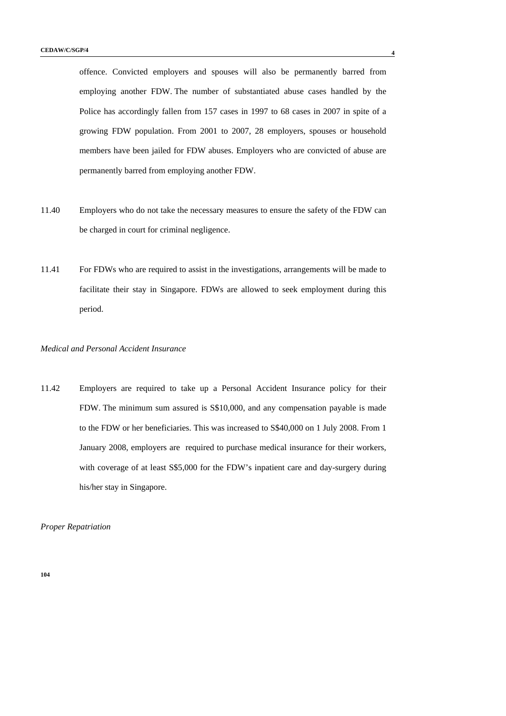offence. Convicted employers and spouses will also be permanently barred from employing another FDW. The number of substantiated abuse cases handled by the Police has accordingly fallen from 157 cases in 1997 to 68 cases in 2007 in spite of a growing FDW population. From 2001 to 2007, 28 employers, spouses or household members have been jailed for FDW abuses. Employers who are convicted of abuse are permanently barred from employing another FDW.

- 11.40 Employers who do not take the necessary measures to ensure the safety of the FDW can be charged in court for criminal negligence.
- 11.41 For FDWs who are required to assist in the investigations, arrangements will be made to facilitate their stay in Singapore. FDWs are allowed to seek employment during this period.

# *Medical and Personal Accident Insurance*

11.42 Employers are required to take up a Personal Accident Insurance policy for their FDW. The minimum sum assured is S\$10,000, and any compensation payable is made to the FDW or her beneficiaries. This was increased to S\$40,000 on 1 July 2008. From 1 January 2008, employers are required to purchase medical insurance for their workers, with coverage of at least S\$5,000 for the FDW's inpatient care and day-surgery during his/her stay in Singapore.

*Proper Repatriation*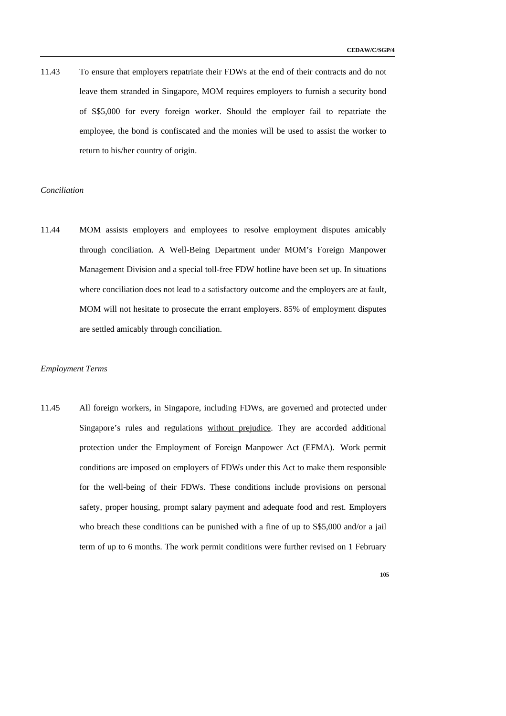11.43 To ensure that employers repatriate their FDWs at the end of their contracts and do not leave them stranded in Singapore, MOM requires employers to furnish a security bond of S\$5,000 for every foreign worker. Should the employer fail to repatriate the employee, the bond is confiscated and the monies will be used to assist the worker to return to his/her country of origin.

### *Conciliation*

11.44 MOM assists employers and employees to resolve employment disputes amicably through conciliation. A Well-Being Department under MOM's Foreign Manpower Management Division and a special toll-free FDW hotline have been set up. In situations where conciliation does not lead to a satisfactory outcome and the employers are at fault, MOM will not hesitate to prosecute the errant employers. 85% of employment disputes are settled amicably through conciliation.

#### *Employment Terms*

11.45 All foreign workers, in Singapore, including FDWs, are governed and protected under Singapore's rules and regulations without prejudice. They are accorded additional protection under the Employment of Foreign Manpower Act (EFMA). Work permit conditions are imposed on employers of FDWs under this Act to make them responsible for the well-being of their FDWs. These conditions include provisions on personal safety, proper housing, prompt salary payment and adequate food and rest. Employers who breach these conditions can be punished with a fine of up to  $S\$ 5,000 and/or a jail term of up to 6 months. The work permit conditions were further revised on 1 February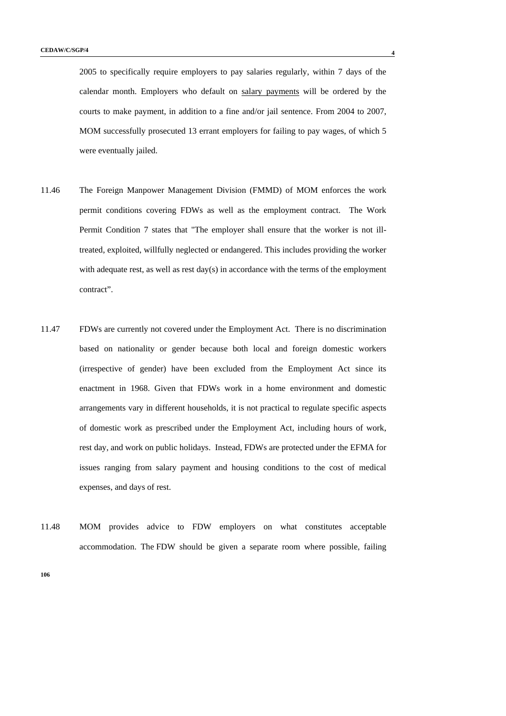2005 to specifically require employers to pay salaries regularly, within 7 days of the calendar month. Employers who default on salary payments will be ordered by the courts to make payment, in addition to a fine and/or jail sentence. From 2004 to 2007, MOM successfully prosecuted 13 errant employers for failing to pay wages, of which 5 were eventually jailed.

- 11.46 The Foreign Manpower Management Division (FMMD) of MOM enforces the work permit conditions covering FDWs as well as the employment contract. The Work Permit Condition 7 states that "The employer shall ensure that the worker is not illtreated, exploited, willfully neglected or endangered. This includes providing the worker with adequate rest, as well as rest day(s) in accordance with the terms of the employment contract".
- 11.47 FDWs are currently not covered under the Employment Act. There is no discrimination based on nationality or gender because both local and foreign domestic workers (irrespective of gender) have been excluded from the Employment Act since its enactment in 1968. Given that FDWs work in a home environment and domestic arrangements vary in different households, it is not practical to regulate specific aspects of domestic work as prescribed under the Employment Act, including hours of work, rest day, and work on public holidays. Instead, FDWs are protected under the EFMA for issues ranging from salary payment and housing conditions to the cost of medical expenses, and days of rest.
- 11.48 MOM provides advice to FDW employers on what constitutes acceptable accommodation. The FDW should be given a separate room where possible, failing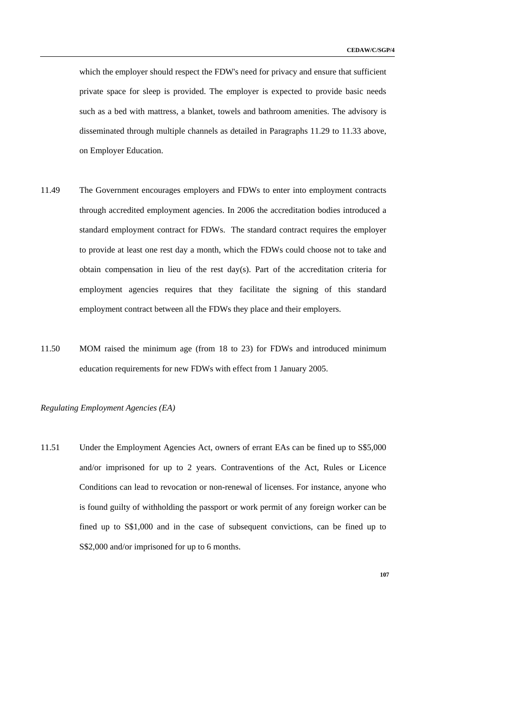which the employer should respect the FDW's need for privacy and ensure that sufficient private space for sleep is provided. The employer is expected to provide basic needs such as a bed with mattress, a blanket, towels and bathroom amenities. The advisory is disseminated through multiple channels as detailed in Paragraphs 11.29 to 11.33 above, on Employer Education.

- 11.49 The Government encourages employers and FDWs to enter into employment contracts through accredited employment agencies. In 2006 the accreditation bodies introduced a standard employment contract for FDWs. The standard contract requires the employer to provide at least one rest day a month, which the FDWs could choose not to take and obtain compensation in lieu of the rest day(s). Part of the accreditation criteria for employment agencies requires that they facilitate the signing of this standard employment contract between all the FDWs they place and their employers.
- 11.50 MOM raised the minimum age (from 18 to 23) for FDWs and introduced minimum education requirements for new FDWs with effect from 1 January 2005.

### *Regulating Employment Agencies (EA)*

11.51 Under the Employment Agencies Act, owners of errant EAs can be fined up to S\$5,000 and/or imprisoned for up to 2 years. Contraventions of the Act, Rules or Licence Conditions can lead to revocation or non-renewal of licenses. For instance, anyone who is found guilty of withholding the passport or work permit of any foreign worker can be fined up to S\$1,000 and in the case of subsequent convictions, can be fined up to S\$2,000 and/or imprisoned for up to 6 months.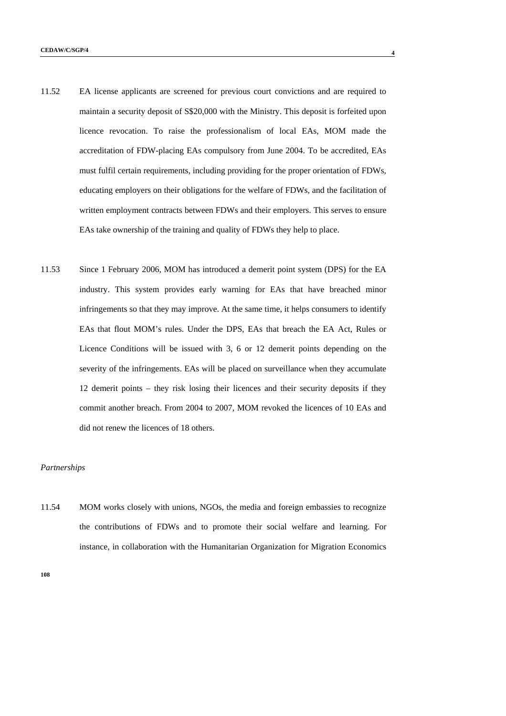- 11.52 EA license applicants are screened for previous court convictions and are required to maintain a security deposit of S\$20,000 with the Ministry. This deposit is forfeited upon licence revocation. To raise the professionalism of local EAs, MOM made the accreditation of FDW-placing EAs compulsory from June 2004. To be accredited, EAs must fulfil certain requirements, including providing for the proper orientation of FDWs, educating employers on their obligations for the welfare of FDWs, and the facilitation of written employment contracts between FDWs and their employers. This serves to ensure EAs take ownership of the training and quality of FDWs they help to place.
- 11.53 Since 1 February 2006, MOM has introduced a demerit point system (DPS) for the EA industry. This system provides early warning for EAs that have breached minor infringements so that they may improve. At the same time, it helps consumers to identify EAs that flout MOM's rules. Under the DPS, EAs that breach the EA Act, Rules or Licence Conditions will be issued with 3, 6 or 12 demerit points depending on the severity of the infringements. EAs will be placed on surveillance when they accumulate 12 demerit points – they risk losing their licences and their security deposits if they commit another breach. From 2004 to 2007, MOM revoked the licences of 10 EAs and did not renew the licences of 18 others.

#### *Partnerships*

11.54 MOM works closely with unions, NGOs, the media and foreign embassies to recognize the contributions of FDWs and to promote their social welfare and learning. For instance, in collaboration with the Humanitarian Organization for Migration Economics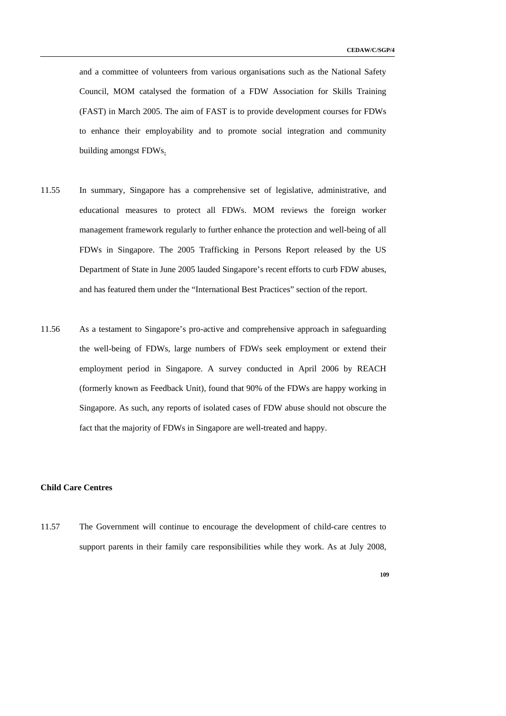and a committee of volunteers from various organisations such as the National Safety Council, MOM catalysed the formation of a FDW Association for Skills Training (FAST) in March 2005. The aim of FAST is to provide development courses for FDWs to enhance their employability and to promote social integration and community building amongst FDWs.

- 11.55 In summary, Singapore has a comprehensive set of legislative, administrative, and educational measures to protect all FDWs. MOM reviews the foreign worker management framework regularly to further enhance the protection and well-being of all FDWs in Singapore. The 2005 Trafficking in Persons Report released by the US Department of State in June 2005 lauded Singapore's recent efforts to curb FDW abuses, and has featured them under the "International Best Practices" section of the report.
- 11.56 As a testament to Singapore's pro-active and comprehensive approach in safeguarding the well-being of FDWs, large numbers of FDWs seek employment or extend their employment period in Singapore. A survey conducted in April 2006 by REACH (formerly known as Feedback Unit), found that 90% of the FDWs are happy working in Singapore. As such, any reports of isolated cases of FDW abuse should not obscure the fact that the majority of FDWs in Singapore are well-treated and happy.

### **Child Care Centres**

11.57 The Government will continue to encourage the development of child-care centres to support parents in their family care responsibilities while they work. As at July 2008,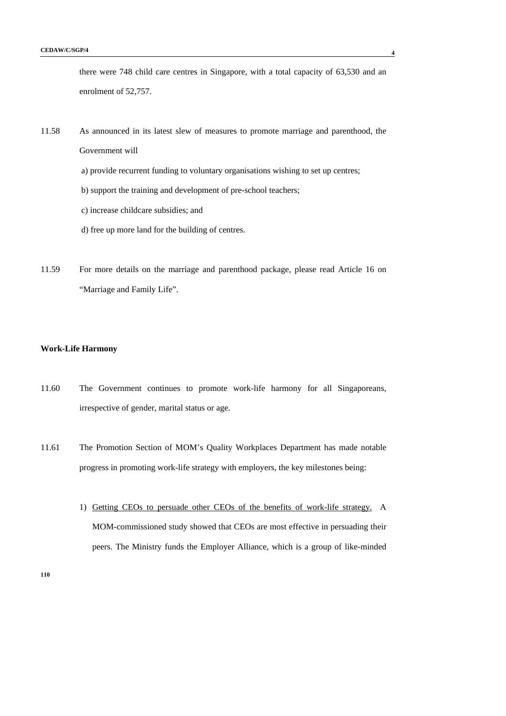there were 748 child care centres in Singapore, with a total capacity of 63,530 and an enrolment of 52,757.

- 11.58 As announced in its latest slew of measures to promote marriage and parenthood, the Government will
	- a) provide recurrent funding to voluntary organisations wishing to set up centres;
	- b) support the training and development of pre-school teachers;
	- c) increase childcare subsidies; and
	- d) free up more land for the building of centres.
- 11.59 For more details on the marriage and parenthood package, please read Article 16 on "Marriage and Family Life".

### **Work-Life Harmony**

- 11.60 The Government continues to promote work-life harmony for all Singaporeans, irrespective of gender, marital status or age.
- 11.61 The Promotion Section of MOM's Quality Workplaces Department has made notable progress in promoting work-life strategy with employers, the key milestones being:
	- 1) Getting CEOs to persuade other CEOs of the benefits of work-life strategy. A MOM-commissioned study showed that CEOs are most effective in persuading their peers. The Ministry funds the Employer Alliance, which is a group of like-minded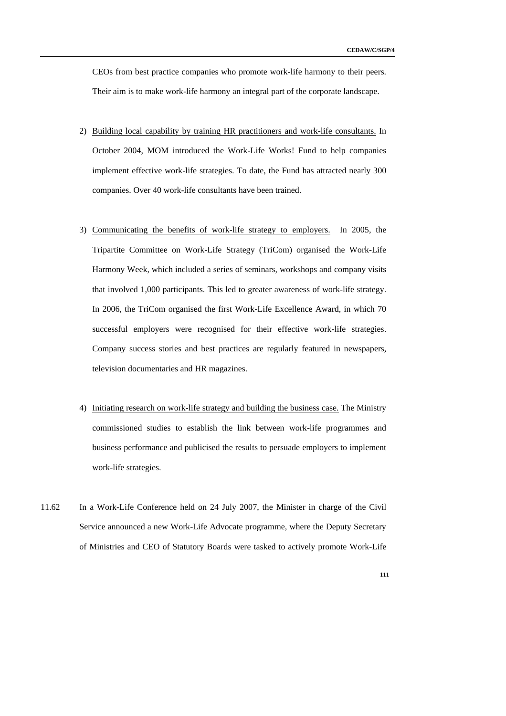CEOs from best practice companies who promote work-life harmony to their peers. Their aim is to make work-life harmony an integral part of the corporate landscape.

- 2) Building local capability by training HR practitioners and work-life consultants. In October 2004, MOM introduced the Work-Life Works! Fund to help companies implement effective work-life strategies. To date, the Fund has attracted nearly 300 companies. Over 40 work-life consultants have been trained.
- 3) Communicating the benefits of work-life strategy to employers. In 2005, the Tripartite Committee on Work-Life Strategy (TriCom) organised the Work-Life Harmony Week, which included a series of seminars, workshops and company visits that involved 1,000 participants. This led to greater awareness of work-life strategy. In 2006, the TriCom organised the first Work-Life Excellence Award, in which 70 successful employers were recognised for their effective work-life strategies. Company success stories and best practices are regularly featured in newspapers, television documentaries and HR magazines.
- 4) Initiating research on work-life strategy and building the business case. The Ministry commissioned studies to establish the link between work-life programmes and business performance and publicised the results to persuade employers to implement work-life strategies.
- 11.62 In a Work-Life Conference held on 24 July 2007, the Minister in charge of the Civil Service announced a new Work-Life Advocate programme, where the Deputy Secretary of Ministries and CEO of Statutory Boards were tasked to actively promote Work-Life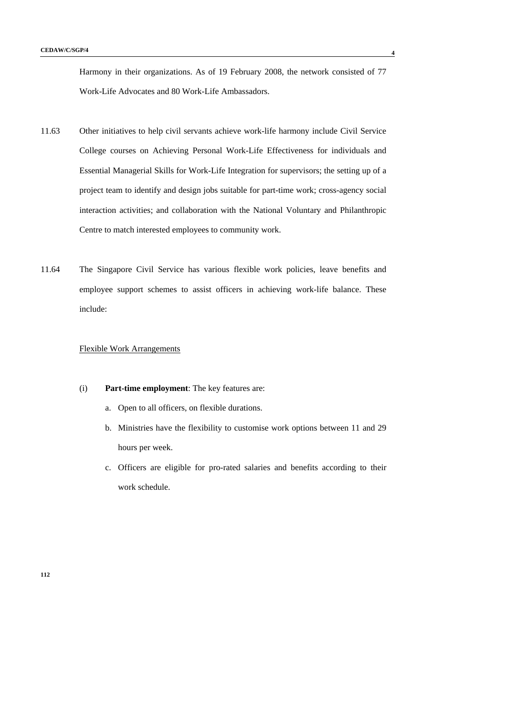Harmony in their organizations. As of 19 February 2008, the network consisted of 77 Work-Life Advocates and 80 Work-Life Ambassadors.

- 11.63 Other initiatives to help civil servants achieve work-life harmony include Civil Service College courses on Achieving Personal Work-Life Effectiveness for individuals and Essential Managerial Skills for Work-Life Integration for supervisors; the setting up of a project team to identify and design jobs suitable for part-time work; cross-agency social interaction activities; and collaboration with the National Voluntary and Philanthropic Centre to match interested employees to community work.
- 11.64 The Singapore Civil Service has various flexible work policies, leave benefits and employee support schemes to assist officers in achieving work-life balance. These include:

## Flexible Work Arrangements

#### (i) **Part-time employment**: The key features are:

- a. Open to all officers, on flexible durations.
- b. Ministries have the flexibility to customise work options between 11 and 29 hours per week.
- c. Officers are eligible for pro-rated salaries and benefits according to their work schedule.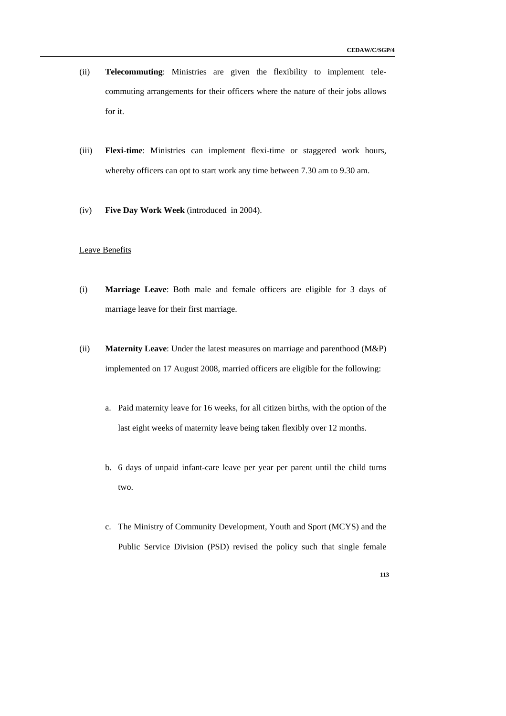- (ii) **Telecommuting**: Ministries are given the flexibility to implement telecommuting arrangements for their officers where the nature of their jobs allows for it.
- (iii) **Flexi-time**: Ministries can implement flexi-time or staggered work hours, whereby officers can opt to start work any time between 7.30 am to 9.30 am.
- (iv) **Five Day Work Week** (introduced in 2004).

#### Leave Benefits

- (i) **Marriage Leave**: Both male and female officers are eligible for 3 days of marriage leave for their first marriage.
- (ii) **Maternity Leave**: Under the latest measures on marriage and parenthood (M&P) implemented on 17 August 2008, married officers are eligible for the following:
	- a. Paid maternity leave for 16 weeks, for all citizen births, with the option of the last eight weeks of maternity leave being taken flexibly over 12 months.
	- b. 6 days of unpaid infant-care leave per year per parent until the child turns two.
	- c. The Ministry of Community Development, Youth and Sport (MCYS) and the Public Service Division (PSD) revised the policy such that single female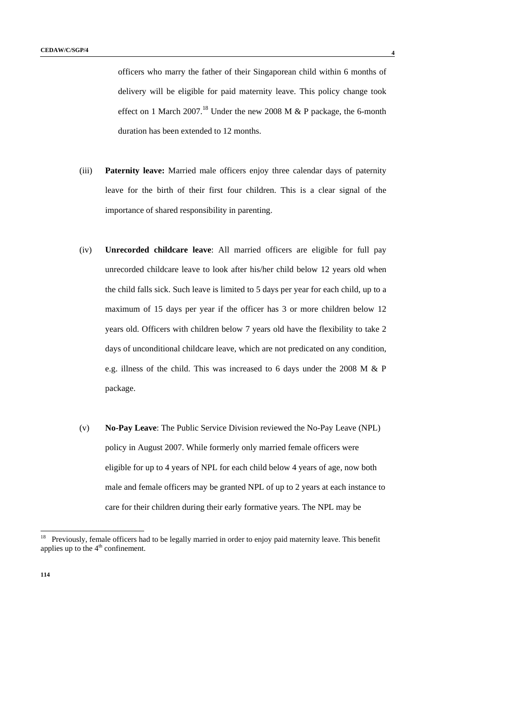officers who marry the father of their Singaporean child within 6 months of delivery will be eligible for paid maternity leave. This policy change took effect on 1 March 2007.<sup>18</sup> Under the new 2008 M  $&$  P package, the 6-month duration has been extended to 12 months.

- (iii) **Paternity leave:** Married male officers enjoy three calendar days of paternity leave for the birth of their first four children. This is a clear signal of the importance of shared responsibility in parenting.
- (iv) **Unrecorded childcare leave**: All married officers are eligible for full pay unrecorded childcare leave to look after his/her child below 12 years old when the child falls sick. Such leave is limited to 5 days per year for each child, up to a maximum of 15 days per year if the officer has 3 or more children below 12 years old. Officers with children below 7 years old have the flexibility to take 2 days of unconditional childcare leave, which are not predicated on any condition, e.g. illness of the child. This was increased to 6 days under the 2008 M & P package.
- (v) **No-Pay Leave**: The Public Service Division reviewed the No-Pay Leave (NPL) policy in August 2007. While formerly only married female officers were eligible for up to 4 years of NPL for each child below 4 years of age, now both male and female officers may be granted NPL of up to 2 years at each instance to care for their children during their early formative years. The NPL may be

 $18\,$ 18 Previously, female officers had to be legally married in order to enjoy paid maternity leave. This benefit applies up to the  $4<sup>th</sup>$  confinement.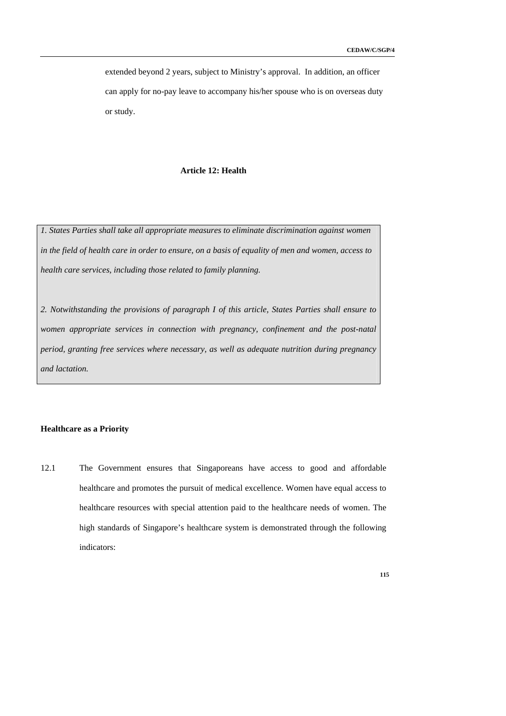extended beyond 2 years, subject to Ministry's approval. In addition, an officer can apply for no-pay leave to accompany his/her spouse who is on overseas duty or study.

## **Article 12: Health**

*1. States Parties shall take all appropriate measures to eliminate discrimination against women in the field of health care in order to ensure, on a basis of equality of men and women, access to health care services, including those related to family planning.* 

*2. Notwithstanding the provisions of paragraph I of this article, States Parties shall ensure to women appropriate services in connection with pregnancy, confinement and the post-natal period, granting free services where necessary, as well as adequate nutrition during pregnancy and lactation.* 

#### **Healthcare as a Priority**

12.1 The Government ensures that Singaporeans have access to good and affordable healthcare and promotes the pursuit of medical excellence. Women have equal access to healthcare resources with special attention paid to the healthcare needs of women. The high standards of Singapore's healthcare system is demonstrated through the following indicators: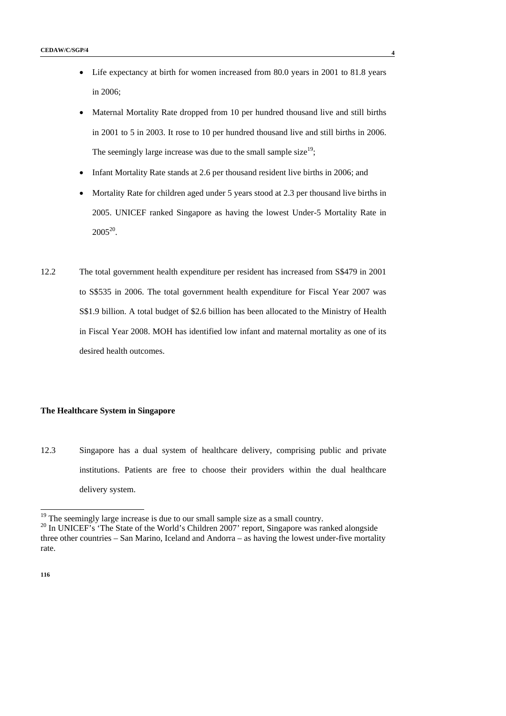- Life expectancy at birth for women increased from 80.0 years in 2001 to 81.8 years in 2006;
- Maternal Mortality Rate dropped from 10 per hundred thousand live and still births in 2001 to 5 in 2003. It rose to 10 per hundred thousand live and still births in 2006. The seemingly large increase was due to the small sample size<sup>19</sup>;
- Infant Mortality Rate stands at 2.6 per thousand resident live births in 2006; and
- Mortality Rate for children aged under 5 years stood at 2.3 per thousand live births in 2005. UNICEF ranked Singapore as having the lowest Under-5 Mortality Rate in  $2005^{20}$ .
- 12.2 The total government health expenditure per resident has increased from S\$479 in 2001 to S\$535 in 2006. The total government health expenditure for Fiscal Year 2007 was S\$1.9 billion. A total budget of \$2.6 billion has been allocated to the Ministry of Health in Fiscal Year 2008. MOH has identified low infant and maternal mortality as one of its desired health outcomes.

#### **The Healthcare System in Singapore**

12.3 Singapore has a dual system of healthcare delivery, comprising public and private institutions. Patients are free to choose their providers within the dual healthcare delivery system.

-

 $19$ <sup>19</sup> The seemingly large increase is due to our small sample size as a small country.

<sup>&</sup>lt;sup>20</sup> In UNICEF's 'The State of the World's Children 2007' report, Singapore was ranked alongside three other countries – San Marino, Iceland and Andorra – as having the lowest under-five mortality rate.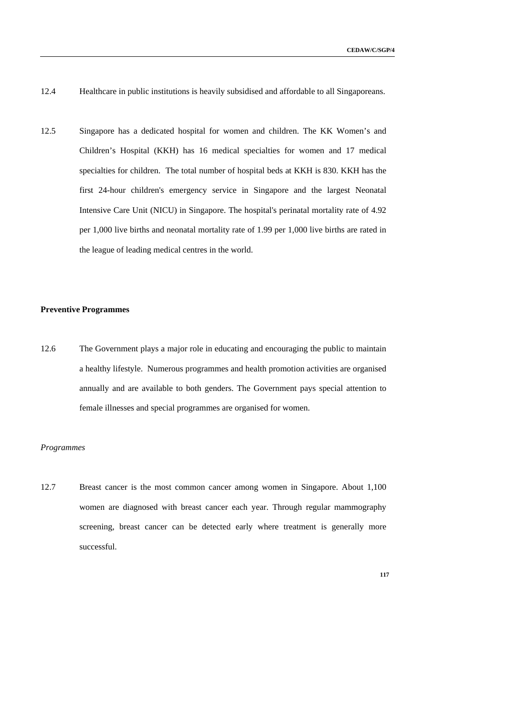- 12.4 Healthcare in public institutions is heavily subsidised and affordable to all Singaporeans.
- 12.5 Singapore has a dedicated hospital for women and children. The KK Women's and Children's Hospital (KKH) has 16 medical specialties for women and 17 medical specialties for children. The total number of hospital beds at KKH is 830. KKH has the first 24-hour children's emergency service in Singapore and the largest Neonatal Intensive Care Unit (NICU) in Singapore. The hospital's perinatal mortality rate of 4.92 per 1,000 live births and neonatal mortality rate of 1.99 per 1,000 live births are rated in the league of leading medical centres in the world.

#### **Preventive Programmes**

12.6 The Government plays a major role in educating and encouraging the public to maintain a healthy lifestyle. Numerous programmes and health promotion activities are organised annually and are available to both genders. The Government pays special attention to female illnesses and special programmes are organised for women.

#### *Programmes*

12.7 Breast cancer is the most common cancer among women in Singapore. About 1,100 women are diagnosed with breast cancer each year. Through regular mammography screening, breast cancer can be detected early where treatment is generally more successful.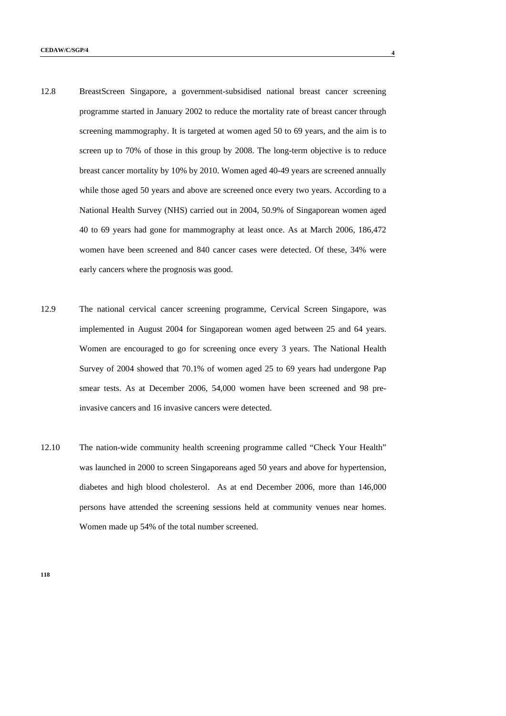- 12.8 BreastScreen Singapore, a government-subsidised national breast cancer screening programme started in January 2002 to reduce the mortality rate of breast cancer through screening mammography. It is targeted at women aged 50 to 69 years, and the aim is to screen up to 70% of those in this group by 2008. The long-term objective is to reduce breast cancer mortality by 10% by 2010. Women aged 40-49 years are screened annually while those aged 50 years and above are screened once every two years. According to a National Health Survey (NHS) carried out in 2004, 50.9% of Singaporean women aged 40 to 69 years had gone for mammography at least once. As at March 2006, 186,472 women have been screened and 840 cancer cases were detected. Of these, 34% were early cancers where the prognosis was good.
- 12.9 The national cervical cancer screening programme, Cervical Screen Singapore, was implemented in August 2004 for Singaporean women aged between 25 and 64 years. Women are encouraged to go for screening once every 3 years. The National Health Survey of 2004 showed that 70.1% of women aged 25 to 69 years had undergone Pap smear tests. As at December 2006, 54,000 women have been screened and 98 preinvasive cancers and 16 invasive cancers were detected.
- 12.10 The nation-wide community health screening programme called "Check Your Health" was launched in 2000 to screen Singaporeans aged 50 years and above for hypertension, diabetes and high blood cholesterol. As at end December 2006, more than 146,000 persons have attended the screening sessions held at community venues near homes. Women made up 54% of the total number screened.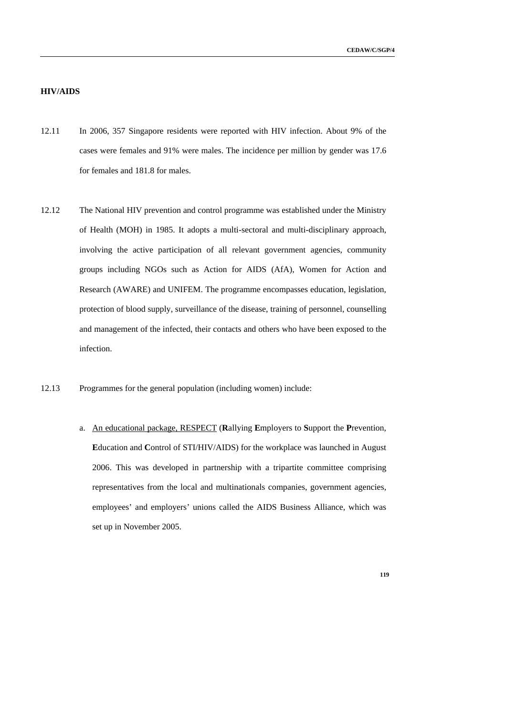# **HIV/AIDS**

- 12.11 In 2006, 357 Singapore residents were reported with HIV infection. About 9% of the cases were females and 91% were males. The incidence per million by gender was 17.6 for females and 181.8 for males.
- 12.12 The National HIV prevention and control programme was established under the Ministry of Health (MOH) in 1985. It adopts a multi-sectoral and multi-disciplinary approach, involving the active participation of all relevant government agencies, community groups including NGOs such as Action for AIDS (AfA), Women for Action and Research (AWARE) and UNIFEM. The programme encompasses education, legislation, protection of blood supply, surveillance of the disease, training of personnel, counselling and management of the infected, their contacts and others who have been exposed to the infection.
- 12.13 Programmes for the general population (including women) include:
	- a. An educational package, RESPECT (**R**allying **E**mployers to **S**upport the **P**revention, **E**ducation and **C**ontrol of STI/HIV/AIDS) for the workplace was launched in August 2006. This was developed in partnership with a tripartite committee comprising representatives from the local and multinationals companies, government agencies, employees' and employers' unions called the AIDS Business Alliance, which was set up in November 2005.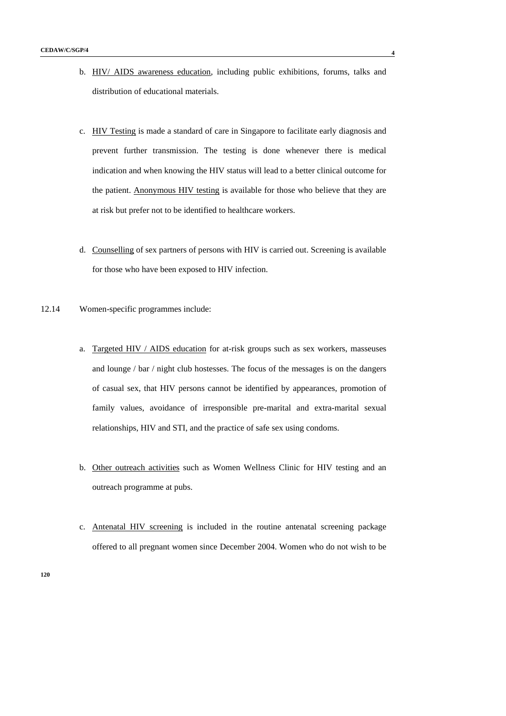- b. HIV/ AIDS awareness education, including public exhibitions, forums, talks and distribution of educational materials.
- c. HIV Testing is made a standard of care in Singapore to facilitate early diagnosis and prevent further transmission. The testing is done whenever there is medical indication and when knowing the HIV status will lead to a better clinical outcome for the patient. Anonymous HIV testing is available for those who believe that they are at risk but prefer not to be identified to healthcare workers.
- d. Counselling of sex partners of persons with HIV is carried out. Screening is available for those who have been exposed to HIV infection.
- 12.14 Women-specific programmes include:
	- a. Targeted HIV / AIDS education for at-risk groups such as sex workers, masseuses and lounge / bar / night club hostesses. The focus of the messages is on the dangers of casual sex, that HIV persons cannot be identified by appearances, promotion of family values, avoidance of irresponsible pre-marital and extra-marital sexual relationships, HIV and STI, and the practice of safe sex using condoms.
	- b. Other outreach activities such as Women Wellness Clinic for HIV testing and an outreach programme at pubs.
	- c. Antenatal HIV screening is included in the routine antenatal screening package offered to all pregnant women since December 2004. Women who do not wish to be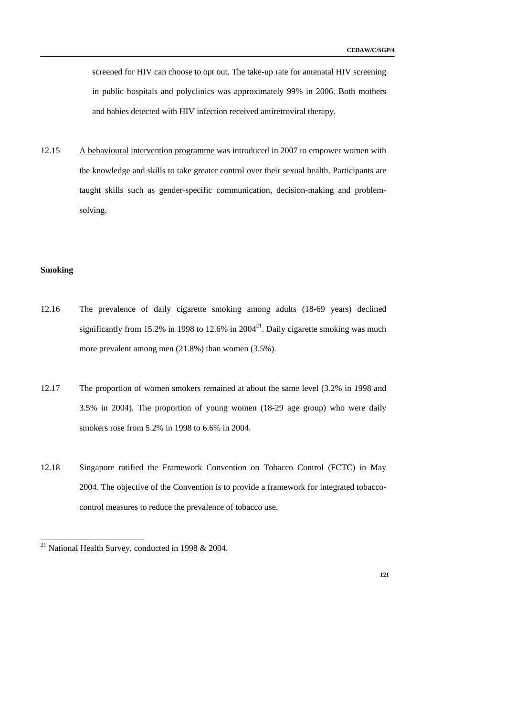screened for HIV can choose to opt out. The take-up rate for antenatal HIV screening in public hospitals and polyclinics was approximately 99% in 2006. Both mothers and babies detected with HIV infection received antiretroviral therapy.

12.15 A behavioural intervention programme was introduced in 2007 to empower women with the knowledge and skills to take greater control over their sexual health. Participants are taught skills such as gender-specific communication, decision-making and problemsolving.

# **Smoking**

-

- 12.16 The prevalence of daily cigarette smoking among adults (18-69 years) declined significantly from 15.2% in 1998 to 12.6% in 2004<sup>21</sup>. Daily cigarette smoking was much more prevalent among men (21.8%) than women (3.5%).
- 12.17 The proportion of women smokers remained at about the same level (3.2% in 1998 and 3.5% in 2004). The proportion of young women (18-29 age group) who were daily smokers rose from 5.2% in 1998 to 6.6% in 2004.
- 12.18 Singapore ratified the Framework Convention on Tobacco Control (FCTC) in May 2004. The objective of the Convention is to provide a framework for integrated tobaccocontrol measures to reduce the prevalence of tobacco use.

<sup>&</sup>lt;sup>21</sup> National Health Survey, conducted in 1998 & 2004.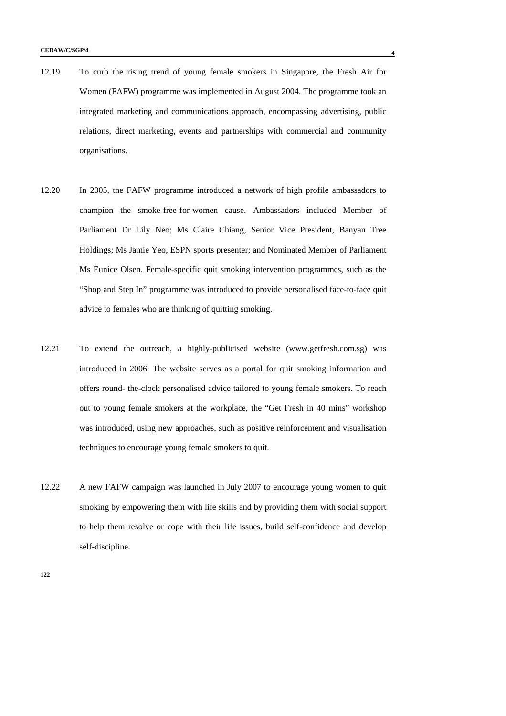- 12.19 To curb the rising trend of young female smokers in Singapore, the Fresh Air for Women (FAFW) programme was implemented in August 2004. The programme took an integrated marketing and communications approach, encompassing advertising, public relations, direct marketing, events and partnerships with commercial and community organisations.
- 12.20 In 2005, the FAFW programme introduced a network of high profile ambassadors to champion the smoke-free-for-women cause. Ambassadors included Member of Parliament Dr Lily Neo; Ms Claire Chiang, Senior Vice President, Banyan Tree Holdings; Ms Jamie Yeo, ESPN sports presenter; and Nominated Member of Parliament Ms Eunice Olsen. Female-specific quit smoking intervention programmes, such as the "Shop and Step In" programme was introduced to provide personalised face-to-face quit advice to females who are thinking of quitting smoking.
- 12.21 To extend the outreach, a highly-publicised website (www.getfresh.com.sg) was introduced in 2006. The website serves as a portal for quit smoking information and offers round- the-clock personalised advice tailored to young female smokers. To reach out to young female smokers at the workplace, the "Get Fresh in 40 mins" workshop was introduced, using new approaches, such as positive reinforcement and visualisation techniques to encourage young female smokers to quit.
- 12.22 A new FAFW campaign was launched in July 2007 to encourage young women to quit smoking by empowering them with life skills and by providing them with social support to help them resolve or cope with their life issues, build self-confidence and develop self-discipline.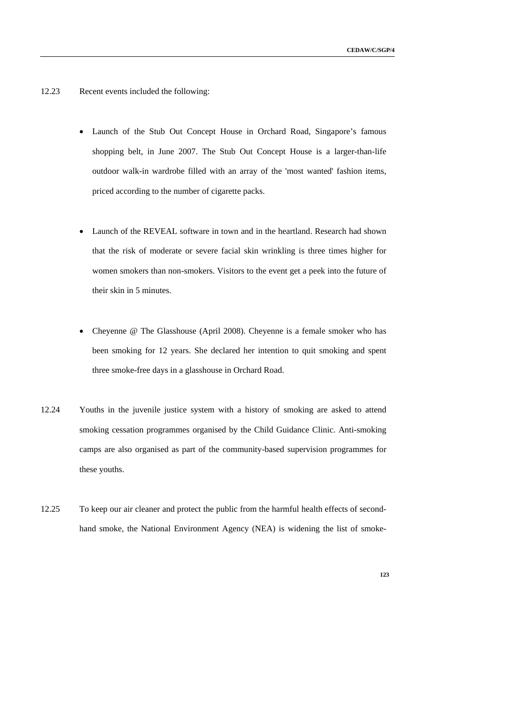- 12.23 Recent events included the following:
	- Launch of the Stub Out Concept House in Orchard Road, Singapore's famous shopping belt, in June 2007. The Stub Out Concept House is a larger-than-life outdoor walk-in wardrobe filled with an array of the 'most wanted' fashion items, priced according to the number of cigarette packs.
	- Launch of the REVEAL software in town and in the heartland. Research had shown that the risk of moderate or severe facial skin wrinkling is three times higher for women smokers than non-smokers. Visitors to the event get a peek into the future of their skin in 5 minutes.
	- Cheyenne @ The Glasshouse (April 2008). Cheyenne is a female smoker who has been smoking for 12 years. She declared her intention to quit smoking and spent three smoke-free days in a glasshouse in Orchard Road.
- 12.24 Youths in the juvenile justice system with a history of smoking are asked to attend smoking cessation programmes organised by the Child Guidance Clinic. Anti-smoking camps are also organised as part of the community-based supervision programmes for these youths.
- 12.25 To keep our air cleaner and protect the public from the harmful health effects of secondhand smoke, the National Environment Agency (NEA) is widening the list of smoke-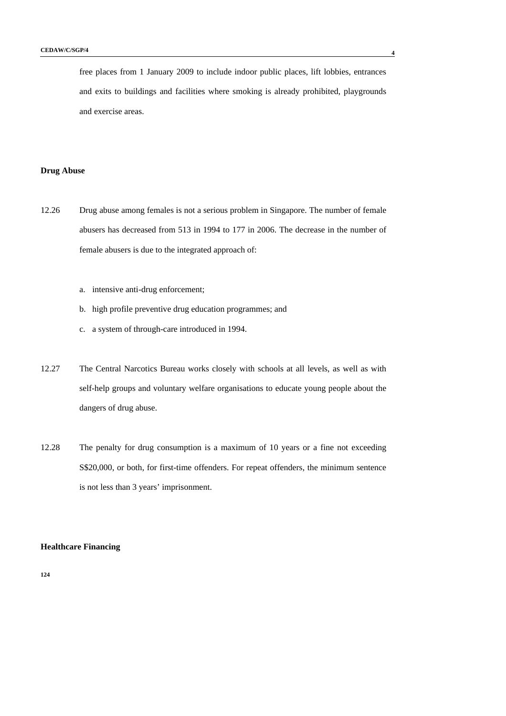free places from 1 January 2009 to include indoor public places, lift lobbies, entrances and exits to buildings and facilities where smoking is already prohibited, playgrounds and exercise areas.

### **Drug Abuse**

- 12.26 Drug abuse among females is not a serious problem in Singapore. The number of female abusers has decreased from 513 in 1994 to 177 in 2006. The decrease in the number of female abusers is due to the integrated approach of:
	- a. intensive anti-drug enforcement;
	- b. high profile preventive drug education programmes; and
	- c. a system of through-care introduced in 1994.
- 12.27 The Central Narcotics Bureau works closely with schools at all levels, as well as with self-help groups and voluntary welfare organisations to educate young people about the dangers of drug abuse.
- 12.28 The penalty for drug consumption is a maximum of 10 years or a fine not exceeding S\$20,000, or both, for first-time offenders. For repeat offenders, the minimum sentence is not less than 3 years' imprisonment.

### **Healthcare Financing**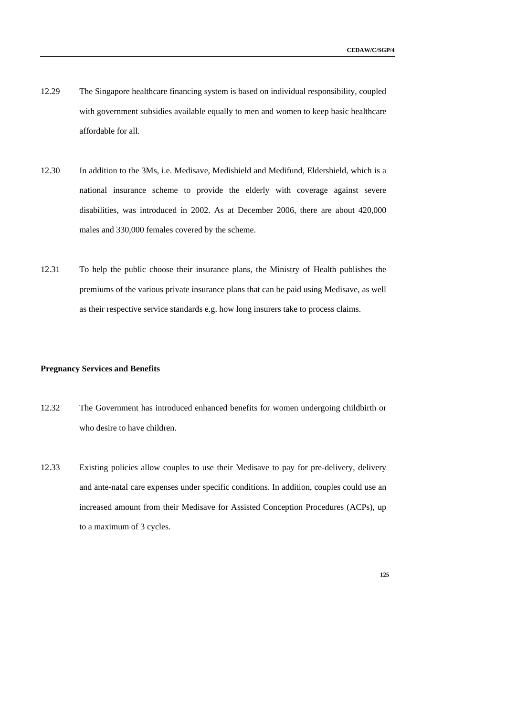- 12.29 The Singapore healthcare financing system is based on individual responsibility, coupled with government subsidies available equally to men and women to keep basic healthcare affordable for all.
- 12.30 In addition to the 3Ms, i.e. Medisave, Medishield and Medifund, Eldershield, which is a national insurance scheme to provide the elderly with coverage against severe disabilities, was introduced in 2002. As at December 2006, there are about 420,000 males and 330,000 females covered by the scheme.
- 12.31 To help the public choose their insurance plans, the Ministry of Health publishes the premiums of the various private insurance plans that can be paid using Medisave, as well as their respective service standards e.g. how long insurers take to process claims.

## **Pregnancy Services and Benefits**

- 12.32 The Government has introduced enhanced benefits for women undergoing childbirth or who desire to have children.
- 12.33 Existing policies allow couples to use their Medisave to pay for pre-delivery, delivery and ante-natal care expenses under specific conditions. In addition, couples could use an increased amount from their Medisave for Assisted Conception Procedures (ACPs), up to a maximum of 3 cycles.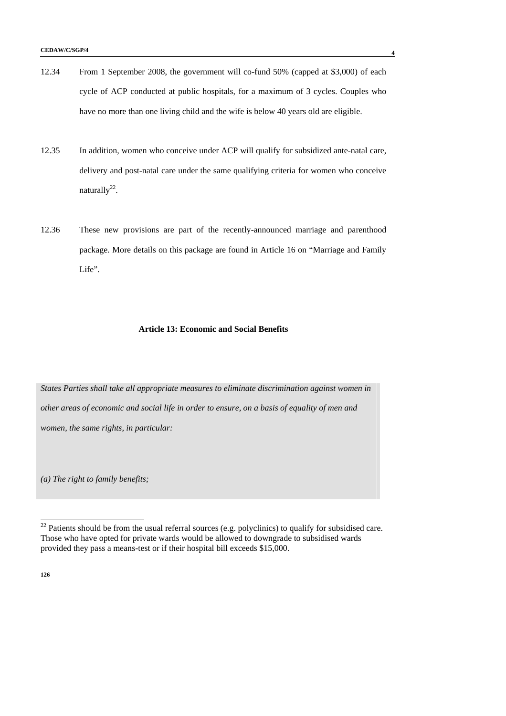- 12.34 From 1 September 2008, the government will co-fund 50% (capped at \$3,000) of each cycle of ACP conducted at public hospitals, for a maximum of 3 cycles. Couples who have no more than one living child and the wife is below 40 years old are eligible.
- 12.35 In addition, women who conceive under ACP will qualify for subsidized ante-natal care, delivery and post-natal care under the same qualifying criteria for women who conceive naturally $^{22}$ .
- 12.36 These new provisions are part of the recently-announced marriage and parenthood package. More details on this package are found in Article 16 on "Marriage and Family Life".

#### **Article 13: Economic and Social Benefits**

*States Parties shall take all appropriate measures to eliminate discrimination against women in other areas of economic and social life in order to ensure, on a basis of equality of men and women, the same rights, in particular:* 

*(a) The right to family benefits;* 

**126** 

-

 $22$  Patients should be from the usual referral sources (e.g. polyclinics) to qualify for subsidised care. Those who have opted for private wards would be allowed to downgrade to subsidised wards provided they pass a means-test or if their hospital bill exceeds \$15,000.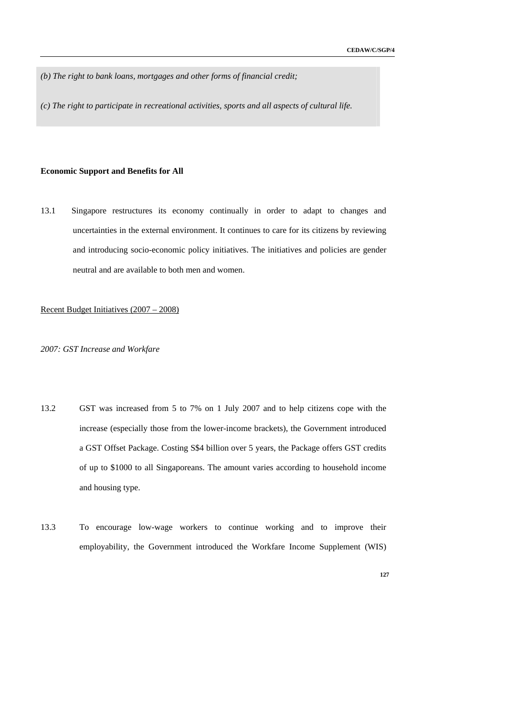*(b) The right to bank loans, mortgages and other forms of financial credit;* 

*(c) The right to participate in recreational activities, sports and all aspects of cultural life.* 

#### **Economic Support and Benefits for All**

13.1 Singapore restructures its economy continually in order to adapt to changes and uncertainties in the external environment. It continues to care for its citizens by reviewing and introducing socio-economic policy initiatives. The initiatives and policies are gender neutral and are available to both men and women.

#### Recent Budget Initiatives (2007 – 2008)

*2007: GST Increase and Workfare* 

- 13.2 GST was increased from 5 to 7% on 1 July 2007 and to help citizens cope with the increase (especially those from the lower-income brackets), the Government introduced a GST Offset Package. Costing S\$4 billion over 5 years, the Package offers GST credits of up to \$1000 to all Singaporeans. The amount varies according to household income and housing type.
- 13.3 To encourage low-wage workers to continue working and to improve their employability, the Government introduced the Workfare Income Supplement (WIS)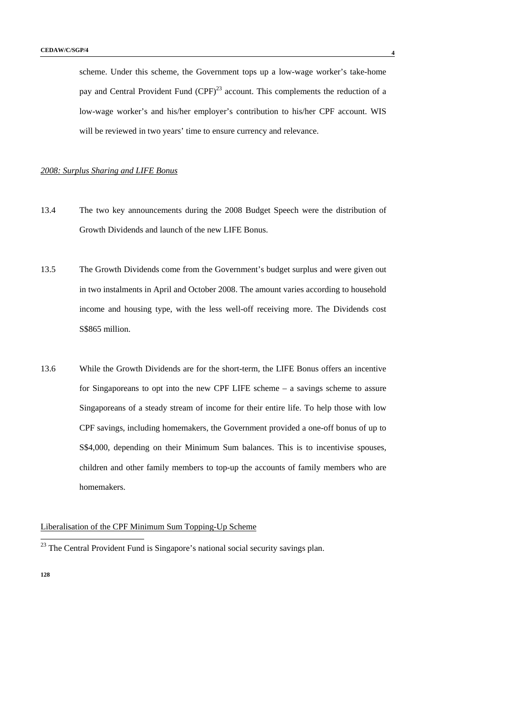scheme. Under this scheme, the Government tops up a low-wage worker's take-home pay and Central Provident Fund  $(CPF)^{23}$  account. This complements the reduction of a low-wage worker's and his/her employer's contribution to his/her CPF account. WIS will be reviewed in two years' time to ensure currency and relevance.

### *2008: Surplus Sharing and LIFE Bonus*

- 13.4 The two key announcements during the 2008 Budget Speech were the distribution of Growth Dividends and launch of the new LIFE Bonus.
- 13.5 The Growth Dividends come from the Government's budget surplus and were given out in two instalments in April and October 2008. The amount varies according to household income and housing type, with the less well-off receiving more. The Dividends cost S\$865 million.
- 13.6 While the Growth Dividends are for the short-term, the LIFE Bonus offers an incentive for Singaporeans to opt into the new CPF LIFE scheme – a savings scheme to assure Singaporeans of a steady stream of income for their entire life. To help those with low CPF savings, including homemakers, the Government provided a one-off bonus of up to S\$4,000, depending on their Minimum Sum balances. This is to incentivise spouses, children and other family members to top-up the accounts of family members who are homemakers.

### Liberalisation of the CPF Minimum Sum Topping-Up Scheme

**128** 

-

 $2<sup>23</sup>$  The Central Provident Fund is Singapore's national social security savings plan.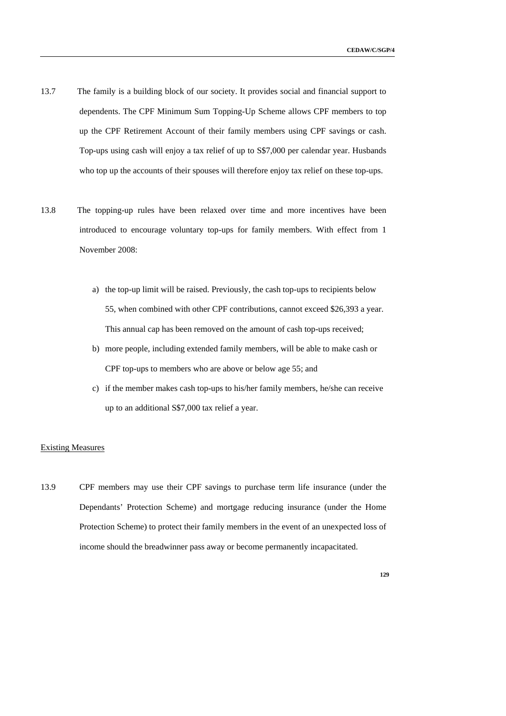- 13.7 The family is a building block of our society. It provides social and financial support to dependents. The CPF Minimum Sum Topping-Up Scheme allows CPF members to top up the CPF Retirement Account of their family members using CPF savings or cash. Top-ups using cash will enjoy a tax relief of up to S\$7,000 per calendar year. Husbands who top up the accounts of their spouses will therefore enjoy tax relief on these top-ups.
- 13.8 The topping-up rules have been relaxed over time and more incentives have been introduced to encourage voluntary top-ups for family members. With effect from 1 November 2008:
	- a) the top-up limit will be raised. Previously, the cash top-ups to recipients below 55, when combined with other CPF contributions, cannot exceed \$26,393 a year. This annual cap has been removed on the amount of cash top-ups received;
	- b) more people, including extended family members, will be able to make cash or CPF top-ups to members who are above or below age 55; and
	- c) if the member makes cash top-ups to his/her family members, he/she can receive up to an additional S\$7,000 tax relief a year.

#### Existing Measures

13.9 CPF members may use their CPF savings to purchase term life insurance (under the Dependants' Protection Scheme) and mortgage reducing insurance (under the Home Protection Scheme) to protect their family members in the event of an unexpected loss of income should the breadwinner pass away or become permanently incapacitated.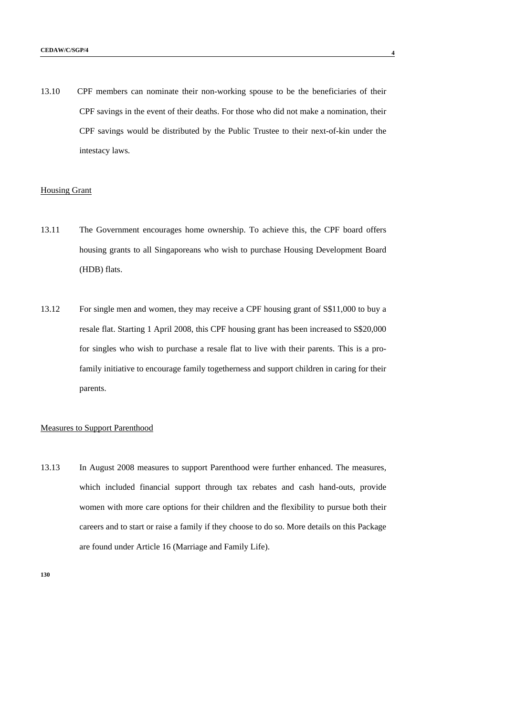13.10 CPF members can nominate their non-working spouse to be the beneficiaries of their CPF savings in the event of their deaths. For those who did not make a nomination, their CPF savings would be distributed by the Public Trustee to their next-of-kin under the intestacy laws.

### Housing Grant

- 13.11 The Government encourages home ownership. To achieve this, the CPF board offers housing grants to all Singaporeans who wish to purchase Housing Development Board (HDB) flats.
- 13.12 For single men and women, they may receive a CPF housing grant of S\$11,000 to buy a resale flat. Starting 1 April 2008, this CPF housing grant has been increased to S\$20,000 for singles who wish to purchase a resale flat to live with their parents. This is a profamily initiative to encourage family togetherness and support children in caring for their parents.

#### Measures to Support Parenthood

13.13 In August 2008 measures to support Parenthood were further enhanced. The measures, which included financial support through tax rebates and cash hand-outs, provide women with more care options for their children and the flexibility to pursue both their careers and to start or raise a family if they choose to do so. More details on this Package are found under Article 16 (Marriage and Family Life).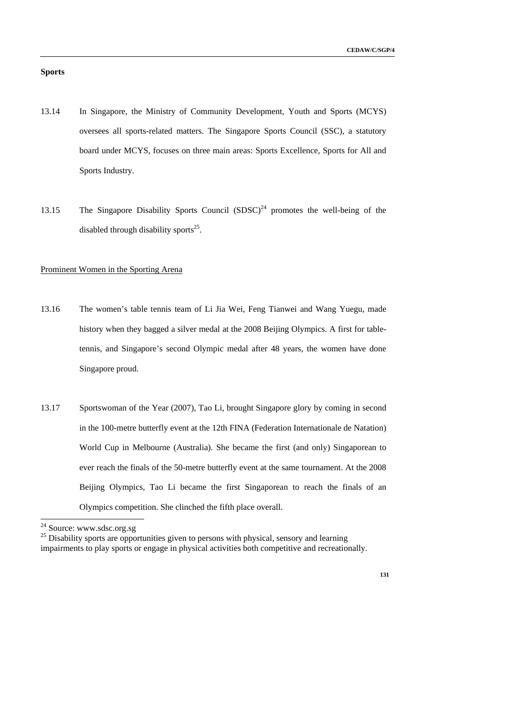# **Sports**

- 13.14 In Singapore, the Ministry of Community Development, Youth and Sports (MCYS) oversees all sports-related matters. The Singapore Sports Council (SSC), a statutory board under MCYS, focuses on three main areas: Sports Excellence, Sports for All and Sports Industry.
- 13.15 The Singapore Disability Sports Council  $(SDSC)^{24}$  promotes the well-being of the disabled through disability sports<sup>25</sup>.

## Prominent Women in the Sporting Arena

- 13.16 The women's table tennis team of Li Jia Wei, Feng Tianwei and Wang Yuegu, made history when they bagged a silver medal at the 2008 Beijing Olympics. A first for tabletennis, and Singapore's second Olympic medal after 48 years, the women have done Singapore proud.
- 13.17 Sportswoman of the Year (2007), Tao Li, brought Singapore glory by coming in second in the 100-metre butterfly event at the 12th FINA (Federation Internationale de Natation) World Cup in Melbourne (Australia). She became the first (and only) Singaporean to ever reach the finals of the 50-metre butterfly event at the same tournament. At the 2008 Beijing Olympics, Tao Li became the first Singaporean to reach the finals of an Olympics competition. She clinched the fifth place overall.

-

 $24$  Source: www.sdsc.org.sg

<sup>&</sup>lt;sup>25</sup> Disability sports are opportunities given to persons with physical, sensory and learning

impairments to play sports or engage in physical activities both competitive and recreationally.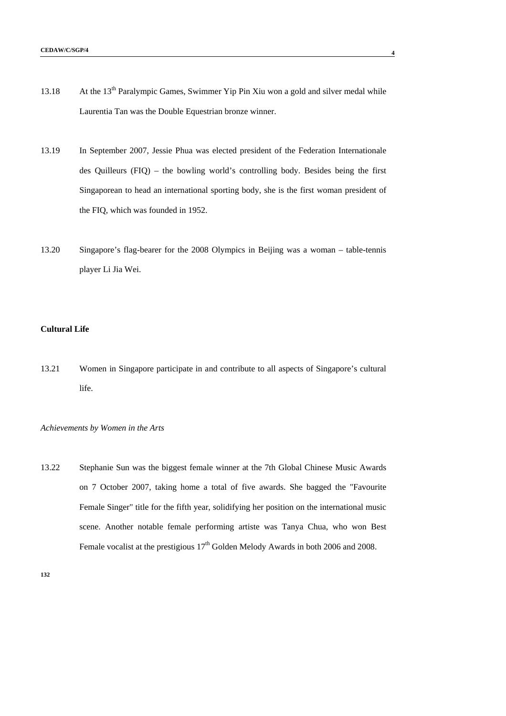- 13.18 At the 13<sup>th</sup> Paralympic Games, Swimmer Yip Pin Xiu won a gold and silver medal while Laurentia Tan was the Double Equestrian bronze winner.
- 13.19 In September 2007, Jessie Phua was elected president of the Federation Internationale des Quilleurs (FIQ) – the bowling world's controlling body. Besides being the first Singaporean to head an international sporting body, she is the first woman president of the FIQ, which was founded in 1952.
- 13.20 Singapore's flag-bearer for the 2008 Olympics in Beijing was a woman table-tennis player Li Jia Wei.

### **Cultural Life**

13.21 Women in Singapore participate in and contribute to all aspects of Singapore's cultural life.

### *Achievements by Women in the Arts*

13.22 Stephanie Sun was the biggest female winner at the 7th Global Chinese Music Awards on 7 October 2007, taking home a total of five awards. She bagged the "Favourite Female Singer" title for the fifth year, solidifying her position on the international music scene. Another notable female performing artiste was Tanya Chua, who won Best Female vocalist at the prestigious  $17<sup>th</sup>$  Golden Melody Awards in both 2006 and 2008.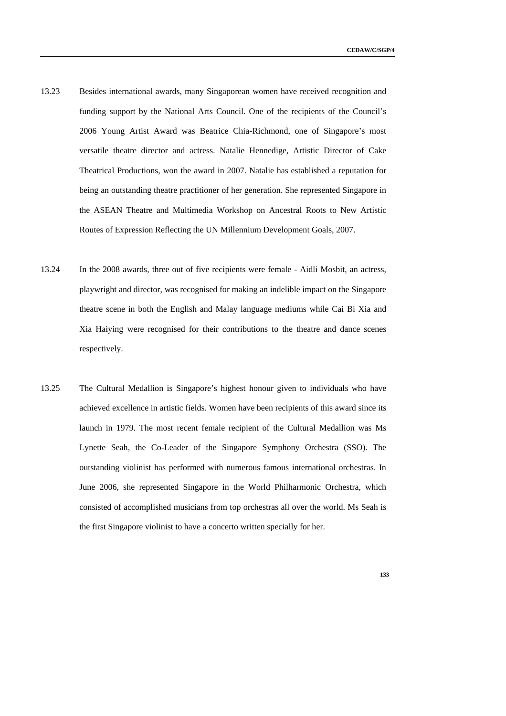- 13.23 Besides international awards, many Singaporean women have received recognition and funding support by the National Arts Council. One of the recipients of the Council's 2006 Young Artist Award was Beatrice Chia-Richmond, one of Singapore's most versatile theatre director and actress. Natalie Hennedige, Artistic Director of Cake Theatrical Productions, won the award in 2007. Natalie has established a reputation for being an outstanding theatre practitioner of her generation. She represented Singapore in the ASEAN Theatre and Multimedia Workshop on Ancestral Roots to New Artistic Routes of Expression Reflecting the UN Millennium Development Goals, 2007.
- 13.24 In the 2008 awards, three out of five recipients were female Aidli Mosbit, an actress, playwright and director, was recognised for making an indelible impact on the Singapore theatre scene in both the English and Malay language mediums while Cai Bi Xia and Xia Haiying were recognised for their contributions to the theatre and dance scenes respectively.
- 13.25 The Cultural Medallion is Singapore's highest honour given to individuals who have achieved excellence in artistic fields. Women have been recipients of this award since its launch in 1979. The most recent female recipient of the Cultural Medallion was Ms Lynette Seah, the Co-Leader of the Singapore Symphony Orchestra (SSO). The outstanding violinist has performed with numerous famous international orchestras. In June 2006, she represented Singapore in the World Philharmonic Orchestra, which consisted of accomplished musicians from top orchestras all over the world. Ms Seah is the first Singapore violinist to have a concerto written specially for her.
	- **133**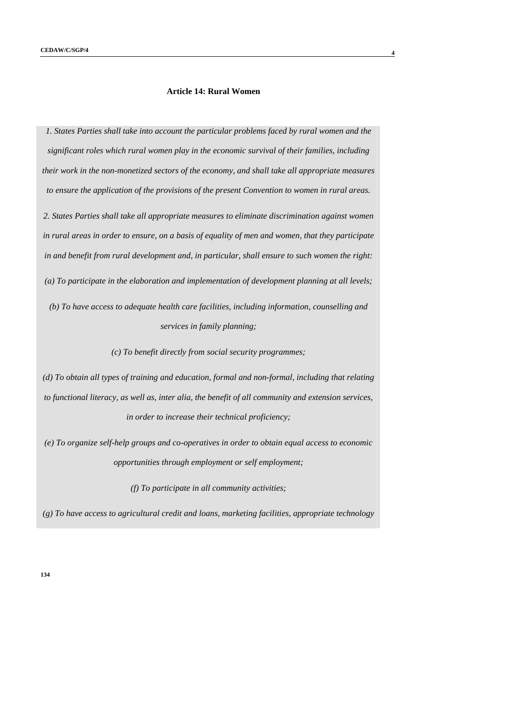# **Article 14: Rural Women**

*1. States Parties shall take into account the particular problems faced by rural women and the significant roles which rural women play in the economic survival of their families, including their work in the non-monetized sectors of the economy, and shall take all appropriate measures to ensure the application of the provisions of the present Convention to women in rural areas.* 

*2. States Parties shall take all appropriate measures to eliminate discrimination against women in rural areas in order to ensure, on a basis of equality of men and women, that they participate in and benefit from rural development and, in particular, shall ensure to such women the right: (a) To participate in the elaboration and implementation of development planning at all levels;* 

*(b) To have access to adequate health care facilities, including information, counselling and services in family planning;* 

*(c) To benefit directly from social security programmes;* 

*(d) To obtain all types of training and education, formal and non-formal, including that relating to functional literacy, as well as, inter alia, the benefit of all community and extension services, in order to increase their technical proficiency;* 

*(e) To organize self-help groups and co-operatives in order to obtain equal access to economic opportunities through employment or self employment;* 

*(f) To participate in all community activities;* 

*(g) To have access to agricultural credit and loans, marketing facilities, appropriate technology*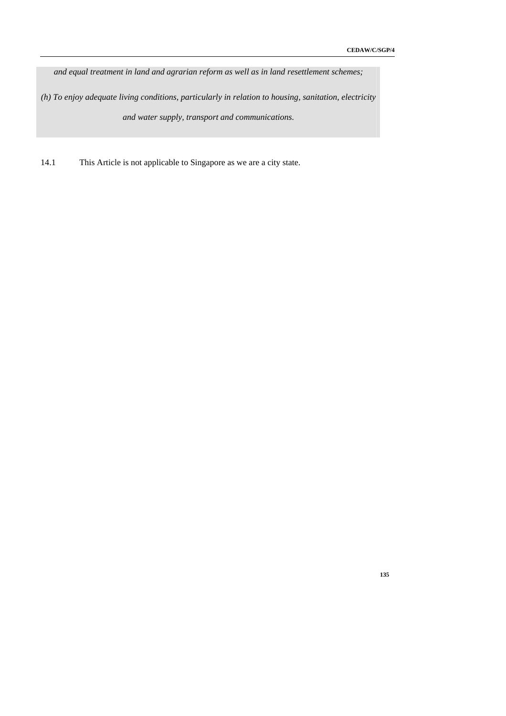*and equal treatment in land and agrarian reform as well as in land resettlement schemes;* 

*(h) To enjoy adequate living conditions, particularly in relation to housing, sanitation, electricity and water supply, transport and communications.* 

14.1 This Article is not applicable to Singapore as we are a city state.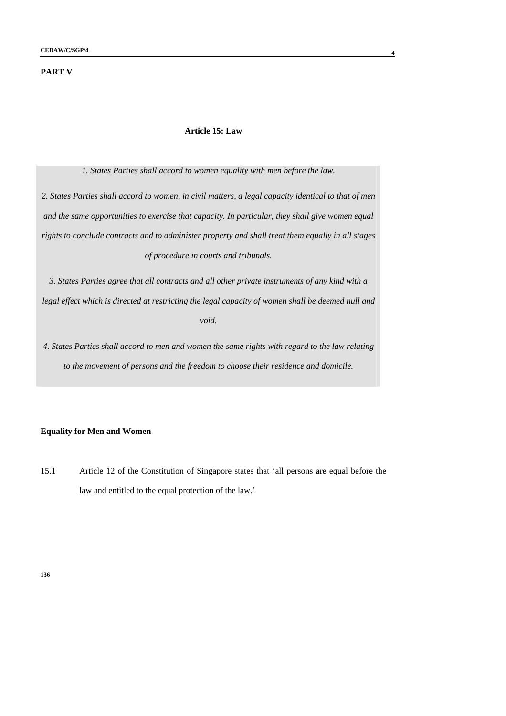### **PART V**

#### **Article 15: Law**

*1. States Parties shall accord to women equality with men before the law.* 

*2. States Parties shall accord to women, in civil matters, a legal capacity identical to that of men and the same opportunities to exercise that capacity. In particular, they shall give women equal rights to conclude contracts and to administer property and shall treat them equally in all stages of procedure in courts and tribunals.* 

*3. States Parties agree that all contracts and all other private instruments of any kind with a legal effect which is directed at restricting the legal capacity of women shall be deemed null and void.* 

*4. States Parties shall accord to men and women the same rights with regard to the law relating to the movement of persons and the freedom to choose their residence and domicile.* 

## **Equality for Men and Women**

15.1 Article 12 of the Constitution of Singapore states that 'all persons are equal before the law and entitled to the equal protection of the law.'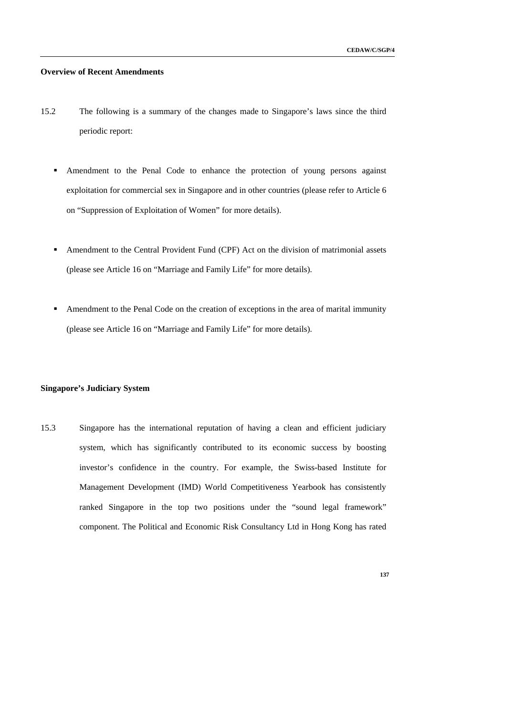**137** 

#### **Overview of Recent Amendments**

- 15.2 The following is a summary of the changes made to Singapore's laws since the third periodic report:
	- Amendment to the Penal Code to enhance the protection of young persons against exploitation for commercial sex in Singapore and in other countries (please refer to Article 6 on "Suppression of Exploitation of Women" for more details).
	- Amendment to the Central Provident Fund (CPF) Act on the division of matrimonial assets (please see Article 16 on "Marriage and Family Life" for more details).
	- Amendment to the Penal Code on the creation of exceptions in the area of marital immunity (please see Article 16 on "Marriage and Family Life" for more details).

#### **Singapore's Judiciary System**

15.3 Singapore has the international reputation of having a clean and efficient judiciary system, which has significantly contributed to its economic success by boosting investor's confidence in the country. For example, the Swiss-based Institute for Management Development (IMD) World Competitiveness Yearbook has consistently ranked Singapore in the top two positions under the "sound legal framework" component. The Political and Economic Risk Consultancy Ltd in Hong Kong has rated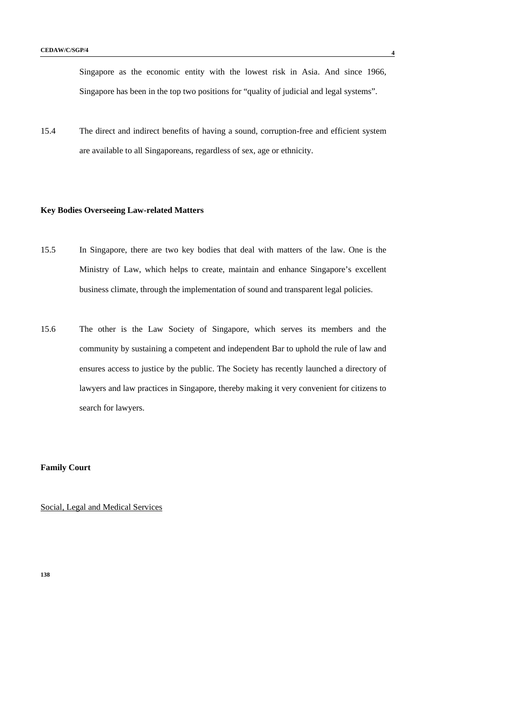Singapore as the economic entity with the lowest risk in Asia. And since 1966, Singapore has been in the top two positions for "quality of judicial and legal systems".

15.4 The direct and indirect benefits of having a sound, corruption-free and efficient system are available to all Singaporeans, regardless of sex, age or ethnicity.

### **Key Bodies Overseeing Law-related Matters**

- 15.5 In Singapore, there are two key bodies that deal with matters of the law. One is the Ministry of Law, which helps to create, maintain and enhance Singapore's excellent business climate, through the implementation of sound and transparent legal policies.
- 15.6 The other is the Law Society of Singapore, which serves its members and the community by sustaining a competent and independent Bar to uphold the rule of law and ensures access to justice by the public. The Society has recently launched a directory of lawyers and law practices in Singapore, thereby making it very convenient for citizens to search for lawyers.

## **Family Court**

Social, Legal and Medical Services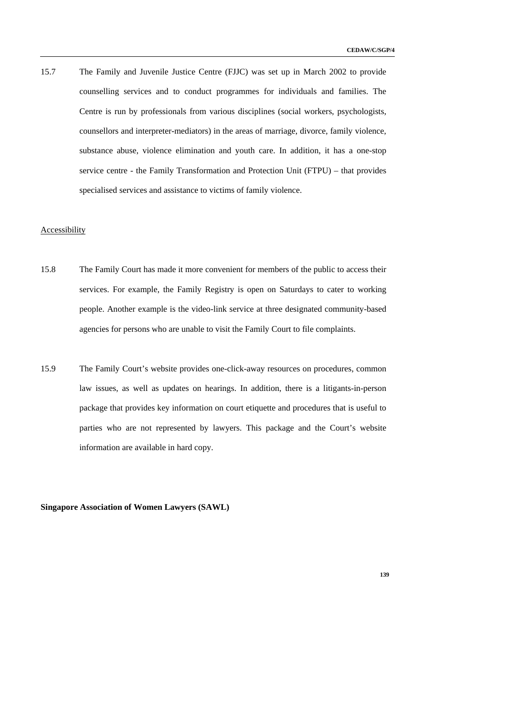15.7 The Family and Juvenile Justice Centre (FJJC) was set up in March 2002 to provide counselling services and to conduct programmes for individuals and families. The Centre is run by professionals from various disciplines (social workers, psychologists, counsellors and interpreter-mediators) in the areas of marriage, divorce, family violence, substance abuse, violence elimination and youth care. In addition, it has a one-stop service centre - the Family Transformation and Protection Unit (FTPU) – that provides specialised services and assistance to victims of family violence.

### **Accessibility**

- 15.8 The Family Court has made it more convenient for members of the public to access their services. For example, the Family Registry is open on Saturdays to cater to working people. Another example is the video-link service at three designated community-based agencies for persons who are unable to visit the Family Court to file complaints.
- 15.9 The Family Court's website provides one-click-away resources on procedures, common law issues, as well as updates on hearings. In addition, there is a litigants-in-person package that provides key information on court etiquette and procedures that is useful to parties who are not represented by lawyers. This package and the Court's website information are available in hard copy.

**Singapore Association of Women Lawyers (SAWL)**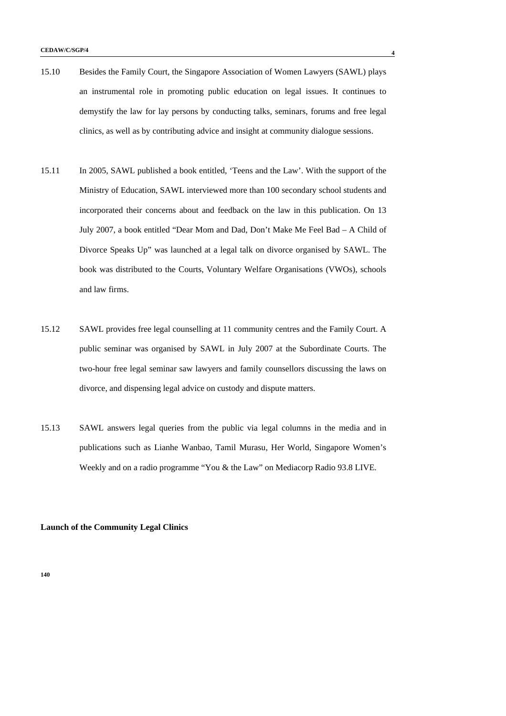- 15.10 Besides the Family Court, the Singapore Association of Women Lawyers (SAWL) plays an instrumental role in promoting public education on legal issues. It continues to demystify the law for lay persons by conducting talks, seminars, forums and free legal clinics, as well as by contributing advice and insight at community dialogue sessions.
- 15.11 In 2005, SAWL published a book entitled, 'Teens and the Law'. With the support of the Ministry of Education, SAWL interviewed more than 100 secondary school students and incorporated their concerns about and feedback on the law in this publication. On 13 July 2007, a book entitled "Dear Mom and Dad, Don't Make Me Feel Bad – A Child of Divorce Speaks Up" was launched at a legal talk on divorce organised by SAWL. The book was distributed to the Courts, Voluntary Welfare Organisations (VWOs), schools and law firms.
- 15.12 SAWL provides free legal counselling at 11 community centres and the Family Court. A public seminar was organised by SAWL in July 2007 at the Subordinate Courts. The two-hour free legal seminar saw lawyers and family counsellors discussing the laws on divorce, and dispensing legal advice on custody and dispute matters.
- 15.13 SAWL answers legal queries from the public via legal columns in the media and in publications such as Lianhe Wanbao, Tamil Murasu, Her World, Singapore Women's Weekly and on a radio programme "You & the Law" on Mediacorp Radio 93.8 LIVE.

#### **Launch of the Community Legal Clinics**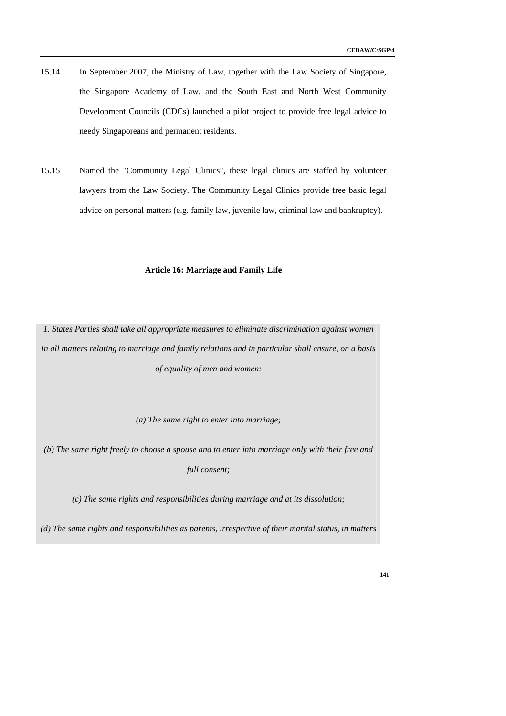- 15.14 In September 2007, the Ministry of Law, together with the Law Society of Singapore, the Singapore Academy of Law, and the South East and North West Community Development Councils (CDCs) launched a pilot project to provide free legal advice to needy Singaporeans and permanent residents.
- 15.15 Named the "Community Legal Clinics", these legal clinics are staffed by volunteer lawyers from the Law Society. The Community Legal Clinics provide free basic legal advice on personal matters (e.g. family law, juvenile law, criminal law and bankruptcy).

## **Article 16: Marriage and Family Life**

*1. States Parties shall take all appropriate measures to eliminate discrimination against women in all matters relating to marriage and family relations and in particular shall ensure, on a basis of equality of men and women:* 

*(a) The same right to enter into marriage;* 

*(b) The same right freely to choose a spouse and to enter into marriage only with their free and full consent;* 

*(c) The same rights and responsibilities during marriage and at its dissolution;* 

*(d) The same rights and responsibilities as parents, irrespective of their marital status, in matters*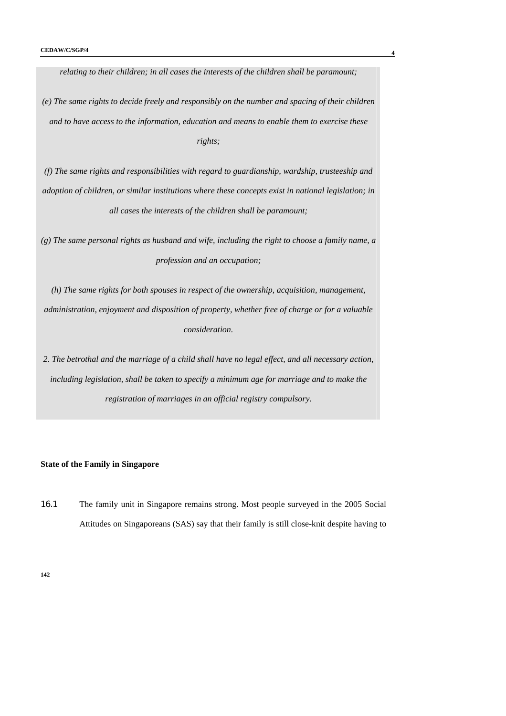*relating to their children; in all cases the interests of the children shall be paramount; (e) The same rights to decide freely and responsibly on the number and spacing of their children and to have access to the information, education and means to enable them to exercise these rights;* 

*(f) The same rights and responsibilities with regard to guardianship, wardship, trusteeship and adoption of children, or similar institutions where these concepts exist in national legislation; in all cases the interests of the children shall be paramount;* 

*(g) The same personal rights as husband and wife, including the right to choose a family name, a profession and an occupation;* 

*(h) The same rights for both spouses in respect of the ownership, acquisition, management, administration, enjoyment and disposition of property, whether free of charge or for a valuable consideration.* 

*2. The betrothal and the marriage of a child shall have no legal effect, and all necessary action, including legislation, shall be taken to specify a minimum age for marriage and to make the registration of marriages in an official registry compulsory.* 

### **State of the Family in Singapore**

16.1 The family unit in Singapore remains strong. Most people surveyed in the 2005 Social Attitudes on Singaporeans (SAS) say that their family is still close-knit despite having to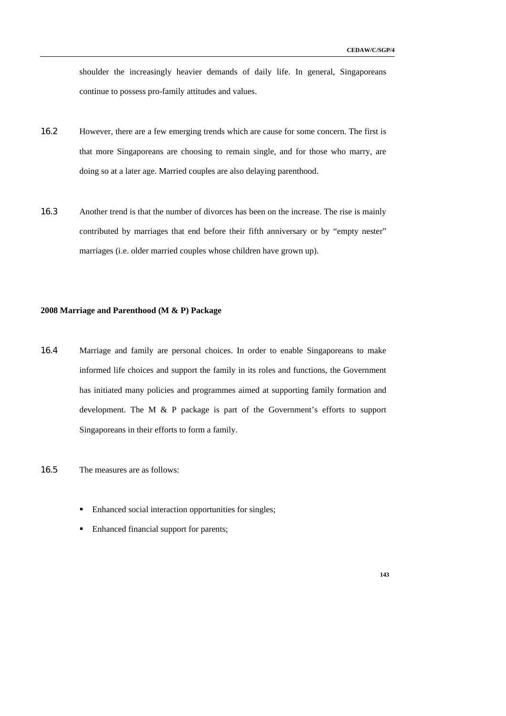shoulder the increasingly heavier demands of daily life. In general, Singaporeans continue to possess pro-family attitudes and values.

- 16.2 However, there are a few emerging trends which are cause for some concern. The first is that more Singaporeans are choosing to remain single, and for those who marry, are doing so at a later age. Married couples are also delaying parenthood.
- 16.3 Another trend is that the number of divorces has been on the increase. The rise is mainly contributed by marriages that end before their fifth anniversary or by "empty nester" marriages (i.e. older married couples whose children have grown up).

## **2008 Marriage and Parenthood (M & P) Package**

- 16.4 Marriage and family are personal choices. In order to enable Singaporeans to make informed life choices and support the family in its roles and functions, the Government has initiated many policies and programmes aimed at supporting family formation and development. The M & P package is part of the Government's efforts to support Singaporeans in their efforts to form a family.
- 16.5 The measures are as follows:
	- Enhanced social interaction opportunities for singles;
	- Enhanced financial support for parents;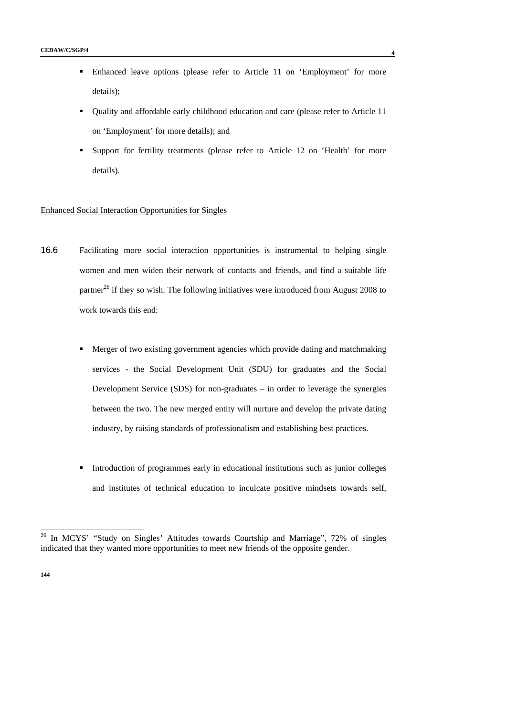- Enhanced leave options (please refer to Article 11 on 'Employment' for more details);
- Quality and affordable early childhood education and care (please refer to Article 11 on 'Employment' for more details); and
- Support for fertility treatments (please refer to Article 12 on 'Health' for more details).

## Enhanced Social Interaction Opportunities for Singles

- 16.6 Facilitating more social interaction opportunities is instrumental to helping single women and men widen their network of contacts and friends, and find a suitable life partner<sup>26</sup> if they so wish. The following initiatives were introduced from August 2008 to work towards this end:
	- Merger of two existing government agencies which provide dating and matchmaking services - the Social Development Unit (SDU) for graduates and the Social Development Service (SDS) for non-graduates – in order to leverage the synergies between the two. The new merged entity will nurture and develop the private dating industry, by raising standards of professionalism and establishing best practices.
	- Introduction of programmes early in educational institutions such as junior colleges and institutes of technical education to inculcate positive mindsets towards self,

<sup>26</sup> In MCYS' "Study on Singles' Attitudes towards Courtship and Marriage", 72% of singles indicated that they wanted more opportunities to meet new friends of the opposite gender.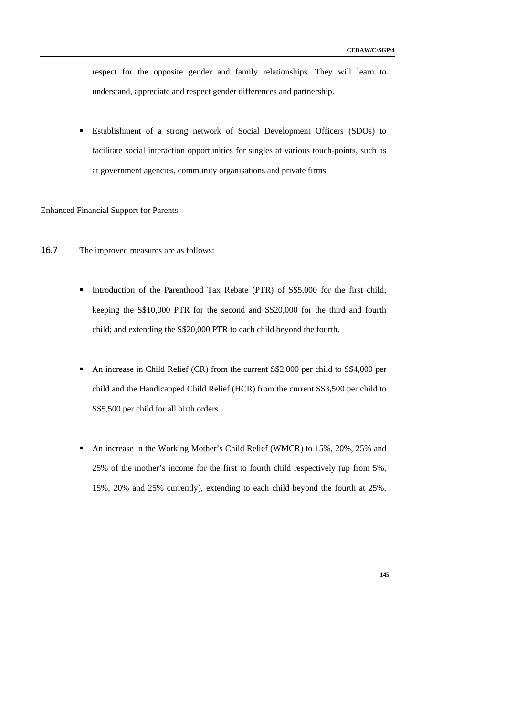respect for the opposite gender and family relationships. They will learn to understand, appreciate and respect gender differences and partnership.

 Establishment of a strong network of Social Development Officers (SDOs) to facilitate social interaction opportunities for singles at various touch-points, such as at government agencies, community organisations and private firms.

### Enhanced Financial Support for Parents

- 16.7 The improved measures are as follows:
	- Introduction of the Parenthood Tax Rebate (PTR) of S\$5,000 for the first child; keeping the S\$10,000 PTR for the second and S\$20,000 for the third and fourth child; and extending the S\$20,000 PTR to each child beyond the fourth.
	- An increase in Child Relief (CR) from the current S\$2,000 per child to S\$4,000 per child and the Handicapped Child Relief (HCR) from the current S\$3,500 per child to S\$5,500 per child for all birth orders.
	- An increase in the Working Mother's Child Relief (WMCR) to 15%, 20%, 25% and 25% of the mother's income for the first to fourth child respectively (up from 5%, 15%, 20% and 25% currently), extending to each child beyond the fourth at 25%.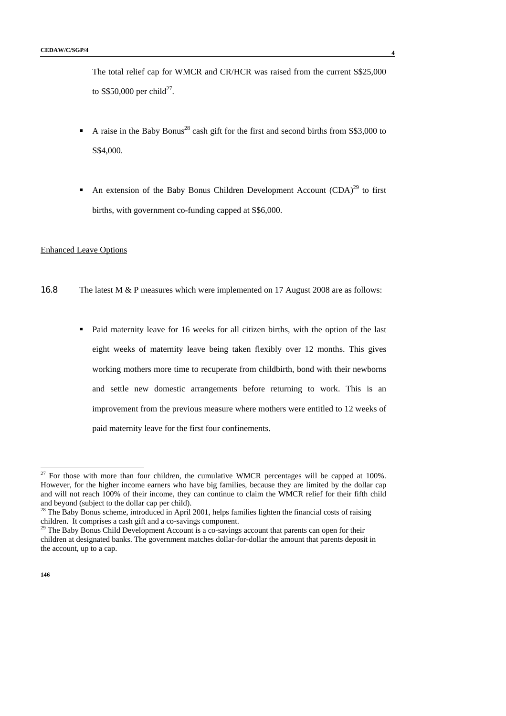The total relief cap for WMCR and CR/HCR was raised from the current S\$25,000 to S\$50,000 per child<sup>27</sup>.

- A raise in the Baby Bonus<sup>28</sup> cash gift for the first and second births from  $\$3,000$  to S\$4,000.
- An extension of the Baby Bonus Children Development Account  $(CDA)^{29}$  to first births, with government co-funding capped at S\$6,000.

# Enhanced Leave Options

- 16.8 The latest M & P measures which were implemented on 17 August 2008 are as follows:
	- Paid maternity leave for 16 weeks for all citizen births, with the option of the last eight weeks of maternity leave being taken flexibly over 12 months. This gives working mothers more time to recuperate from childbirth, bond with their newborns and settle new domestic arrangements before returning to work. This is an improvement from the previous measure where mothers were entitled to 12 weeks of paid maternity leave for the first four confinements.

-

 $27$  For those with more than four children, the cumulative WMCR percentages will be capped at 100%. However, for the higher income earners who have big families, because they are limited by the dollar cap and will not reach 100% of their income, they can continue to claim the WMCR relief for their fifth child and beyond (subject to the dollar cap per child).

<sup>&</sup>lt;sup>28</sup> The Baby Bonus scheme, introduced in April 2001, helps families lighten the financial costs of raising children. It comprises a cash gift and a co-savings component.

<sup>&</sup>lt;sup>29</sup> The Baby Bonus Child Development Account is a co-savings account that parents can open for their children at designated banks. The government matches dollar-for-dollar the amount that parents deposit in the account, up to a cap.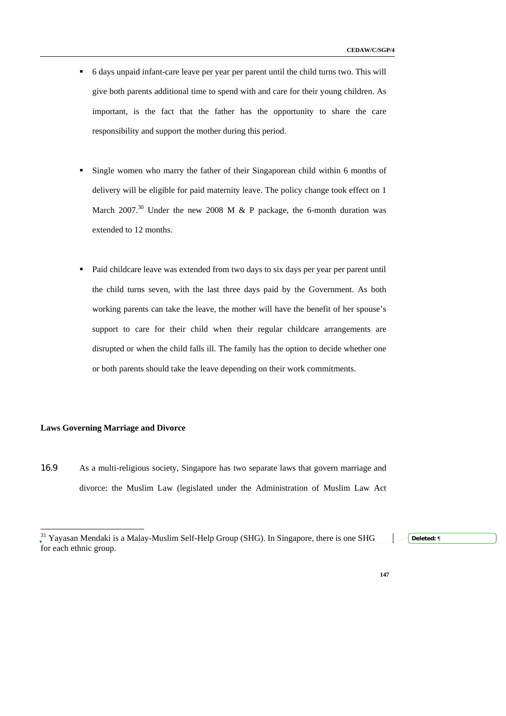- 6 days unpaid infant-care leave per year per parent until the child turns two. This will give both parents additional time to spend with and care for their young children. As important, is the fact that the father has the opportunity to share the care responsibility and support the mother during this period.
- Single women who marry the father of their Singaporean child within 6 months of delivery will be eligible for paid maternity leave. The policy change took effect on 1 March 2007.<sup>30</sup> Under the new 2008 M & P package, the 6-month duration was extended to 12 months.
- Paid childcare leave was extended from two days to six days per year per parent until the child turns seven, with the last three days paid by the Government. As both working parents can take the leave, the mother will have the benefit of her spouse's support to care for their child when their regular childcare arrangements are disrupted or when the child falls ill. The family has the option to decide whether one or both parents should take the leave depending on their work commitments.

## **Laws Governing Marriage and Divorce**

-

16.9 As a multi-religious society, Singapore has two separate laws that govern marriage and divorce: the Muslim Law (legislated under the Administration of Muslim Law Act

 $31$  Yayasan Mendaki is a Malay-Muslim Self-Help Group (SHG). In Singapore, there is one SHG for each ethnic group. **Deleted:** ¶

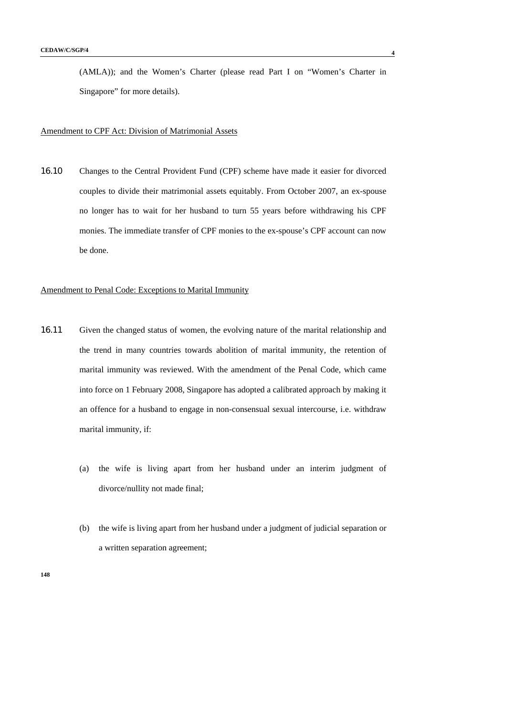(AMLA)); and the Women's Charter (please read Part I on "Women's Charter in Singapore" for more details).

## Amendment to CPF Act: Division of Matrimonial Assets

16.10 Changes to the Central Provident Fund (CPF) scheme have made it easier for divorced couples to divide their matrimonial assets equitably. From October 2007, an ex-spouse no longer has to wait for her husband to turn 55 years before withdrawing his CPF monies. The immediate transfer of CPF monies to the ex-spouse's CPF account can now be done.

# Amendment to Penal Code: Exceptions to Marital Immunity

- 16.11 Given the changed status of women, the evolving nature of the marital relationship and the trend in many countries towards abolition of marital immunity, the retention of marital immunity was reviewed. With the amendment of the Penal Code, which came into force on 1 February 2008, Singapore has adopted a calibrated approach by making it an offence for a husband to engage in non-consensual sexual intercourse, i.e. withdraw marital immunity, if:
	- (a) the wife is living apart from her husband under an interim judgment of divorce/nullity not made final;
	- (b) the wife is living apart from her husband under a judgment of judicial separation or a written separation agreement;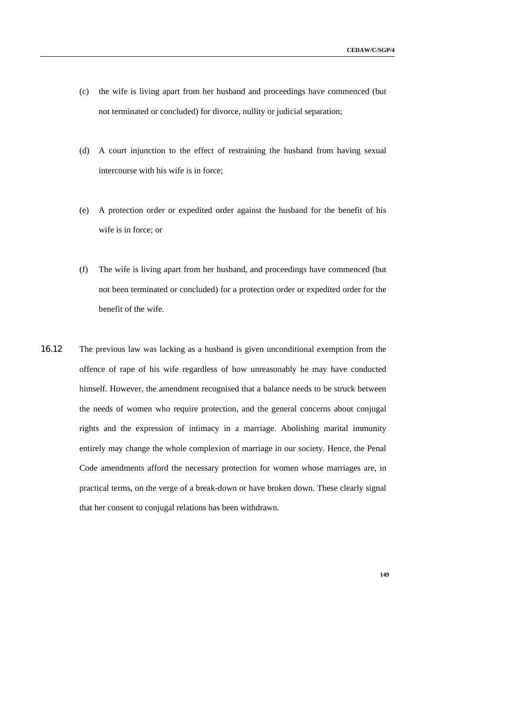- (c) the wife is living apart from her husband and proceedings have commenced (but not terminated or concluded) for divorce, nullity or judicial separation;
- (d) A court injunction to the effect of restraining the husband from having sexual intercourse with his wife is in force;
- (e) A protection order or expedited order against the husband for the benefit of his wife is in force; or
- (f) The wife is living apart from her husband, and proceedings have commenced (but not been terminated or concluded) for a protection order or expedited order for the benefit of the wife.
- 16.12 The previous law was lacking as a husband is given unconditional exemption from the offence of rape of his wife regardless of how unreasonably he may have conducted himself. However, the amendment recognised that a balance needs to be struck between the needs of women who require protection, and the general concerns about conjugal rights and the expression of intimacy in a marriage. Abolishing marital immunity entirely may change the whole complexion of marriage in our society. Hence, the Penal Code amendments afford the necessary protection for women whose marriages are, in practical terms, on the verge of a break-down or have broken down. These clearly signal that her consent to conjugal relations has been withdrawn.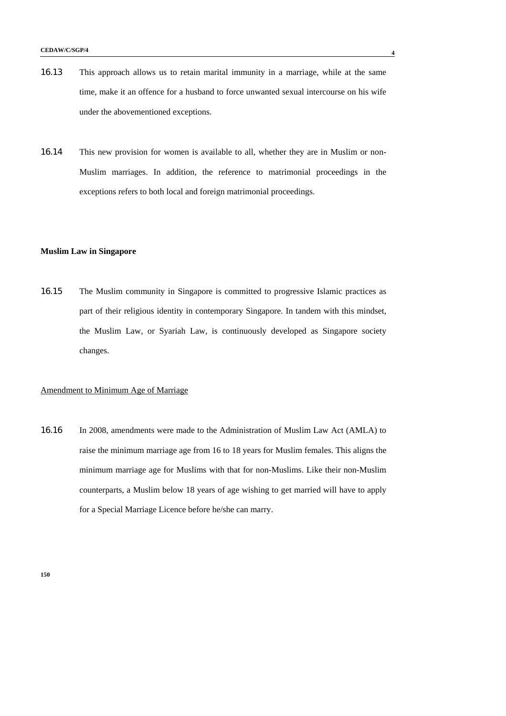- 16.13 This approach allows us to retain marital immunity in a marriage, while at the same time, make it an offence for a husband to force unwanted sexual intercourse on his wife under the abovementioned exceptions.
- 16.14 This new provision for women is available to all, whether they are in Muslim or non-Muslim marriages. In addition, the reference to matrimonial proceedings in the exceptions refers to both local and foreign matrimonial proceedings.

## **Muslim Law in Singapore**

16.15 The Muslim community in Singapore is committed to progressive Islamic practices as part of their religious identity in contemporary Singapore. In tandem with this mindset, the Muslim Law, or Syariah Law, is continuously developed as Singapore society changes.

## Amendment to Minimum Age of Marriage

16.16 In 2008, amendments were made to the Administration of Muslim Law Act (AMLA) to raise the minimum marriage age from 16 to 18 years for Muslim females. This aligns the minimum marriage age for Muslims with that for non-Muslims. Like their non-Muslim counterparts, a Muslim below 18 years of age wishing to get married will have to apply for a Special Marriage Licence before he/she can marry.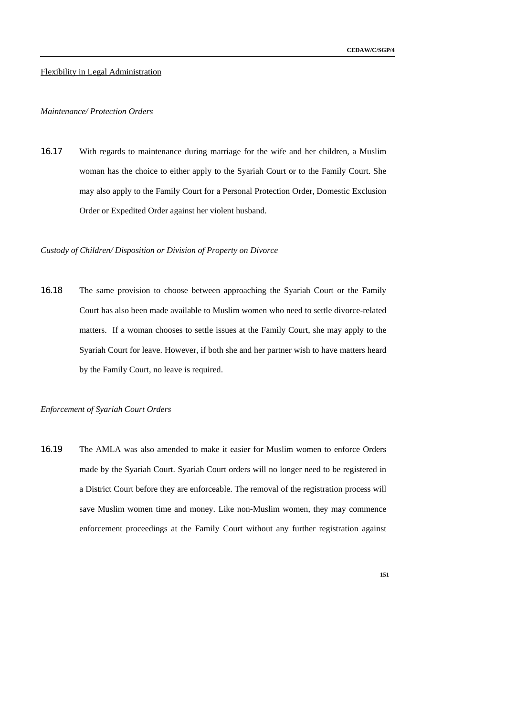## Flexibility in Legal Administration

# *Maintenance/ Protection Orders*

16.17 With regards to maintenance during marriage for the wife and her children, a Muslim woman has the choice to either apply to the Syariah Court or to the Family Court. She may also apply to the Family Court for a Personal Protection Order, Domestic Exclusion Order or Expedited Order against her violent husband.

## *Custody of Children/ Disposition or Division of Property on Divorce*

16.18 The same provision to choose between approaching the Syariah Court or the Family Court has also been made available to Muslim women who need to settle divorce-related matters. If a woman chooses to settle issues at the Family Court, she may apply to the Syariah Court for leave. However, if both she and her partner wish to have matters heard by the Family Court, no leave is required.

#### *Enforcement of Syariah Court Orders*

16.19 The AMLA was also amended to make it easier for Muslim women to enforce Orders made by the Syariah Court. Syariah Court orders will no longer need to be registered in a District Court before they are enforceable. The removal of the registration process will save Muslim women time and money. Like non-Muslim women, they may commence enforcement proceedings at the Family Court without any further registration against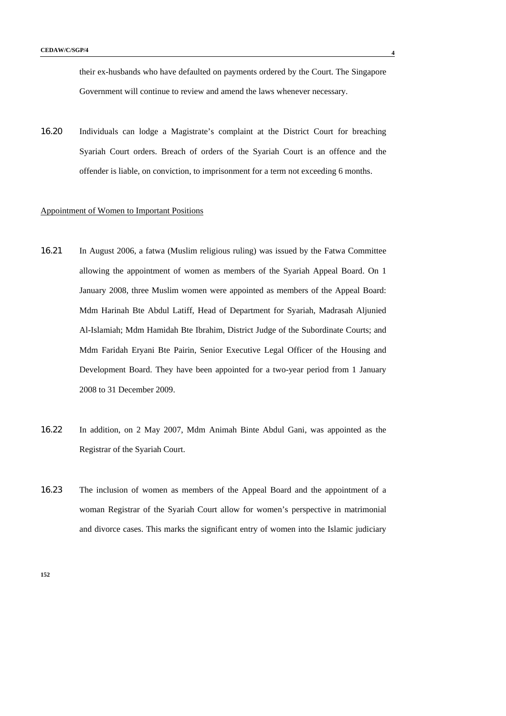their ex-husbands who have defaulted on payments ordered by the Court. The Singapore Government will continue to review and amend the laws whenever necessary.

16.20 Individuals can lodge a Magistrate's complaint at the District Court for breaching Syariah Court orders. Breach of orders of the Syariah Court is an offence and the offender is liable, on conviction, to imprisonment for a term not exceeding 6 months.

# Appointment of Women to Important Positions

- 16.21 In August 2006, a fatwa (Muslim religious ruling) was issued by the Fatwa Committee allowing the appointment of women as members of the Syariah Appeal Board. On 1 January 2008, three Muslim women were appointed as members of the Appeal Board: Mdm Harinah Bte Abdul Latiff, Head of Department for Syariah, Madrasah Aljunied Al-Islamiah; Mdm Hamidah Bte Ibrahim, District Judge of the Subordinate Courts; and Mdm Faridah Eryani Bte Pairin, Senior Executive Legal Officer of the Housing and Development Board. They have been appointed for a two-year period from 1 January 2008 to 31 December 2009.
- 16.22 In addition, on 2 May 2007, Mdm Animah Binte Abdul Gani, was appointed as the Registrar of the Syariah Court.
- 16.23 The inclusion of women as members of the Appeal Board and the appointment of a woman Registrar of the Syariah Court allow for women's perspective in matrimonial and divorce cases. This marks the significant entry of women into the Islamic judiciary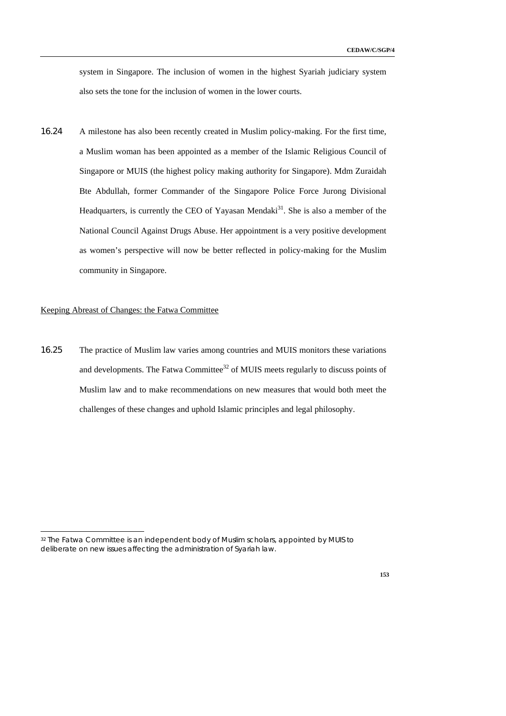system in Singapore. The inclusion of women in the highest Syariah judiciary system also sets the tone for the inclusion of women in the lower courts.

16.24 A milestone has also been recently created in Muslim policy-making. For the first time, a Muslim woman has been appointed as a member of the Islamic Religious Council of Singapore or MUIS (the highest policy making authority for Singapore). Mdm Zuraidah Bte Abdullah, former Commander of the Singapore Police Force Jurong Divisional Headquarters, is currently the CEO of Yayasan Mendaki<sup>31</sup>. She is also a member of the National Council Against Drugs Abuse. Her appointment is a very positive development as women's perspective will now be better reflected in policy-making for the Muslim community in Singapore.

#### Keeping Abreast of Changes: the Fatwa Committee

-

16.25 The practice of Muslim law varies among countries and MUIS monitors these variations and developments. The Fatwa Committee<sup>32</sup> of MUIS meets regularly to discuss points of Muslim law and to make recommendations on new measures that would both meet the challenges of these changes and uphold Islamic principles and legal philosophy.

<sup>32</sup> The Fatwa Committee is an independent body of Muslim scholars, appointed by MUIS to deliberate on new issues affecting the administration of Syariah law.

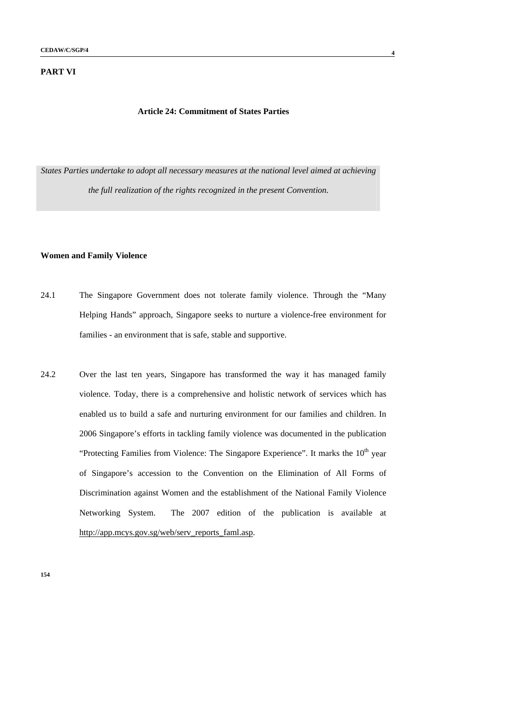## **PART VI**

## **Article 24: Commitment of States Parties**

*States Parties undertake to adopt all necessary measures at the national level aimed at achieving the full realization of the rights recognized in the present Convention.* 

# **Women and Family Violence**

- 24.1 The Singapore Government does not tolerate family violence. Through the "Many Helping Hands" approach, Singapore seeks to nurture a violence-free environment for families - an environment that is safe, stable and supportive.
- 24.2 Over the last ten years, Singapore has transformed the way it has managed family violence. Today, there is a comprehensive and holistic network of services which has enabled us to build a safe and nurturing environment for our families and children. In 2006 Singapore's efforts in tackling family violence was documented in the publication "Protecting Families from Violence: The Singapore Experience". It marks the  $10<sup>th</sup>$  year of Singapore's accession to the Convention on the Elimination of All Forms of Discrimination against Women and the establishment of the National Family Violence Networking System. The 2007 edition of the publication is available at http://app.mcys.gov.sg/web/serv\_reports\_faml.asp.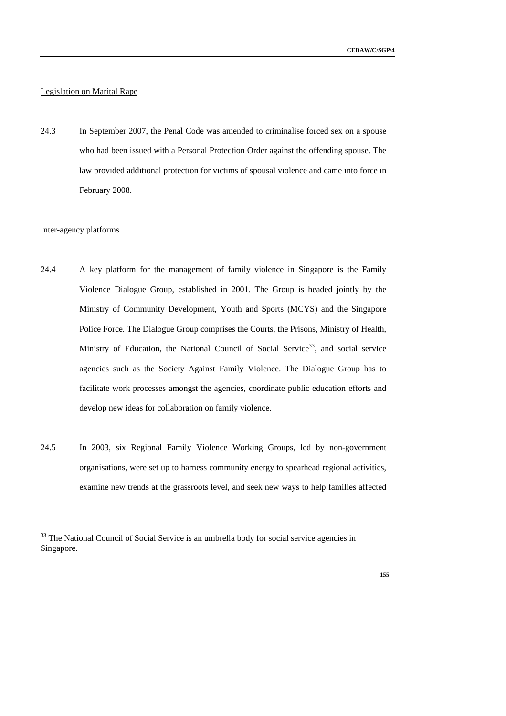# Legislation on Marital Rape

24.3 In September 2007, the Penal Code was amended to criminalise forced sex on a spouse who had been issued with a Personal Protection Order against the offending spouse. The law provided additional protection for victims of spousal violence and came into force in February 2008.

# Inter-agency platforms

-

- 24.4 A key platform for the management of family violence in Singapore is the Family Violence Dialogue Group, established in 2001. The Group is headed jointly by the Ministry of Community Development, Youth and Sports (MCYS) and the Singapore Police Force. The Dialogue Group comprises the Courts, the Prisons, Ministry of Health, Ministry of Education, the National Council of Social Service<sup>33</sup>, and social service agencies such as the Society Against Family Violence. The Dialogue Group has to facilitate work processes amongst the agencies, coordinate public education efforts and develop new ideas for collaboration on family violence.
- 24.5 In 2003, six Regional Family Violence Working Groups, led by non-government organisations, were set up to harness community energy to spearhead regional activities, examine new trends at the grassroots level, and seek new ways to help families affected

 $33$  The National Council of Social Service is an umbrella body for social service agencies in Singapore.

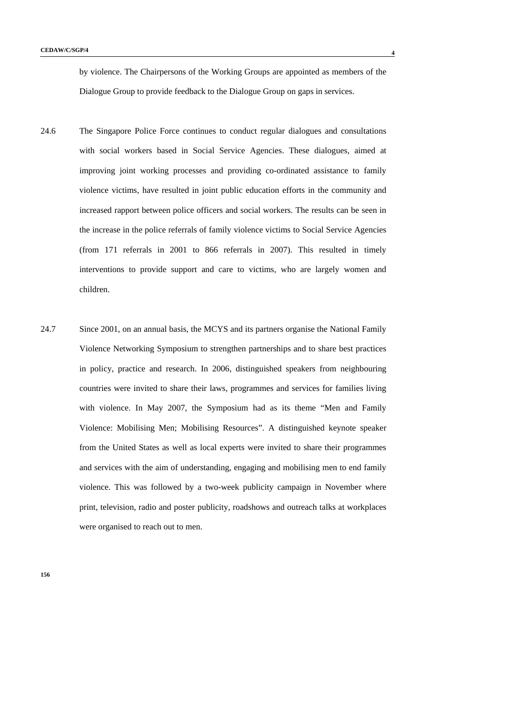by violence. The Chairpersons of the Working Groups are appointed as members of the Dialogue Group to provide feedback to the Dialogue Group on gaps in services.

- 24.6 The Singapore Police Force continues to conduct regular dialogues and consultations with social workers based in Social Service Agencies. These dialogues, aimed at improving joint working processes and providing co-ordinated assistance to family violence victims, have resulted in joint public education efforts in the community and increased rapport between police officers and social workers. The results can be seen in the increase in the police referrals of family violence victims to Social Service Agencies (from 171 referrals in 2001 to 866 referrals in 2007). This resulted in timely interventions to provide support and care to victims, who are largely women and children.
- 24.7 Since 2001, on an annual basis, the MCYS and its partners organise the National Family Violence Networking Symposium to strengthen partnerships and to share best practices in policy, practice and research. In 2006, distinguished speakers from neighbouring countries were invited to share their laws, programmes and services for families living with violence. In May 2007, the Symposium had as its theme "Men and Family Violence: Mobilising Men; Mobilising Resources". A distinguished keynote speaker from the United States as well as local experts were invited to share their programmes and services with the aim of understanding, engaging and mobilising men to end family violence. This was followed by a two-week publicity campaign in November where print, television, radio and poster publicity, roadshows and outreach talks at workplaces were organised to reach out to men.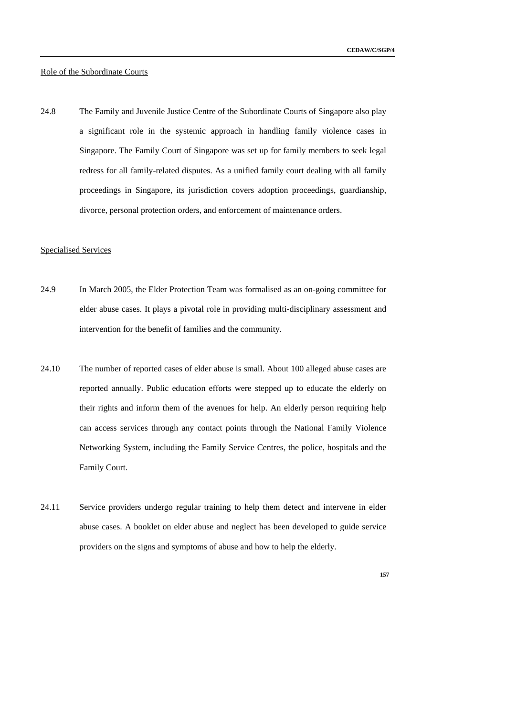## Role of the Subordinate Courts

24.8 The Family and Juvenile Justice Centre of the Subordinate Courts of Singapore also play a significant role in the systemic approach in handling family violence cases in Singapore. The Family Court of Singapore was set up for family members to seek legal redress for all family-related disputes. As a unified family court dealing with all family proceedings in Singapore, its jurisdiction covers adoption proceedings, guardianship, divorce, personal protection orders, and enforcement of maintenance orders.

## Specialised Services

- 24.9 In March 2005, the Elder Protection Team was formalised as an on-going committee for elder abuse cases. It plays a pivotal role in providing multi-disciplinary assessment and intervention for the benefit of families and the community.
- 24.10 The number of reported cases of elder abuse is small. About 100 alleged abuse cases are reported annually. Public education efforts were stepped up to educate the elderly on their rights and inform them of the avenues for help. An elderly person requiring help can access services through any contact points through the National Family Violence Networking System, including the Family Service Centres, the police, hospitals and the Family Court.
- 24.11 Service providers undergo regular training to help them detect and intervene in elder abuse cases. A booklet on elder abuse and neglect has been developed to guide service providers on the signs and symptoms of abuse and how to help the elderly.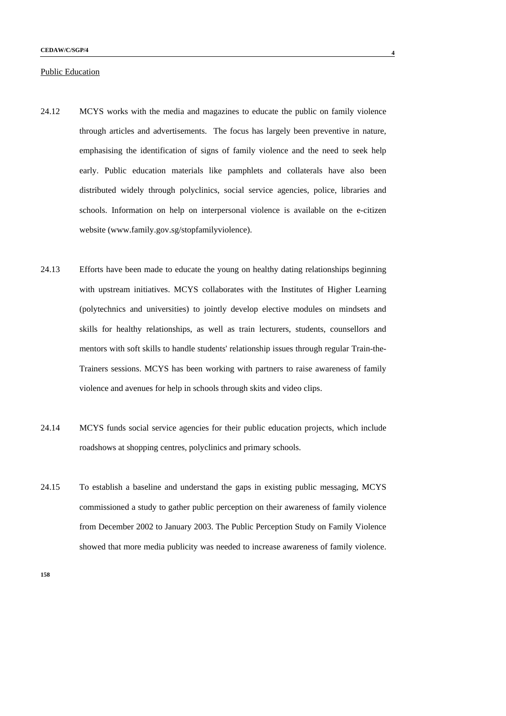## Public Education

- 24.12 MCYS works with the media and magazines to educate the public on family violence through articles and advertisements. The focus has largely been preventive in nature, emphasising the identification of signs of family violence and the need to seek help early. Public education materials like pamphlets and collaterals have also been distributed widely through polyclinics, social service agencies, police, libraries and schools. Information on help on interpersonal violence is available on the e-citizen website (www.family.gov.sg/stopfamilyviolence).
- 24.13 Efforts have been made to educate the young on healthy dating relationships beginning with upstream initiatives. MCYS collaborates with the Institutes of Higher Learning (polytechnics and universities) to jointly develop elective modules on mindsets and skills for healthy relationships, as well as train lecturers, students, counsellors and mentors with soft skills to handle students' relationship issues through regular Train-the-Trainers sessions. MCYS has been working with partners to raise awareness of family violence and avenues for help in schools through skits and video clips.
- 24.14 MCYS funds social service agencies for their public education projects, which include roadshows at shopping centres, polyclinics and primary schools.
- 24.15 To establish a baseline and understand the gaps in existing public messaging, MCYS commissioned a study to gather public perception on their awareness of family violence from December 2002 to January 2003. The Public Perception Study on Family Violence showed that more media publicity was needed to increase awareness of family violence.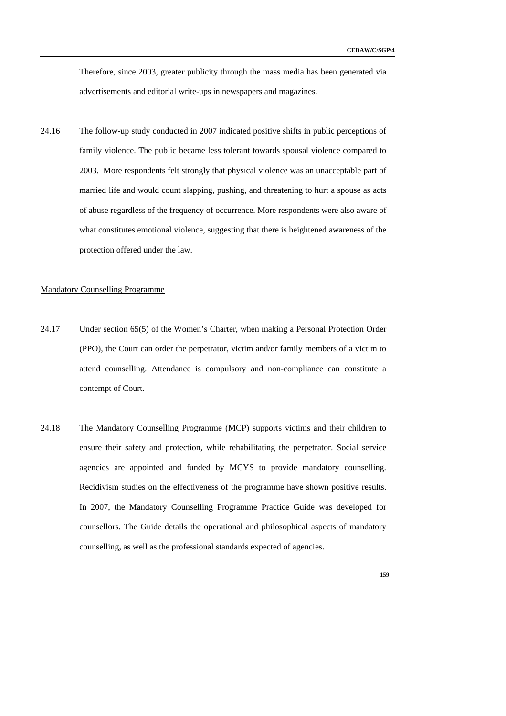Therefore, since 2003, greater publicity through the mass media has been generated via advertisements and editorial write-ups in newspapers and magazines.

24.16 The follow-up study conducted in 2007 indicated positive shifts in public perceptions of family violence. The public became less tolerant towards spousal violence compared to 2003. More respondents felt strongly that physical violence was an unacceptable part of married life and would count slapping, pushing, and threatening to hurt a spouse as acts of abuse regardless of the frequency of occurrence. More respondents were also aware of what constitutes emotional violence, suggesting that there is heightened awareness of the protection offered under the law.

#### Mandatory Counselling Programme

- 24.17 Under section 65(5) of the Women's Charter, when making a Personal Protection Order (PPO), the Court can order the perpetrator, victim and/or family members of a victim to attend counselling. Attendance is compulsory and non-compliance can constitute a contempt of Court.
- 24.18 The Mandatory Counselling Programme (MCP) supports victims and their children to ensure their safety and protection, while rehabilitating the perpetrator. Social service agencies are appointed and funded by MCYS to provide mandatory counselling. Recidivism studies on the effectiveness of the programme have shown positive results. In 2007, the Mandatory Counselling Programme Practice Guide was developed for counsellors. The Guide details the operational and philosophical aspects of mandatory counselling, as well as the professional standards expected of agencies.
	- **159**